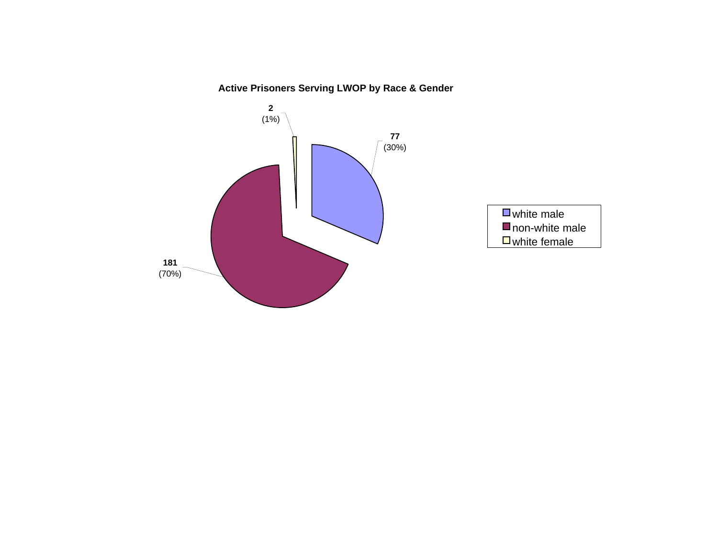# **Active Prisoners Serving LWOP by Race & Gender**

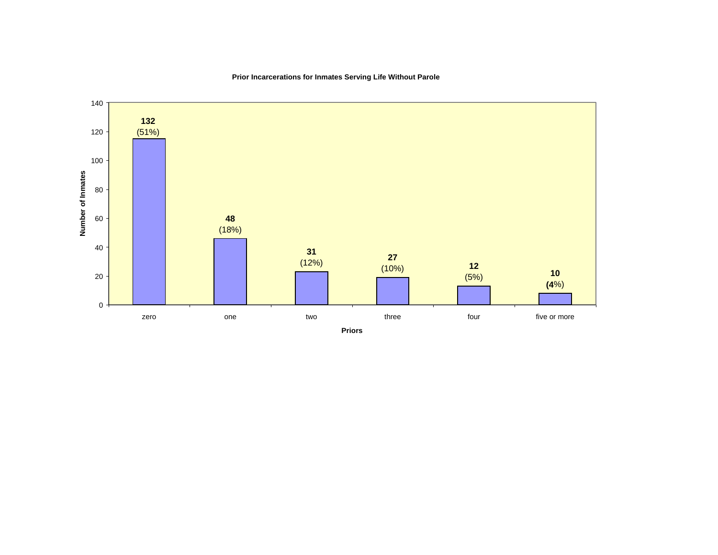

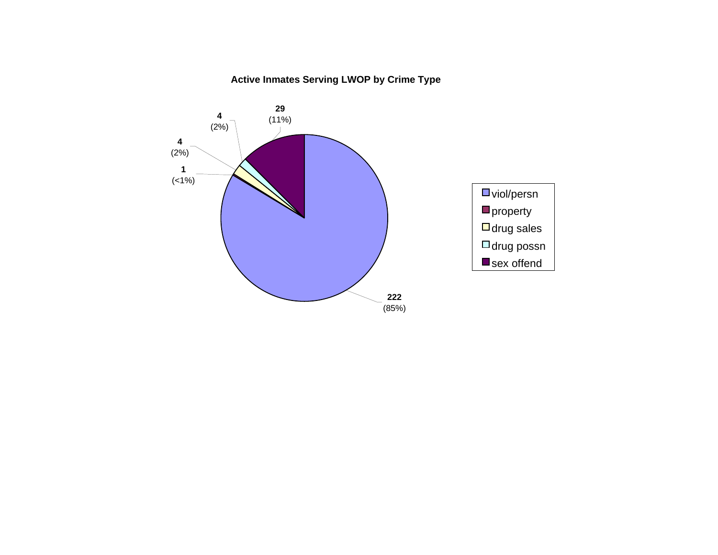# **Active Inmates Serving LWOP by Crime Type**

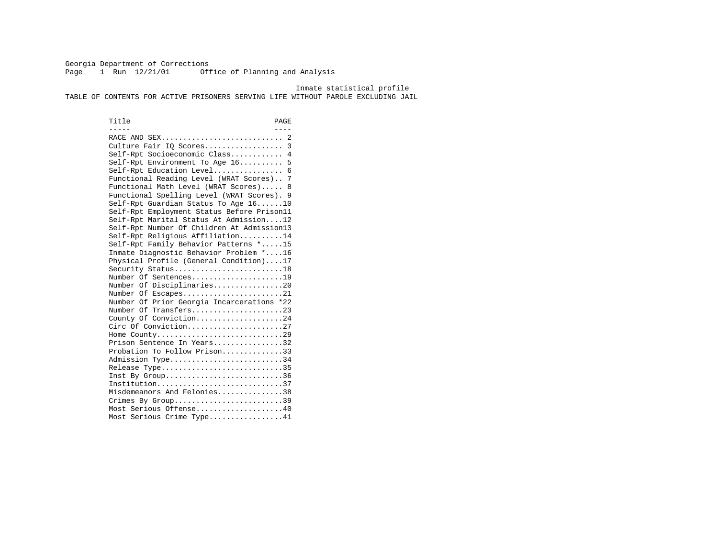Georgia Department of Corrections Page 1 Run 12/21/01 Office of Planning and Analysis

Inmate statistical profile

TABLE OF CONTENTS FOR ACTIVE PRISONERS SERVING LIFE WITHOUT PAROLE EXCLUDING JAIL

Title PAGE ----- ---- RACE AND SEX............................ 2 Culture Fair IQ Scores.................. 3 Self-Rpt Socioeconomic Class............ 4 Self-Rpt Environment To Age 16.......... 5 Self-Rpt Education Level................ 6 Functional Reading Level (WRAT Scores).. 7 Functional Math Level (WRAT Scores)..... 8 Functional Spelling Level (WRAT Scores). 9 Self-Rpt Guardian Status To Age 16......10 Self-Rpt Employment Status Before Prison11 Self-Rpt Marital Status At Admission....12 Self-Rpt Number Of Children At Admission13 Self-Rpt Religious Affiliation..........14 Self-Rpt Family Behavior Patterns \*.....15 Inmate Diagnostic Behavior Problem \*....16 Physical Profile (General Condition)....17 Security Status............................18 Number Of Sentences.....................19 Number Of Disciplinaries................20 Number Of Escapes........................21 Number Of Prior Georgia Incarcerations \*22 Number Of Transfers.....................23 County Of Conviction....................24 Circ Of Conviction......................27 Home County.............................29 Prison Sentence In Years.................32 Probation To Follow Prison..............33Admission Type............................34 Release Type..............................35 Inst By Group..............................36 Institution.............................37 Misdemeanors And Felonies...............38 Crimes By Group.............................39 Most Serious Offense....................40 Most Serious Crime Type.................41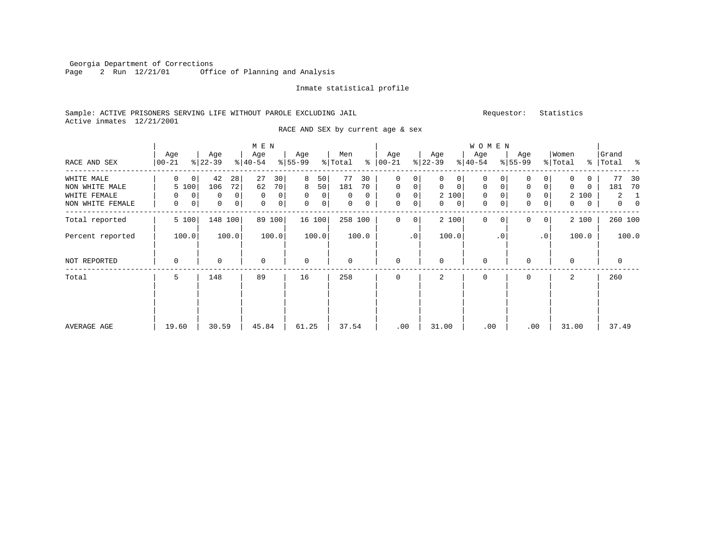Georgia Department of Corrections Page 2 Run 12/21/01 Office of Planning and Analysis

#### Inmate statistical profile

# Sample: ACTIVE PRISONERS SERVING LIFE WITHOUT PAROLE EXCLUDING JAIL Requestor: Statistics Active inmates 12/21/2001

RACE AND SEX by current age & sex

|                  |                            |                     | M E N               |                     |                |                            |                                | <b>WOMEN</b>                |                            |                            |                            |
|------------------|----------------------------|---------------------|---------------------|---------------------|----------------|----------------------------|--------------------------------|-----------------------------|----------------------------|----------------------------|----------------------------|
| RACE AND SEX     | Age<br>$ 00-21$            | Age<br>$ 22-39 $    | Age<br>$ 40-54 $    | Age<br>$8 55-99$    | Men<br>% Total | Age<br>$8   00 - 21$       | Age<br>$ 22-39 $               | Age<br>$ 40-54 $            | Age<br>$8 55-99$           | Women<br>% Total           | Grand<br>%   Total %       |
| WHITE MALE       | $\Omega$<br>$\overline{0}$ | 42<br>28            | 27<br>30            | 8<br>50             | 77<br>30       | $\Omega$<br>0              | $\Omega$<br>0                  | $\mathbf 0$<br>$\Omega$     | 0<br>0                     | $\mathbf 0$<br>0           | 77<br>30                   |
| NON WHITE MALE   | 5 100                      | 106<br>72           | 62<br>70            | 8<br>50             | 181<br>70      | $\mathbf 0$<br>0           | $\mathbf 0$<br>$\mathbf 0$     | $\mathbf{0}$<br>$\mathbf 0$ | 0<br>$\mathbf 0$           | $\mathbf 0$<br>$\mathbf 0$ | 181<br>70                  |
| WHITE FEMALE     | 0<br>0                     | $\overline{0}$<br>0 | 0 <sup>1</sup><br>0 | $\overline{0}$<br>0 | 0<br>0         | $\mathbf 0$<br>0           | 2 100                          | 0                           | 0                          | 2 100                      | 2<br>-1                    |
| NON WHITE FEMALE | 0<br>$\overline{0}$        | 0<br> 0             | 0<br>0 <sup>1</sup> | 0<br>0 <sup>1</sup> | 0<br>0         | $\mathbf 0$<br>0           | $\mathbf{0}$<br>$\overline{0}$ | 0<br>0                      | $\mathbf 0$<br>0           | $\mathbf{0}$<br>0          | $\overline{0}$<br>$\Omega$ |
| Total reported   | 5 100                      | 148 100             | 89 100              | 16 100              | 258 100        | $\Omega$<br>$\overline{0}$ | 2 100                          | $\Omega$<br>0               | $\Omega$<br>0 <sup>1</sup> | 2 100                      | 260 100                    |
| Percent reported | 100.0                      | 100.0               | 100.0               | 100.0               | 100.0          | .0                         | 100.0                          | $\cdot$ 0                   | $\cdot$ 0                  | 100.0                      | 100.0                      |
| NOT REPORTED     | 0                          | $\Omega$            | $\Omega$            | $\mathbf 0$         | 0              | $\mathbf 0$                | $\Omega$                       | $\mathbf 0$                 | U                          | $\mathbf 0$                | 0                          |
| Total            | 5                          | 148                 | 89                  | 16                  | 258            | $\mathbf 0$                | 2                              | $\mathbf 0$                 | $\mathbf 0$                | 2                          | 260                        |
|                  |                            |                     |                     |                     |                |                            |                                |                             |                            |                            |                            |
| AVERAGE AGE      | 19.60                      | 30.59               | 45.84               | 61.25               | 37.54          | .00                        | 31.00                          | .00                         | .00                        | 31.00                      | 37.49                      |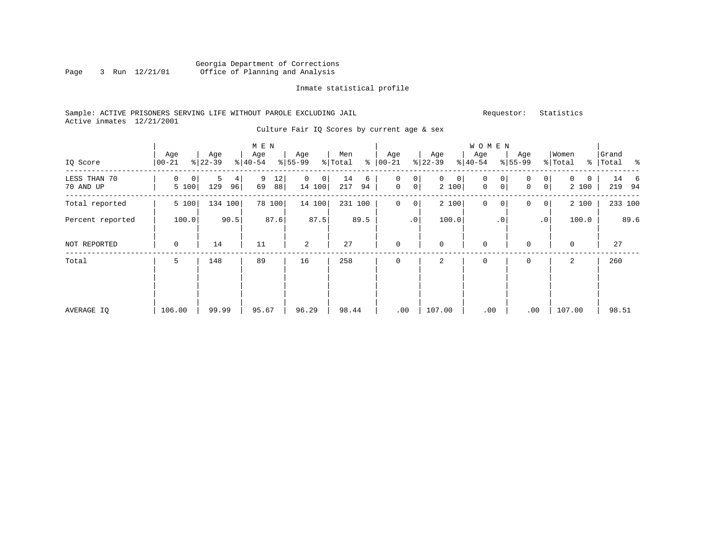# Georgia Department of Corrections Office of Planning and Analysis

## Inmate statistical profile

# Sample: ACTIVE PRISONERS SERVING LIFE WITHOUT PAROLE EXCLUDING JAIL Requestor: Statistics Active inmates 12/21/2001

Culture Fair IQ Scores by current age & sex

|                           |                           |                     | M E N                        |                            |                      |                               |                            | W O M E N                                        |                                  |                  |                         |
|---------------------------|---------------------------|---------------------|------------------------------|----------------------------|----------------------|-------------------------------|----------------------------|--------------------------------------------------|----------------------------------|------------------|-------------------------|
| IQ Score                  | Age<br>$ 00-21 $          | Age<br>$8 22-39$    | Age<br>$\frac{1}{6}$   40-54 | Age<br>$8 55-99$           | Men<br>⊱<br>% Total  | Age<br>$ 00 - 21 $            | Age<br>$ 22-39 $           | Age<br>$ 40-54 $                                 | Age<br>$ 55-99 $                 | Women<br>% Total | Grand<br>%   Total<br>း |
| LESS THAN 70<br>70 AND UP | 0<br>$\mathbf 0$<br>5 100 | 5<br>4<br>129<br>96 | 9<br>12<br>69<br>88          | $\mathbf 0$<br>0<br>14 100 | 14<br>6<br>217<br>94 | 0<br>0<br>0<br>$\overline{0}$ | $\mathbf{0}$<br>0<br>2 100 | $\mathbf{0}$<br>0<br>$\mathbf 0$<br>$\mathsf{O}$ | 0<br>0<br>$\circ$<br>$\mathbf 0$ | 0<br>0<br>2 100  | 14<br>6<br>219<br>94    |
| Total reported            | 5 100                     | 134 100             | 78 100                       | 14 100                     | 231 100              | $\mathbf 0$<br>0              | 2 100                      | 0<br>0                                           | 0<br>$\mathbf{0}$                | 2 100            | 233 100                 |
| Percent reported          | 100.0                     | 90.5                | 87.6                         | 87.5                       | 89.5                 | $\cdot$ 0                     | 100.0                      | $\cdot$ 0                                        | .0 <sup>1</sup>                  | 100.0            | 89.6                    |
| NOT REPORTED              | 0                         | 14                  | 11                           | 2                          | 27                   | $\mathbf 0$                   | $\mathbf{0}$               | $\mathbf 0$                                      | 0                                | $\mathbf 0$      | 27                      |
| Total                     | 5                         | 148                 | 89                           | 16                         | 258                  | $\mathbf 0$                   | 2                          | 0                                                | 0                                | 2                | 260                     |
| AVERAGE IQ                | 106.00                    | 99.99               | 95.67                        | 96.29                      | 98.44                | .00                           | 107.00                     | .00                                              | .00                              | 107.00           | 98.51                   |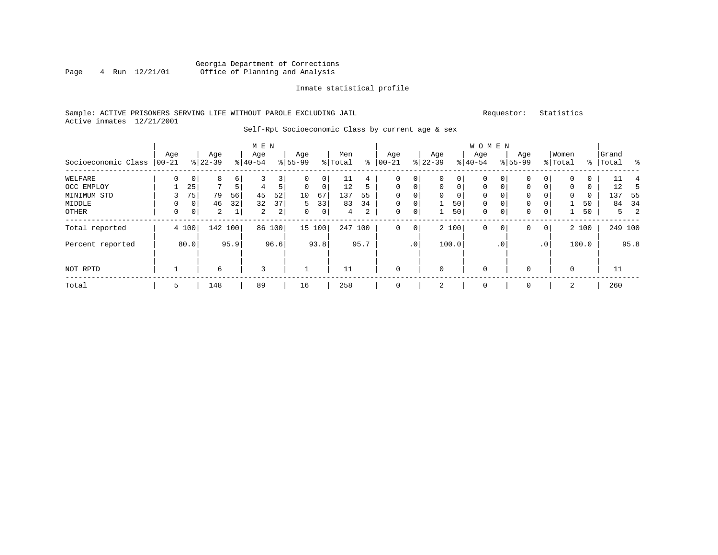# Georgia Department of Corrections Page 4 Run  $12/21/01$  Office of Planning and Analysis

## Inmate statistical profile

# Sample: ACTIVE PRISONERS SERVING LIFE WITHOUT PAROLE EXCLUDING JAIL Requestor: Statistics Active inmates 12/21/2001

# Self-Rpt Socioeconomic Class by current age & sex

|                     |          |             |                |         | M E N          |                |             |             |         |                |             |                 |             |             | W O M E N    |             |             |                |             |       |           |         |      |
|---------------------|----------|-------------|----------------|---------|----------------|----------------|-------------|-------------|---------|----------------|-------------|-----------------|-------------|-------------|--------------|-------------|-------------|----------------|-------------|-------|-----------|---------|------|
|                     | Age      |             | Age            |         | Age            |                | Age         |             | Men     |                | Age         |                 | Age         |             | Age          |             | Age         |                | Women       |       | Grand     |         |      |
| Socioeconomic Class | $ 00-21$ |             | $8 22-39$      |         | $ 40-54 $      |                | $8 55-99$   |             | % Total | နွ             | $00 - 21$   | $\frac{1}{6}$   | $22 - 39$   |             | $8 40-54$    |             | $8155 - 99$ |                | % Total     |       | %   Total |         | ಿ    |
| WELFARE             | $\Omega$ | $\mathbf 0$ | 8              | 6       |                | 3              |             | 0           | 11      | 4              | 0           | 0               | 0           | 0           | $\mathbf 0$  |             | 0           |                | $\mathbf 0$ | 0     |           | 11      | 4    |
| OCC EMPLOY          |          | 25          | $\mathbf{r}$   | 5       | 4              | 5              | $\Omega$    | 0           | 12      | 5              | 0           | $\mathbf 0$     | $\mathbf 0$ | $\mathbf 0$ | $\mathbf{0}$ | $\mathbf 0$ | 0           | $\Omega$       | $\mathbf 0$ | 0     |           | 12      | 5    |
| MINIMUM STD         |          | 75          | 79             | 56      | 45             | 52             | 10          | 67          | 137     | 55             | $\Omega$    | 0               | 0           | 0           | $\mathbf 0$  |             | 0           |                | 0           | 0     |           | 137     | 55   |
| MIDDLE              | 0        | 0           | 46             | 32      | 32             | 37             | 5           | 33          | 83      | 34             | $\mathbf 0$ | $\mathbf 0$     |             | 50          | $\mathbf 0$  | $\mathbf 0$ | 0           |                |             | 50    |           | 84      | -34  |
| OTHER               | 0        | $\mathbf 0$ | $\overline{2}$ | 1       | $\overline{a}$ | $\overline{a}$ | $\mathbf 0$ | $\mathbf 0$ | 4       | $\overline{a}$ | 0           | 0               |             | 50          | $\mathbf 0$  | $\mathbf 0$ | 0           | $\mathbf 0$    | Ш.          | 50    |           | 5       | -2   |
| Total reported      |          | 4 100       |                | 142 100 | 86             | 100            |             | 15 100      | 247     | 100            | $\mathbf 0$ | $\mathbf 0$     |             | 2 100       | $\mathbf 0$  | 0           | 0           | $\overline{0}$ |             | 2 100 |           | 249 100 |      |
| Percent reported    |          | 80.0        |                | 95.9    |                | 96.6           |             | 93.8        |         | 95.7           |             | .0 <sup>1</sup> |             | 100.0       |              | . 0         |             | $\cdot$ 0      |             | 100.0 |           |         | 95.8 |
| NOT RPTD            |          |             | 6              |         | 3              |                |             |             | 11      |                | $\mathbf 0$ |                 | 0           |             | $\mathbf 0$  |             | $\Omega$    |                | $\mathbf 0$ |       |           | 11      |      |
| Total               | 5        |             | 148            |         | 89             |                | 16          |             | 258     |                | 0           |                 | 2           |             | 0            |             | 0           |                | 2           |       |           | 260     |      |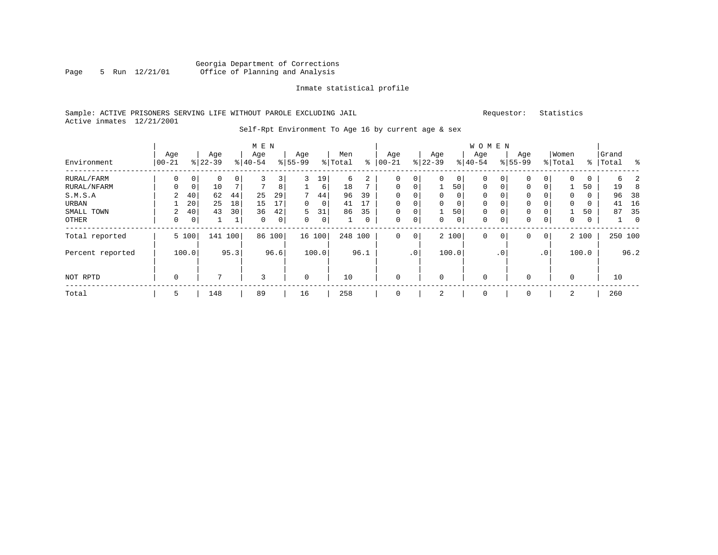# Georgia Department of Corrections Page 5 Run 12/21/01 Office of Planning and Analysis

## Inmate statistical profile

# Sample: ACTIVE PRISONERS SERVING LIFE WITHOUT PAROLE EXCLUDING JAIL Requestor: Statistics Active inmates 12/21/2001

# Self-Rpt Environment To Age 16 by current age & sex

|                  |                   |             |                  |     | M E N            |     |                 |        |                |    |                 |                |                 |       | W O M E N        |   |                  |   |                  |       |                    |          |
|------------------|-------------------|-------------|------------------|-----|------------------|-----|-----------------|--------|----------------|----|-----------------|----------------|-----------------|-------|------------------|---|------------------|---|------------------|-------|--------------------|----------|
| Environment      | Age<br>$100 - 21$ |             | Age<br>$8 22-39$ |     | Age<br>$8 40-54$ |     | Age<br>$ 55-99$ |        | Men<br>% Total | ⊱  | Age<br>$ 00-21$ |                | Age<br>$ 22-39$ |       | Age<br>$ 40-54 $ |   | Age<br>$8 55-99$ |   | Women<br>% Total |       | Grand<br>%   Total | ႜ        |
| RURAL/FARM       | 0                 | 0           | 0                | 0   | 3                | 3   | 3               | 19     | 6              | 2  | 0               | 0              | 0               | 0     | $\mathbf 0$      | 0 | 0                | 0 | $\mathbf 0$      | 0     | 6                  | 2        |
| RURAL/NFARM      | 0                 | $\mathbf 0$ | 10               |     | $\overline{ }$   | 8   | 1               | 6      | 18             |    | $\mathbf 0$     | 0              |                 | 50    | $\mathbf 0$      | 0 | 0                |   |                  | 50    | 19                 | 8        |
| S.M.S.A          | 2                 | 40          | 62               | 44  | 25               | 29  | 7               | 44     | 96             | 39 | 0               | 0              | 0               | 0     | $\mathbf 0$      | 0 | 0                |   | $\mathbf 0$      | 0     | 96                 | 38       |
| URBAN            |                   | 20          | 25               | 18  | 15               | 17  | 0               | 0      | 41             | 17 | $\Omega$        | 0              | 0               | 0     | $\mathbf 0$      | 0 | 0                |   | 0                | 0     | 41                 | 16       |
| SMALL TOWN       | 2                 | 40          | 43               | 30  | 36               | 42  | 5               | 31     | 86             | 35 | $\Omega$        | 0 <sub>1</sub> |                 | 50    | $\mathbf 0$      | 0 | 0                |   |                  | 50    | 87                 | 35       |
| OTHER            | 0                 | $\mathbf 0$ |                  | 1   | $\mathbf 0$      | 0   | 0               | 0      |                | 0  | 0               | 0              | 0               | 0     | $\mathbf 0$      | 0 | 0                | 0 | $\mathbf 0$      | 0     | $\perp$            | $\Omega$ |
| Total reported   | 5 100             |             | 141              | 100 | 86               | 100 |                 | 16 100 | 248 100        |    | 0               | $\circ$        |                 | 2 100 | $\mathbf 0$      | 0 | 0                | 0 |                  | 2 100 |                    | 250 100  |
| Percent reported | 95.3<br>100.0     |             |                  |     | 96.6             |     | 100.0           |        | 96.1           |    | .0'             |                | 100.0           |       | . 0              |   | $\cdot$ 0        |   | 100.0            |       | 96.2               |          |
| NOT RPTD         | 0                 |             | 7                |     | 3                |     | $\mathbf 0$     |        | 10             |    | $\Omega$        |                | $\mathbf 0$     |       | $\mathbf 0$      |   | 0                |   | 0                |       | 10                 |          |
| Total            | 5                 |             | 148              |     | 89               |     | 16              |        | 258            |    |                 |                | 2               |       | $\mathbf 0$      |   | $\Omega$         |   | 2                |       | 260                |          |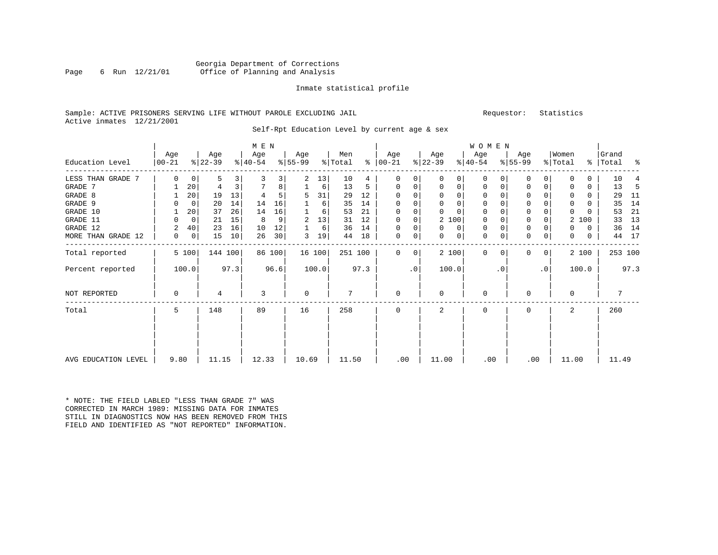# Georgia Department of Corrections Page 6 Run 12/21/01 Office of Planning and Analysis

#### Inmate statistical profile

# Sample: ACTIVE PRISONERS SERVING LIFE WITHOUT PAROLE EXCLUDING JAIL Requestor: Statistics Active inmates 12/21/2001

Self-Rpt Education Level by current age & sex

|                     |               |             |           |      |              |        |          | <b>WOMEN</b> |         |      |               |           |             |          |           |           |              |                |             |       |           |      |
|---------------------|---------------|-------------|-----------|------|--------------|--------|----------|--------------|---------|------|---------------|-----------|-------------|----------|-----------|-----------|--------------|----------------|-------------|-------|-----------|------|
|                     | Age           |             | Age       |      | M E N<br>Age |        | Age      |              | Men     |      | Age           |           | Age         |          | Age       |           | Age          |                | Women       |       | Grand     |      |
| Education Level     | $ 00 - 21$    |             | $ 22-39 $ |      | $8 40-54$    |        | $ 55-99$ |              | % Total |      | $8   00 - 21$ |           | $ 22-39 $   |          | $ 40-54 $ |           | $8 55-99$    |                | % Total     |       | %   Total | နွ   |
| LESS THAN GRADE 7   | 0             | $\mathbf 0$ | 5         | 3    | 3            | 3      | 2        | 13           | 10      | 4    | $\mathbf 0$   | 0         | $\Omega$    | 0        | $\Omega$  | $\Omega$  | $\Omega$     | 0              | $\Omega$    | 0     | 10        | 4    |
| GRADE 7             |               | 20          | 4         | 3    |              | 8      |          | 6            | 13      | 5    | 0             | 0         | $\Omega$    | 0        | 0         | $\Omega$  | $\mathbf 0$  | 0              | $\Omega$    | 0     | 13        | -5   |
| GRADE 8             |               | 20          | 19        | 13   |              | 5      | 5        | 31           | 29      | 12   | $\Omega$      | 0         |             | 0        | 0         |           | $\Omega$     |                |             | 0     | 29        | 11   |
| GRADE 9             | 0             | 0           | 20        | 14   | 14           | 16     |          | 6            | 35      | 14   | $\Omega$      |           |             | 0        | 0         |           | $\mathbf 0$  |                | 0           | 0     | 35        | 14   |
| GRADE 10            |               | 20          | 37        | 26   | 14           | 16     |          | 6            | 53      | 21   | $\Omega$      | 0         | $\Omega$    | $\Omega$ | 0         |           | $\mathbf 0$  |                | 0           | U     | 53        | 21   |
| GRADE 11            | U             | 0           | 21        | 15   | 8            | 9      | 2        | 13           | 31      | 12   | 0             | 0         | 2 100       |          | 0         |           | $\mathbf 0$  |                | 2           | 100   | 33        | 13   |
| GRADE 12            | 2             | 40          | 23        | 16   | 10           | 12     |          | 6            | 36      | 14   | $\Omega$      | 0         | 0           | 0        | 0         | $\Omega$  | $\mathbf{0}$ |                | 0           | 0     | 36        | 14   |
| MORE THAN GRADE 12  | 0             | 0           | 15        | 10   | 26           | 30     | 3        | 19           | 44      | 18   | $\mathbf 0$   | 0         | 0           | 0        | 0         | 0         | $\mathbf 0$  | 0              | 0           | 0     | 44        | 17   |
| Total reported      |               | 5 100       | 144 100   |      |              | 86 100 |          | 16 100       | 251 100 |      | $\mathbf 0$   | 0         | 2 100       |          | 0         | $\Omega$  | $\Omega$     | 0 <sup>1</sup> |             | 2 100 | 253 100   |      |
| Percent reported    |               | 100.0       |           | 97.3 |              | 96.6   |          | 100.0        |         | 97.3 |               | $\cdot$ 0 | 100.0       |          |           | $\cdot$ 0 |              | $\cdot$ 0      |             | 100.0 |           | 97.3 |
| <b>NOT REPORTED</b> | 0             |             | 4         |      | 3            |        | 0        |              | 7       |      | $\mathbf 0$   |           | $\mathbf 0$ |          | 0         |           | $\Omega$     |                | $\mathbf 0$ |       |           |      |
| Total               | 5             |             | 148       |      | 89           |        | 16       |              | 258     |      | $\Omega$      |           | 2           |          | 0         |           | $\Omega$     |                | 2           |       | 260       |      |
|                     |               |             |           |      |              |        |          |              |         |      |               |           |             |          |           |           |              |                |             |       |           |      |
| AVG EDUCATION LEVEL | 11.15<br>9.80 |             |           |      | 12.33        |        | 10.69    |              | 11.50   |      | .00           |           | 11.00       |          | .00       |           | .00          |                | 11.00       |       | 11.49     |      |

\* NOTE: THE FIELD LABLED "LESS THAN GRADE 7" WAS CORRECTED IN MARCH 1989: MISSING DATA FOR INMATES STILL IN DIAGNOSTICS NOW HAS BEEN REMOVED FROM THIS FIELD AND IDENTIFIED AS "NOT REPORTED" INFORMATION.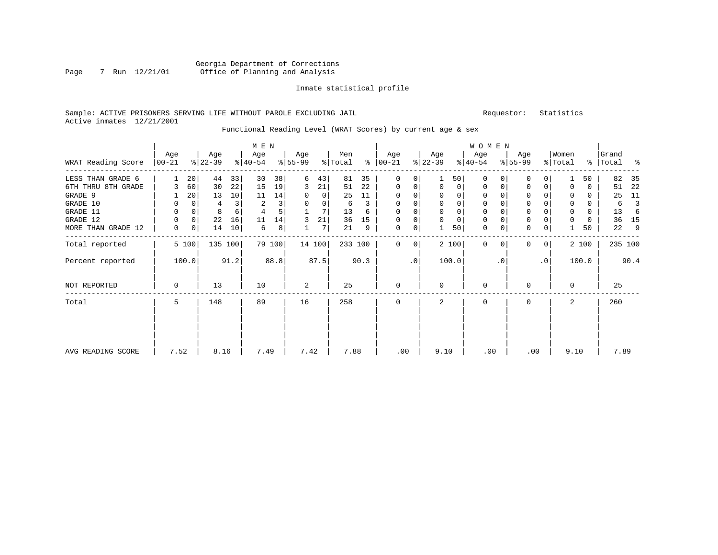# Georgia Department of Corrections Page 7 Run 12/21/01 Office of Planning and Analysis

# Inmate statistical profile

# Sample: ACTIVE PRISONERS SERVING LIFE WITHOUT PAROLE EXCLUDING JAIL Requestor: Statistics Active inmates 12/21/2001

# Functional Reading Level (WRAT Scores) by current age & sex

|                    | Age         | Age         |          | M E N<br>Age |        | Age      |        | Men     |      | Age           |             | Age         |             | <b>WOMEN</b><br>Age |             | Age         |              | Women       |          | Grand     |         |
|--------------------|-------------|-------------|----------|--------------|--------|----------|--------|---------|------|---------------|-------------|-------------|-------------|---------------------|-------------|-------------|--------------|-------------|----------|-----------|---------|
| WRAT Reading Score | $ 00-21$    | $ 22-39 $   |          | $ 40-54 $    |        | $ 55-99$ |        | % Total |      | $8   00 - 21$ |             | $ 22-39 $   |             | $ 40-54 $           |             | $8 55-99$   |              | % Total     |          | %   Total | ಿ       |
| LESS THAN GRADE 6  |             | 20          | 44<br>33 | 30           | 38     | 6        | 43     | 81      | 35   | $\mathbf 0$   | 0           |             | 50          | $\mathbf 0$         | $\Omega$    | 0           | $\Omega$     |             | 50       | 82        | 35      |
| 6TH THRU 8TH GRADE | 3           | 60          | 22<br>30 | 15           | 19     | 3        | 21     | 51      | 22   | $\mathbf 0$   | 0           | 0           | 0           | $\mathbf 0$         | 0           | 0           | 0            | $\mathbf 0$ | 0        | 51        | 22      |
| GRADE 9            |             | 20          | 13<br>10 | 11           | 14     | 0        | 0      | 25      | 11   | $\Omega$      |             | 0           | 0           | 0                   |             | 0           |              | 0           | 0        | 25        | 11      |
| GRADE 10           | 0           | $\Omega$    | 3<br>4   | 2            | 3      | 0        | 0      | 6       | 3    | 0             | $\mathbf 0$ | $\mathbf 0$ | $\mathbf 0$ | $\mathbf 0$         | $\Omega$    | $\mathbf 0$ |              | $\mathbf 0$ | $\Omega$ | 6         | 3       |
| GRADE 11           | $\mathbf 0$ | $\mathbf 0$ | 8<br>6   | 4            | 5      |          | 7      | 13      | 6    | $\Omega$      |             | $\mathbf 0$ | $\mathbf 0$ | 0                   |             | $\mathbf 0$ |              | $\mathbf 0$ | 0        | 13        | 6       |
| GRADE 12           | $\mathbf 0$ | $\mathbf 0$ | 22<br>16 | 11           | 14     | 3        | 21     | 36      | 15   | $\Omega$      | 0           | $\mathbf 0$ | $\mathbf 0$ | $\mathbf 0$         |             | 0           |              | $\mathbf 0$ | 0        | 36        | 15      |
| MORE THAN GRADE 12 | 0           | 0           | 10<br>14 | 6            | 8      |          | 7      | 21      | 9    | $\mathbf 0$   | 0           |             | 50          | $\mathbf 0$         | $\mathbf 0$ | $\mathbf 0$ | 0            |             | 50       | 22        | 9       |
| Total reported     | 5 100       |             | 135 100  |              | 79 100 |          | 14 100 | 233 100 |      | $\Omega$      | 0           |             | 2 100       | $\Omega$            | $\Omega$    | $\Omega$    | $\mathbf{0}$ |             | 2 100    |           | 235 100 |
| Percent reported   | 100.0       |             | 91.2     |              | 88.8   |          | 87.5   |         | 90.3 |               | $\cdot$ 0   |             | 100.0       |                     | $\cdot$ 0   |             | $\cdot$ 0    |             | 100.0    |           | 90.4    |
| NOT REPORTED       | 0           |             | 13       | 10           |        | 2        |        | 25      |      | $\mathbf 0$   |             | 0           |             | $\mathbf 0$         |             | $\Omega$    |              | 0           |          | 25        |         |
| Total              | 5           |             | 148      | 89           |        | 16       |        | 258     |      | 0             |             | 2           |             | $\Omega$            |             | $\Omega$    |              | 2           |          | 260       |         |
| AVG READING SCORE  | 7.52        |             | 8.16     | 7.49         |        | 7.42     |        | 7.88    |      | .00           |             | 9.10        |             | .00                 |             | .00         |              | 9.10        |          |           | 7.89    |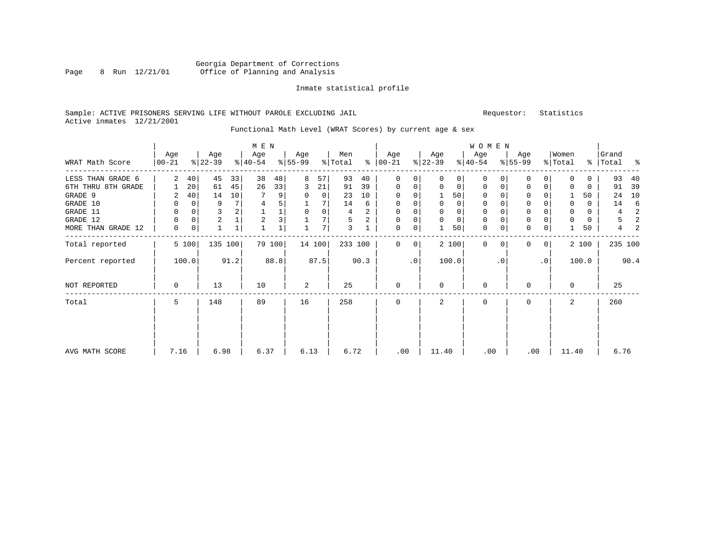# Georgia Department of Corrections Page 8 Run 12/21/01 Office of Planning and Analysis

#### Inmate statistical profile

# Sample: ACTIVE PRISONERS SERVING LIFE WITHOUT PAROLE EXCLUDING JAIL Requestor: Statistics Active inmates 12/21/2001

# Functional Math Level (WRAT Scores) by current age & sex

|                    |                  |          |                  |              | M E N            |        |                  |        |                |      |                  |     |                  |             | <b>WOMEN</b>     |             |                  |                |                  |               |                |                |
|--------------------|------------------|----------|------------------|--------------|------------------|--------|------------------|--------|----------------|------|------------------|-----|------------------|-------------|------------------|-------------|------------------|----------------|------------------|---------------|----------------|----------------|
| WRAT Math Score    | Age<br>$00 - 21$ |          | Age<br>$ 22-39 $ |              | Age<br>$ 40-54 $ |        | Age<br>$8 55-99$ |        | Men<br>% Total | ွေ   | Age<br>$00 - 21$ |     | Age<br>$ 22-39 $ |             | Age<br>$ 40-54 $ |             | Age<br>$8 55-99$ |                | Women<br>% Total | $\frac{8}{6}$ | Grand<br>Total | ႜ              |
| LESS THAN GRADE 6  | 2                | 40       | 45               | 33           | 38               | 48     | 8                | 57     | 93             | 40   | $\Omega$         | 0   | $\Omega$         | $\Omega$    | $\Omega$         | $\Omega$    | $\Omega$         | $\Omega$       | $\Omega$         | 0             | 93             | 40             |
| 6TH THRU 8TH GRADE |                  | 20       | 61               | 45           | 26               | 33     | 3                | 21     | 91             | 39   | 0                | 0   | 0                | 0           | 0                | 0           | 0                | 0              | 0                | 0             | 91             | 39             |
| GRADE 9            | 2                | 40       | 14               | 10           |                  | 9      | 0                | 0      | 23             | 10   | $\Omega$         |     |                  | 50          | 0                | $\Omega$    | $\Omega$         |                |                  | 50            | 24             | 10             |
| GRADE 10           | 0                | 0        | 9                |              | 4                | 5      |                  |        | 14             | 6    | 0                | 0   | 0                | 0           | 0                | $\Omega$    | 0                |                | $\mathbf 0$      | 0             | 14             | 6              |
| GRADE 11           | 0                | 0        | 3                |              |                  |        | 0                | 0      | 4              | 2    | 0                |     | 0                | 0           | $\mathbf 0$      |             | $\Omega$         |                | $\mathbf 0$      | 0             | 4              | 2              |
| GRADE 12           | $\Omega$         | $\Omega$ | $\overline{c}$   |              | $\overline{2}$   | 3      |                  |        | 5              | 2    | 0                |     | $\mathbf 0$      | $\mathbf 0$ | $\mathbf 0$      | $\Omega$    | 0                |                | $\Omega$         | 0             | 5              | $\overline{2}$ |
| MORE THAN GRADE 12 | 0                | 0        |                  | $\mathbf{1}$ |                  |        |                  | 7      | 3              |      | 0                | 0   |                  | 50          | $\mathbf{0}$     | $\mathbf 0$ | $\mathbf 0$      | 0              |                  | 50            | 4              | 2              |
| Total reported     |                  | 5 100    | 135 100          |              |                  | 79 100 |                  | 14 100 | 233 100        |      | $\Omega$         | 0   |                  | 2 100       | $\Omega$         | $\Omega$    | $\Omega$         | 0 <sup>1</sup> |                  | 2 100         | 235 100        |                |
| Percent reported   |                  | 100.0    |                  | 91.2         |                  | 88.8   |                  | 87.5   |                | 90.3 |                  | .0' |                  | 100.0       |                  | $\cdot$ 0   |                  | $\cdot$ 0      |                  | 100.0         |                | 90.4           |
| NOT REPORTED       | 0                |          | 13               |              | 10               |        | 2                |        | 25             |      | $\mathbf{0}$     |     | $\Omega$         |             | $\mathbf 0$      |             | 0                |                | $\Omega$         |               | 25             |                |
| Total              | 5                |          | 148              |              | 89               |        | 16               |        | 258            |      | 0                |     | 2                |             | 0                |             | $\Omega$         |                | 2                |               | 260            |                |
| AVG MATH SCORE     | 7.16             |          | 6.98             |              | 6.37             |        | 6.13             |        | 6.72           |      | .00              |     | 11.40            |             | .00              |             | .00              |                | 11.40            |               | 6.76           |                |
|                    |                  |          |                  |              |                  |        |                  |        |                |      |                  |     |                  |             |                  |             |                  |                |                  |               |                |                |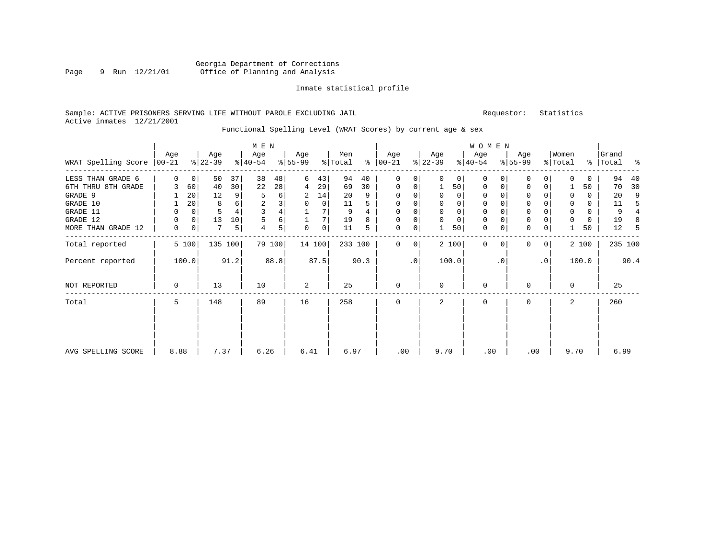# Georgia Department of Corrections Page 9 Run 12/21/01 Office of Planning and Analysis

## Inmate statistical profile

## Sample: ACTIVE PRISONERS SERVING LIFE WITHOUT PAROLE EXCLUDING JAIL Requestor: Statistics Active inmates 12/21/2001

# Functional Spelling Level (WRAT Scores) by current age & sex

|                               | Age      |             | Age       |      | M E N<br>Age   |        | Age       |        | Men     |      | Age         |    | Age       |             | <b>WOMEN</b><br>Age |           | Age       |              | Women       |          | Grand     |         |
|-------------------------------|----------|-------------|-----------|------|----------------|--------|-----------|--------|---------|------|-------------|----|-----------|-------------|---------------------|-----------|-----------|--------------|-------------|----------|-----------|---------|
| WRAT Spelling Score $ 00-21 $ |          |             | $ 22-39 $ |      | $ 40-54 $      |        | $ 55-99 $ |        | % Total | ႜ    | $ 00-21$    |    | $ 22-39 $ |             | $ 40-54 $           |           | $8 55-99$ |              | % Total     |          | %   Total | ಿ       |
| LESS THAN GRADE 6             | $\Omega$ | $\mathbf 0$ | 50        | 37   | 38             | 48     | 6         | 43     | 94      | 40   | $\Omega$    | 0  | $\Omega$  | 0           | $\mathbf{0}$        | $\Omega$  | 0         | $\Omega$     | $\Omega$    | 0        | 94        | 40      |
| 6TH THRU 8TH GRADE            | 3        | 60          | 40        | 30   | 22             | 28     | 4         | 29     | 69      | 30   | $\mathbf 0$ | 0  | 1         | 50          | $\mathbf{0}$        | 0         | 0         | 0            |             | 50       | 70        | 30      |
| GRADE 9                       |          | 20          | 12        | 9    | 5              | 6      | 2         | 14     | 20      | 9    | $\Omega$    |    | 0         | $\Omega$    | 0                   |           | 0         |              | $\mathbf 0$ | 0        | 20        | 9       |
| GRADE 10                      |          | 20          | 8         | 6    | $\overline{c}$ | 3      | 0         | 0      | 11      | 5    | 0           | 0  | 0         | 0           | $\mathbf 0$         |           | 0         |              | $\mathbf 0$ | 0        | 11        |         |
| GRADE 11                      | 0        | 0           | 5         |      | 3              | 4      |           |        | 9       |      | $\Omega$    |    | 0         | 0           | 0                   |           | 0         |              | 0           | $\Omega$ | 9         |         |
| GRADE 12                      | 0        | 0           | 13        | 10   | 5              | 6      |           |        | 19      | 8    | $\Omega$    | 0  | 0         | $\mathbf 0$ | 0                   |           | 0         |              | $\mathbf 0$ | 0        | 19        | 8       |
| MORE THAN GRADE 12            | 0        | 0           | 7         | 5    | 4              | 5      | 0         | 0      | 11      | 5    | 0           | 0  |           | 50          | $\mathbf 0$         | 0         | 0         | 0            |             | 50       | 12        | .5      |
| Total reported                |          | 5 100       | 135 100   |      |                | 79 100 |           | 14 100 | 233 100 |      | $\Omega$    | 0  |           | 2 100       | $\mathbf{0}$        | 0         | $\Omega$  | $\mathbf{0}$ |             | 2 100    |           | 235 100 |
| Percent reported              |          | 100.0       |           | 91.2 |                | 88.8   |           | 87.5   |         | 90.3 |             | .0 |           | 100.0       |                     | $\cdot$ 0 |           | $\cdot$ 0    |             | 100.0    |           | 90.4    |
| NOT REPORTED                  | 0        |             | 13        |      | 10             |        | 2         |        | 25      |      | $\mathbf 0$ |    | $\Omega$  |             | $\Omega$            |           | $\Omega$  |              | $\Omega$    |          | 25        |         |
| Total                         | 5        |             | 148       |      | 89             |        | 16        |        | 258     |      | $\mathbf 0$ |    | 2         |             | $\Omega$            |           | $\Omega$  |              | 2           |          | 260       |         |
|                               |          |             |           |      |                |        |           |        |         |      |             |    |           |             |                     |           |           |              |             |          |           |         |
| AVG SPELLING SCORE            | 8.88     |             | 7.37      |      | 6.26           |        | 6.41      |        | 6.97    |      | .00         |    | 9.70      |             | .00                 |           | .00       |              | 9.70        |          | 6.99      |         |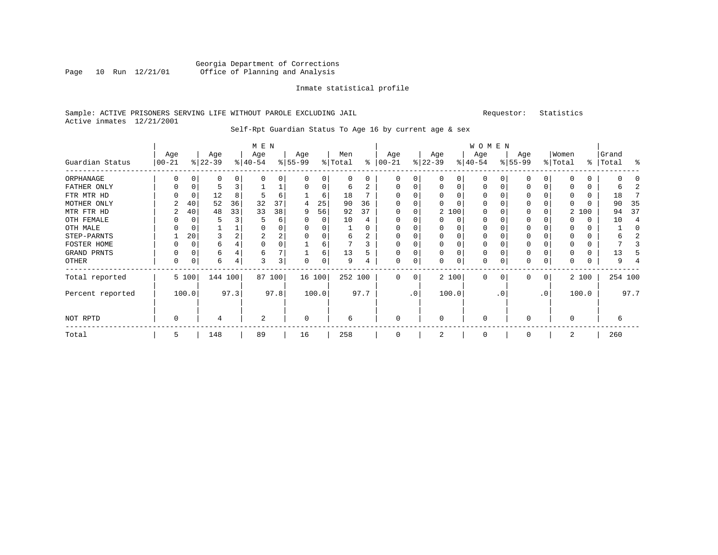# Georgia Department of Corrections Page 10 Run 12/21/01 Office of Planning and Analysis

## Inmate statistical profile

# Sample: ACTIVE PRISONERS SERVING LIFE WITHOUT PAROLE EXCLUDING JAIL Requestor: Statistics Active inmates 12/21/2001

# Self-Rpt Guardian Status To Age 16 by current age & sex

|                  |                   |       |                  |         | M E N            |                         |                 |        |                |      |                 |                 |                  |          | <b>WOMEN</b>     |           |                  |                |                  |       |                    |         |
|------------------|-------------------|-------|------------------|---------|------------------|-------------------------|-----------------|--------|----------------|------|-----------------|-----------------|------------------|----------|------------------|-----------|------------------|----------------|------------------|-------|--------------------|---------|
| Guardian Status  | Age<br>$ 00 - 21$ |       | Age<br>$ 22-39 $ |         | Age<br>$ 40-54 $ |                         | Age<br>$ 55-99$ |        | Men<br>% Total | ⊱    | Age<br>$ 00-21$ |                 | Age<br>$ 22-39 $ |          | Age<br>$ 40-54 $ |           | Age<br>$8 55-99$ |                | Women<br>% Total |       | Grand<br>%   Total | ್ಠಿ     |
| ORPHANAGE        |                   |       |                  |         |                  |                         |                 |        |                |      | O               |                 |                  |          | $\Omega$         |           | U                | 0              |                  |       |                    |         |
| FATHER ONLY      |                   |       | $\mathbf{h}$     |         |                  |                         |                 |        | 6              |      |                 |                 | $\Omega$         |          | 0                |           | 0                |                |                  |       |                    |         |
| FTR MTR HD       |                   |       | 12               |         |                  | 6                       |                 | 6      | 18             |      |                 |                 |                  |          |                  |           | 0                |                |                  |       | 18                 |         |
| MOTHER ONLY      |                   | 40    | 52               | 36      | 32               | 37                      | 4               | 25     | 90             | 36   |                 |                 |                  |          | $\Omega$         |           | 0                |                |                  |       | 90                 | 35      |
| MTR FTR HD       |                   | 40    | 48               | 33      | 33               | 38                      | 9               | 56     | 92             | 37   | $\Omega$        |                 |                  | 2 100    | 0                |           | U                |                | 2                | 100   | 94                 | 37      |
| OTH FEMALE       |                   |       |                  |         |                  | 6                       |                 | 0      | 10             | 4    | $\Omega$        |                 | O                | 0        | 0                |           | 0                |                | 0                | 0     | 10                 |         |
| OTH MALE         |                   |       |                  |         |                  |                         |                 |        |                |      | $\Omega$        |                 |                  |          | 0                |           |                  |                |                  | 0     |                    |         |
| STEP-PARNTS      |                   | 20    |                  |         | 2                | 2                       |                 |        | 6              |      | $\Omega$        |                 |                  |          | U                |           | 0                |                | $\Omega$         | 0     |                    |         |
| FOSTER HOME      |                   |       | 6                |         |                  | 0                       |                 |        |                |      | 0               |                 |                  |          | 0                |           | 0                |                |                  | 0     |                    |         |
| GRAND PRNTS      |                   |       | 6                |         | 6                | 7                       |                 | 6      | 13             |      |                 |                 | $\Omega$         | $\Omega$ | $\Omega$         |           | 0                |                |                  | U     | 13                 |         |
| OTHER            | 0                 |       | 6                |         |                  | $\overline{\mathbf{3}}$ |                 |        | 9              |      | $\Omega$        | 0               | U                | 0        | $\Omega$         |           | $\Omega$         |                | $\Omega$         |       |                    |         |
| Total reported   |                   | 5 100 |                  | 144 100 |                  | 87 100                  |                 | 16 100 | 252 100        |      | $\Omega$        | 0               |                  | 2 100    | 0                | 0         | 0                | $\overline{0}$ |                  | 2 100 |                    | 254 100 |
| Percent reported | 97.3<br>100.0     |       |                  |         |                  | 97.8                    |                 | 100.0  |                | 97.7 |                 | .0 <sup>1</sup> |                  | 100.0    |                  | $\cdot$ 0 |                  | $\cdot$ 0      |                  | 100.0 |                    | 97.7    |
| NOT RPTD         | 0                 |       |                  |         | 2                |                         | $\mathbf 0$     |        | 6              |      | $\Omega$        |                 | $\Omega$         |          | $\mathbf 0$      |           | 0                |                | $\mathbf 0$      |       |                    |         |
| Total            | 5                 |       | 148              |         | 89               |                         | 16              |        | 258            |      | 0               |                 |                  |          | 0                |           | 0                |                | 2                |       | 260                |         |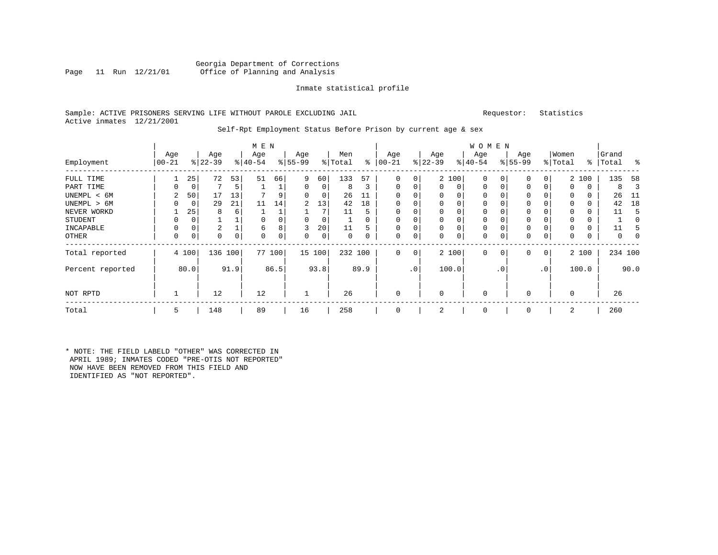# Georgia Department of Corrections<br>Page 11 Run 12/21/01 Office of Planning and Analysis Office of Planning and Analysis

## Inmate statistical profile

# Sample: ACTIVE PRISONERS SERVING LIFE WITHOUT PAROLE EXCLUDING JAIL Requestor: Statistics Active inmates 12/21/2001

#### Self-Rpt Employment Status Before Prison by current age & sex

| Employment       | Age<br>$ 00 - 21$ |          | Age<br>$ 22-39 $ |      | M E N<br>Age<br>$ 40-54$ |      | Age<br>$ 55-99$ |        | Men<br>% Total | ∻    | Age<br>$ 00-21$ |              | Age<br>$ 22-39 $ |       | <b>WOMEN</b><br>Age<br>$ 40-54 $ |                | Age<br>$8 55-99$ |           | Women<br>% Total |       | Grand<br>%   Total | ႜ    |
|------------------|-------------------|----------|------------------|------|--------------------------|------|-----------------|--------|----------------|------|-----------------|--------------|------------------|-------|----------------------------------|----------------|------------------|-----------|------------------|-------|--------------------|------|
| FULL TIME        |                   | 25       | 72               | 53   | 51                       | 66   | 9               | 60     | 133            | 57   | $\Omega$        | 0            |                  | 2 100 | 0                                |                | 0                | 0         |                  | 2 100 | 135                | 58   |
| PART TIME        |                   | 0        |                  | 5    |                          |      | 0               | 0      | 8              | 3    | $\Omega$        |              | $\Omega$         | 0     | 0                                | 0              | 0                | 0         | 0                | 0     | 8                  | 3    |
| UNEMPL < 6M      | 2                 | 50       | 17               | 13   |                          |      | 0               | 0      | 26             | 11   | $\Omega$        |              | $\Omega$         | 0     |                                  |                |                  |           | 0                | 0     | 26                 | -11  |
| UNEMPL > 6M      |                   | 0        | 29               | 21   | 11                       | 14   | $\overline{2}$  | 13     | 42             | 18   |                 |              | $\Omega$         | O     | $\Omega$                         |                |                  |           | $\Omega$         |       | 42                 | 18   |
| NEVER WORKD      |                   | 25       | 8                | 6    |                          |      |                 | 7      | 11             | 5    | $\Omega$        |              | $\Omega$         | 0     |                                  |                |                  |           | $\Omega$         | 0     | 11                 | 5    |
| <b>STUDENT</b>   | 0                 | $\Omega$ |                  |      | $\Omega$                 |      | $\Omega$        | 0      |                |      | $\Omega$        |              | $\Omega$         | 0     | $\mathbf 0$                      |                |                  |           | $\Omega$         | 0     |                    |      |
| INCAPABLE        | 0                 | 0        | 2                |      | 6                        |      | 3               | 20     | 11             |      | $\Omega$        |              | 0                | 0     | $\Omega$                         |                | 0                |           | $\Omega$         | 0     | 11                 |      |
| OTHER            | $\Omega$          | 0        | 0                | 0    | $\Omega$                 | 0    | 0               | 0      | $\Omega$       |      | $\Omega$        |              | 0                | 0     | $\mathbf 0$                      | 0              | 0                | 0         | $\mathbf 0$      | 0     | $\Omega$           |      |
| Total reported   |                   | 4 100    | 136 100          |      | 77                       | 100  |                 | 15 100 | 232 100        |      | $\Omega$        | $\mathbf{0}$ |                  | 2 100 | $\mathbf 0$                      | 0 <sup>1</sup> | 0                | 0         |                  | 2 100 | 234 100            |      |
| Percent reported |                   | 80.0     |                  | 91.9 |                          | 86.5 |                 | 93.8   |                | 89.9 |                 | $\cdot$ 0    |                  | 100.0 |                                  | $\cdot$ 0      |                  | $\cdot$ 0 |                  | 100.0 |                    | 90.0 |
| NOT RPTD         |                   |          | 12               |      | 12                       |      |                 |        | 26             |      | $\Omega$        |              | $\Omega$         |       | $\Omega$                         |                |                  |           | $\Omega$         |       | 26                 |      |
| Total            | 5                 |          | 148              |      | 89                       |      | 16              |        | 258            |      | $\Omega$        |              | 2                |       | $\Omega$                         |                | 0                |           | 2                |       | 260                |      |

\* NOTE: THE FIELD LABELD "OTHER" WAS CORRECTED IN APRIL 1989; INMATES CODED "PRE-OTIS NOT REPORTED" NOW HAVE BEEN REMOVED FROM THIS FIELD AND IDENTIFIED AS "NOT REPORTED".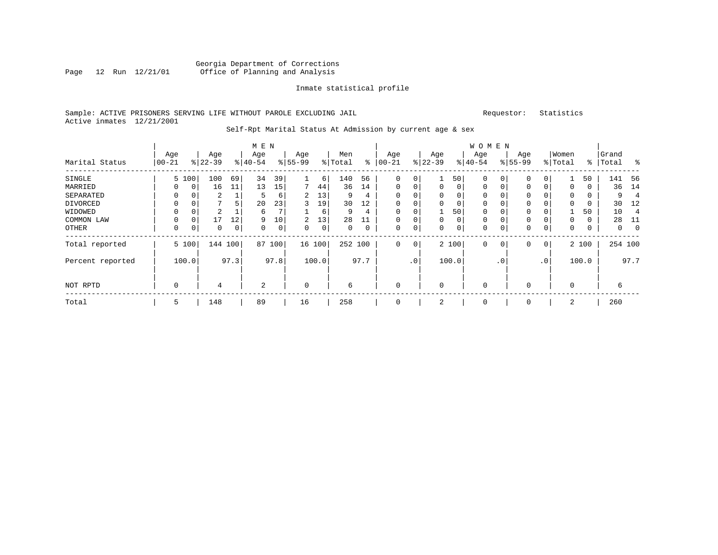# Georgia Department of Corrections Page 12 Run 12/21/01 Office of Planning and Analysis

## Inmate statistical profile

# Sample: ACTIVE PRISONERS SERVING LIFE WITHOUT PAROLE EXCLUDING JAIL Requestor: Statistics Active inmates 12/21/2001

#### Self-Rpt Marital Status At Admission by current age & sex

|                  |                  |              |           |     | M E N          |      |           |       |          |      |              |     |          |             | <b>WOMEN</b> |             |             |                |          |       |           |                          |
|------------------|------------------|--------------|-----------|-----|----------------|------|-----------|-------|----------|------|--------------|-----|----------|-------------|--------------|-------------|-------------|----------------|----------|-------|-----------|--------------------------|
|                  | Age              |              | Age       |     | Age            |      | Age       |       | Men      |      | Age          |     | Age      |             | Age          |             | Age         |                | Women    |       | Grand     |                          |
| Marital Status   | $00 - 21$        |              | $8 22-39$ |     | $8 40-54$      |      | $8 55-99$ |       | % Total  | နွ   | $ 00-21$     |     | $ 22-39$ |             | $8 40-54$    |             | $8155 - 99$ |                | % Total  |       | %   Total | ႜ                        |
| SINGLE           |                  | 5 100        | 100       | 69  | 34             | 39   |           | 6     | 140      | 56   | 0            | 0   |          | 50          | 0            |             | $\Omega$    |                |          | 50    | 141       | -56                      |
| MARRIED          | 0                | 0            | 16        | 11  | 13             | 15   |           | 44    | 36       | 14   | $\mathbf{0}$ | 0   | 0        | 0           | 0            | 0           | 0           | $\Omega$       | 0        | 0     | 36        | 14                       |
| SEPARATED        | 0                | 0            | 2         |     | 5              | 6    | 2         | 13    | 9        | 4    | 0            | 0   | 0        | 0           | 0            | $\Omega$    | $\Omega$    |                | 0        |       | 9         | $\overline{\mathcal{L}}$ |
| DIVORCED         | 0                | 0            | 7         | 5   | 20             | 23   | ς         | 19    | 30       | 12   | 0            | 0   | $\Omega$ | 0           | 0            |             | $\Omega$    |                | $\Omega$ |       | 30        | -12                      |
| WIDOWED          | 0                | 0            | 2         |     | 6              | 7    |           | 6     | 9        | 4    | $\mathbf 0$  | 0   |          | 50          | $\Omega$     | $\Omega$    | $\Omega$    |                |          | 50    | 10        | 4                        |
| COMMON LAW       | 0                | $\mathsf{C}$ | 17        | 12  | 9              | 10   | 2.        | 13    | 28       |      | $\mathbf{0}$ | 0   | $\Omega$ | $\mathbf 0$ | $\mathbf 0$  |             | $\Omega$    |                |          | 0     | 28        | -11                      |
| OTHER            | 0                | 0            | 0         | 0   | 0              | 0    | $\Omega$  | 0     | $\Omega$ | 0    | $\mathbf 0$  | 0   | $\Omega$ | 0           | 0            | $\Omega$    | $\Omega$    | 0              | 0        | 0     | 0         | $\overline{0}$           |
| Total reported   |                  | 5 100        | 144       | 100 | 87             | 100  | 16 100    |       | 252 100  |      | 0            | 0   |          | 2 100       | $\mathbf 0$  | $\mathbf 0$ | $\Omega$    | $\overline{0}$ |          | 2 100 |           | 254 100                  |
| Percent reported | 97.3<br>100.0    |              |           |     |                | 97.8 |           | 100.0 |          | 97.7 |              | .0' |          | 100.0       |              | . 0         |             | .0'            |          | 100.0 |           | 97.7                     |
| NOT RPTD         | $\mathbf 0$<br>4 |              |           |     | $\overline{2}$ |      | $\Omega$  |       | 6        |      | $\mathbf 0$  |     | $\Omega$ |             | $\mathbf 0$  |             |             |                | $\Omega$ |       | 6         |                          |
| Total            | 5                |              | 148       |     | 89             |      | 16        |       | 258      |      | $\mathbf 0$  |     | 2        |             | $\mathbf 0$  |             | $\Omega$    |                | 2        |       | 260       |                          |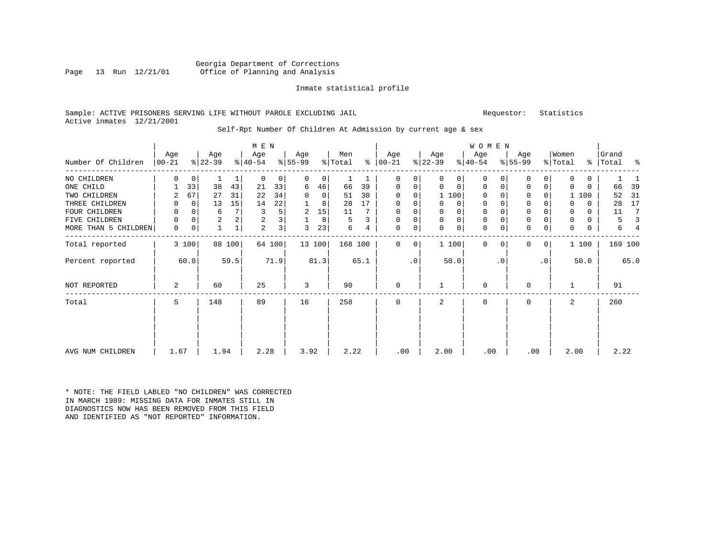## Georgia Department of Corrections<br>Page 13 Run 12/21/01 Office of Planning and Analysis Office of Planning and Analysis

#### Inmate statistical profile

### Sample: ACTIVE PRISONERS SERVING LIFE WITHOUT PAROLE EXCLUDING JAIL Requestor: Statistics Active inmates 12/21/2001

#### Self-Rpt Number Of Children At Admission by current age & sex

|                      |          | M E N |                |        |             |                         |          |         |         |      |               |           |             |             | <b>WOMEN</b> |           |              |                 |             |       |           |         |
|----------------------|----------|-------|----------------|--------|-------------|-------------------------|----------|---------|---------|------|---------------|-----------|-------------|-------------|--------------|-----------|--------------|-----------------|-------------|-------|-----------|---------|
|                      | Age      |       | Age            |        | Age         |                         | Age      |         | Men     |      | Age           |           | Age         |             | Age          |           | Age          |                 | Women       |       | Grand     |         |
| Number Of Children   | $ 00-21$ |       | $ 22-39 $      |        | $ 40-54 $   |                         | $ 55-99$ |         | % Total |      | $8   00 - 21$ |           | $ 22-39 $   |             | $ 40-54 $    |           | $ 55-99 $    |                 | % Total     |       | %   Total | ႜ       |
| NO CHILDREN          | 0        | 0     |                | 1      | $\mathbf 0$ | $\overline{0}$          | 0        | $\circ$ |         |      | 0             | 0         | $\Omega$    | 0           | $\mathbf 0$  |           | 0            | $\overline{0}$  | 0           | 0     |           |         |
| ONE CHILD            |          | 33    | 38             | 43     | 21          | 33                      | 6        | 46      | 66      | 39   | 0             | 0         | $\Omega$    | $\mathbf 0$ | 0            | 0         | $\mathbf 0$  | 0               | $\Omega$    | 0     | 66        | 39      |
| TWO CHILDREN         | 2        | 67    | 27             | 31     | 22          | 34                      | $\Omega$ | 0       | 51      | 30   | $\Omega$      | $\Omega$  |             | 1 100       | $\Omega$     |           | $\mathbf 0$  |                 |             | 100   | 52        | 31      |
| THREE CHILDREN       | 0        | 0     | 13             | 15     | 14          | 22                      |          | 8       | 28      | 17   | 0             | 0         |             | $\Omega$    | $\mathbf 0$  |           | $\mathbf{0}$ |                 | 0           | 0     | 28        | 17      |
| FOUR CHILDREN        | 0        | 0     | 6              | 7      | 3           | 5                       | 2        | 15      | 11      |      | $\mathbf 0$   | $\Omega$  |             | $\Omega$    | $\mathbf 0$  |           | $\mathbf{0}$ |                 | 0           | 0     | 11        | 7       |
| CHILDREN<br>FIVE     | 0        | 0     | $\overline{2}$ | 2      | 2           | $\overline{\mathsf{3}}$ |          | 8       | 5       | 3    | $\mathbf 0$   | 0         | $\mathbf 0$ | $\mathbf 0$ | 0            |           | $\mathbf{0}$ |                 | $\mathbf 0$ | 0     | 5         | 3       |
| MORE THAN 5 CHILDREN | 0        | 0     |                |        | 2           | 3                       | 3        | 23      | 6       | 4    | $\mathbf 0$   | 0         | $\Omega$    | $\mathbf 0$ | $\mathbf 0$  | 0         | $\mathbf 0$  | 0               | 0           | 0     | б         |         |
| Total reported       |          | 3 100 |                | 88 100 |             | 64 100                  |          | 13 100  | 168 100 |      | $\Omega$      | 0         |             | 1 100       | $\mathbf 0$  | $\Omega$  | $\Omega$     | 0 <sup>1</sup>  |             | 1 100 |           | 169 100 |
| Percent reported     |          | 60.0  |                | 59.5   |             | 71.9                    |          | 81.3    |         | 65.1 |               | $\cdot$ 0 |             | 50.0        |              | $\cdot$ 0 |              | .0 <sup>1</sup> |             | 50.0  |           | 65.0    |
| NOT REPORTED         | 2        |       | 60             |        | 25          |                         | 3        |         | 90      |      | 0             |           |             |             | $\mathbf 0$  |           | $\Omega$     |                 |             |       | 91        |         |
| Total                | 5        |       | 148            |        | 89          |                         | 16       |         | 258     |      | $\Omega$      |           | 2           |             | $\mathbf 0$  |           | $\Omega$     |                 | 2           |       | 260       |         |
|                      |          |       |                |        |             |                         |          |         |         |      |               |           |             |             |              |           |              |                 |             |       |           |         |
| AVG NUM CHILDREN     | 1.67     |       | 1.94           |        | 2.28        |                         | 3.92     |         | 2.22    |      | .00           |           | 2.00        |             | .00          |           | .00          |                 | 2.00        |       | 2.22      |         |

\* NOTE: THE FIELD LABLED "NO CHILDREN" WAS CORRECTED IN MARCH 1989: MISSING DATA FOR INMATES STILL IN DIAGNOSTICS NOW HAS BEEN REMOVED FROM THIS FIELD AND IDENTIFIED AS "NOT REPORTED" INFORMATION.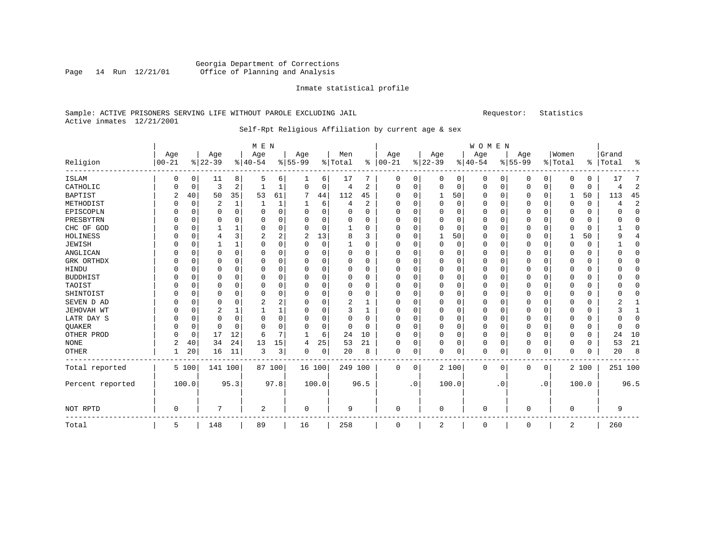# Georgia Department of Corrections Page 14 Run 12/21/01 Office of Planning and Analysis

#### Inmate statistical profile

# Sample: ACTIVE PRISONERS SERVING LIFE WITHOUT PAROLE EXCLUDING JAIL Requestor: Statistics Active inmates 12/21/2001

# Self-Rpt Religious Affiliation by current age & sex

|                  |                |             |                |              | M E N          |             |              |             |          |                |            |             |             |          | WOMEN    |           |           |           |             |          |          |                |
|------------------|----------------|-------------|----------------|--------------|----------------|-------------|--------------|-------------|----------|----------------|------------|-------------|-------------|----------|----------|-----------|-----------|-----------|-------------|----------|----------|----------------|
|                  | Age            |             | Age            |              | Age            |             | Age          |             | Men      |                | Age        |             | Age         |          | Age      |           | Age       |           | Women       |          | Grand    |                |
| Religion         | $ 00 - 21$     |             | $ 22-39$       |              | $ 40-54$       |             | $8 55-99$    |             | % Total  | ွေ             | $ 00 - 21$ |             | $ 22-39$    |          | $ 40-54$ |           | $8 55-99$ |           | % Total     | ៖        | Total    | ႜ              |
| <b>ISLAM</b>     | 0              | 0           | 11             | 8            | 5              | 6           |              | 6           | 17       |                | 0          | 0           | 0           | 0        | 0        | 0         | 0         | 0         | $\Omega$    | $\Omega$ | 17       | 7              |
| CATHOLIC         | 0              | 0           | 3              | 2            | -1             | 1           | $\Omega$     | 0           | 4        | 2              | $\Omega$   | 0           | 0           | 0        | $\Omega$ | 0         | 0         | 0         | $\Omega$    | $\Omega$ | 4        | $\sqrt{2}$     |
| <b>BAPTIST</b>   | $\overline{2}$ | 40          | 50             | 35           | 53             | 61          | 7            | 44          | 112      | 45             | $\Omega$   | $\Omega$    | 1           | 50       | $\Omega$ | 0         | 0         | 0         | 1           | 50       | 113      | 45             |
| METHODIST        | 0              | $\mathbf 0$ | $\overline{2}$ | $\mathbf{1}$ | 1              | 1           | $\mathbf{1}$ | 6           | 4        | $\overline{2}$ | $\Omega$   | $\Omega$    | $\mathbf 0$ | $\Omega$ | $\Omega$ | $\Omega$  | 0         | $\Omega$  | $\Omega$    | $\Omega$ | 4        | $\overline{2}$ |
| EPISCOPLN        |                | $\mathbf 0$ | $\Omega$       | $\Omega$     | $\mathbf 0$    | $\mathbf 0$ | 0            | $\mathbf 0$ | 0        | 0              | $\Omega$   | $\cap$      | 0           | $\Omega$ | $\Omega$ | $\Omega$  | 0         | $\Omega$  | $\Omega$    | 0        | O        | $\mathbf 0$    |
| PRESBYTRN        |                | $\mathbf 0$ | O              | $\Omega$     | 0              | 0           | O            | $\mathbf 0$ | $\Omega$ | $\Omega$       | $\Omega$   | $\Omega$    | $\Omega$    | $\Omega$ | $\Omega$ | $\Omega$  | 0         | $\Omega$  | $\Omega$    | $\Omega$ | O        | $\Omega$       |
| CHC OF GOD       | O              | $\mathbf 0$ |                | 1            | $\Omega$       | 0           | O            | 0           |          | 0              | $\Omega$   | O           | $\Omega$    | $\Omega$ | $\Omega$ | $\Omega$  | $\Omega$  | $\Omega$  | $\Omega$    | $\Omega$ |          | $\Omega$       |
| HOLINESS         |                | 0           | 4              | 3            | 2              | 2           | 2            | 13          | 8        | 3              | O          |             |             | 50       | $\Omega$ | $\Omega$  | 0         | $\Omega$  |             | 50       | 9        | 4              |
| <b>JEWISH</b>    | N              | $\mathbf 0$ |                | $\mathbf{1}$ | $\Omega$       | 0           | O            | 0           |          | 0              | O          |             | $\Omega$    | $\Omega$ | $\Omega$ | 0         | 0         | $\Omega$  | $\Omega$    | 0        |          | 0              |
| ANGLICAN         | N              | $\mathbf 0$ | $\Omega$       | $\Omega$     | $\Omega$       | 0           | O            | 0           | 0        | $\Omega$       | $\Omega$   | $\Omega$    | $\Omega$    | $\Omega$ | $\Omega$ | $\Omega$  | 0         | $\Omega$  | $\Omega$    | $\Omega$ |          | $\Omega$       |
| GRK ORTHDX       |                | 0           | 0              | $\Omega$     | 0              | 0           | O            | 0           | 0        | 0              | $\Omega$   | $\Omega$    | O           | 0        | $\Omega$ | $\Omega$  | 0         | $\Omega$  | $\Omega$    | $\Omega$ |          | $\Omega$       |
| HINDU            |                | $\mathbf 0$ | 0              | $\Omega$     | $\Omega$       | 0           | O            | 0           | 0        | $\Omega$       | $\Omega$   | $\Omega$    | $\Omega$    | 0        | $\Omega$ | $\Omega$  | 0         | $\Omega$  | $\Omega$    | $\Omega$ |          | $\Omega$       |
| <b>BUDDHIST</b>  |                | $\mathbf 0$ | 0              | $\Omega$     | 0              | 0           | 0            | $\mathbf 0$ | 0        | 0              | O          |             | $\Omega$    | $\Omega$ | 0        | $\Omega$  | 0         | $\Omega$  | $\Omega$    | 0        |          | $\Omega$       |
| TAOIST           |                | $\Omega$    | O              | $\Omega$     | $\Omega$       | 0           | 0            | $\Omega$    | 0        | $\Omega$       | $\Omega$   | $\Omega$    | $\Omega$    | $\Omega$ | $\Omega$ | $\Omega$  | 0         | $\Omega$  | $\Omega$    | $\Omega$ |          | $\Omega$       |
| SHINTOIST        | O              | $\Omega$    | $\Omega$       | $\Omega$     | $\Omega$       | 0           | O            | $\Omega$    | $\Omega$ | $\Omega$       | $\Omega$   | $\Omega$    | $\Omega$    | $\Omega$ | $\Omega$ | $\Omega$  | $\Omega$  | $\Omega$  | $\Omega$    | $\Omega$ |          | $\Omega$       |
| SEVEN D AD       | O              | $\mathbf 0$ | $\Omega$       | $\Omega$     | 2              | 2           | O            | 0           | 2        | 1              | O          |             | O           | $\Omega$ | $\Omega$ | $\Omega$  | 0         | $\Omega$  | $\Omega$    | $\Omega$ |          |                |
| JEHOVAH WT       | 0              | 0           | 2              | 1            |                | 1           | O            | 0           | 3        | 1              | $\Omega$   |             | $\Omega$    | $\Omega$ | $\Omega$ | $\Omega$  | 0         | $\Omega$  | $\Omega$    | 0        |          | 1              |
| LATR DAY S       | 0              | $\mathbf 0$ | $\Omega$       | 0            | $\mathbf 0$    | 0           | $\Omega$     | 0           | 0        | $\Omega$       | $\Omega$   | $\Omega$    | 0           | 0        | $\Omega$ | $\Omega$  | 0         | $\Omega$  | $\Omega$    | $\Omega$ | U        | $\Omega$       |
| QUAKER           | 0              | 0           | 0              | $\Omega$     | $\Omega$       | 0           | 0            | $\mathbf 0$ | 0        | $\Omega$       | $\Omega$   | $\Omega$    | 0           | $\Omega$ | $\Omega$ | $\Omega$  | 0         | $\Omega$  | $\Omega$    | $\Omega$ | $\Omega$ | $\Omega$       |
| OTHER PROD       |                | $\mathbf 0$ | 17             | 12           | 6              |             | $\mathbf{1}$ | 6           | 24       | 10             | $\Omega$   | 0           | $\mathbf 0$ | $\Omega$ | $\Omega$ | $\Omega$  | 0         | 0         | $\Omega$    | 0        | 24       | 10             |
| <b>NONE</b>      | 2              | 40          | 34             | 24           | 13             | 15          | 4            | 25          | 53       | 21             | O          | $\Omega$    | $\Omega$    | 0        | $\Omega$ | 0         | 0         | 0         | $\Omega$    | 0        | 53       | 21             |
| <b>OTHER</b>     |                | 20          | 16             | 11           | 3              | 3           | 0            | $\mathsf 0$ | 20       | 8              | 0          | $\mathbf 0$ | $\Omega$    | 0        | 0        | 0         | $\Omega$  | 0         | $\Omega$    | $\Omega$ | 20       | 8              |
| Total reported   |                | 5 100       | 141 100        |              |                | 87 100      | 16 100       |             | 249 100  |                | $\Omega$   | 0           |             | 2 100    | 0        | 0         | 0         | 0         |             | 2 100    | 251 100  |                |
| Percent reported |                | 100.0       |                | 95.3         |                | 97.8        | 100.0        |             |          | 96.5           |            | $\cdot$ 0   |             | 100.0    |          | $\cdot$ 0 |           | $\cdot$ 0 |             | 100.0    |          | 96.5           |
| NOT RPTD         | 0              |             | 7              |              | $\overline{2}$ |             | 0            |             | 9        |                | 0          |             | $\Omega$    |          | 0        |           | 0         |           | $\mathbf 0$ |          | 9        |                |
| Total            | 5              |             | 148            |              | 89             |             | 16           |             | 258      |                | $\Omega$   |             | 2           |          | $\Omega$ |           | 0         |           | 2           |          | 260      |                |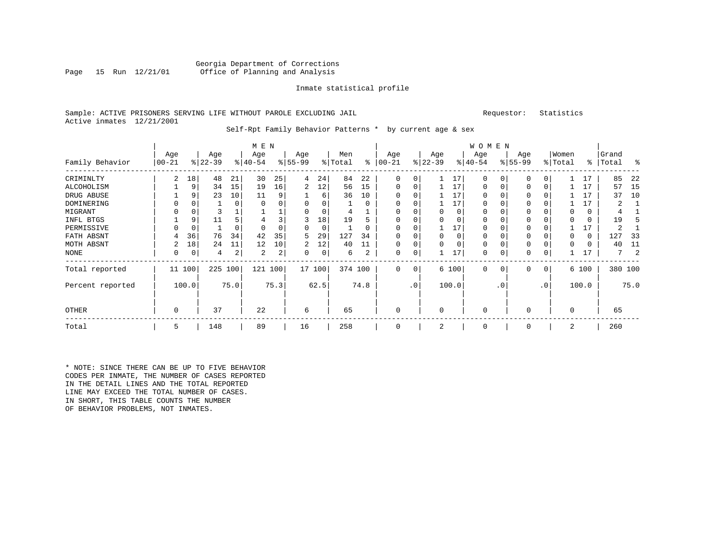## Georgia Department of Corrections<br>Page 15 Run 12/21/01 Office of Planning and Analysis Office of Planning and Analysis

#### Inmate statistical profile

# Sample: ACTIVE PRISONERS SERVING LIFE WITHOUT PAROLE EXCLUDING JAIL Requestor: Statistics Active inmates 12/21/2001

#### Self-Rpt Family Behavior Patterns \* by current age & sex

|                  |             | M E N       |           |          |           |      |           |          |         |      |             |     |           |          | <b>WOMEN</b> |          |              |                |          |       |                |      |
|------------------|-------------|-------------|-----------|----------|-----------|------|-----------|----------|---------|------|-------------|-----|-----------|----------|--------------|----------|--------------|----------------|----------|-------|----------------|------|
|                  | Age         |             | Age       |          | Age       |      | Age       |          | Men     |      | Age         |     | Age       |          | Age          |          | Age          |                | Women    |       | Grand          |      |
| Family Behavior  | $00 - 21$   |             | $ 22-39 $ |          | $ 40-54 $ |      | $8 55-99$ |          | % Total | ႜ    | $00 - 21$   |     | $ 22-39 $ |          | $ 40-54 $    |          | $ 55-99$     |                | % Total  |       | %   Total      | ႜ    |
| CRIMINLTY        | 2           | 18          | 48        | 21       | 30        | 25   | 4         | 24       | 84      | 22   | $\Omega$    | 0   |           | 17       | $\Omega$     | $\Omega$ | $\Omega$     | 0              |          | 17    | 85             | 22   |
| ALCOHOLISM       |             | 9           | 34        | 15       | 19        | 16   | 2         | 12       | 56      | 15   | 0           | 0   |           | 17       | $\Omega$     | $\Omega$ | $\Omega$     | $\Omega$       |          | 17    | 57             | 15   |
| DRUG ABUSE       |             | 9           | 23        | 10       | 11        | 9    |           | 6        | 36      | 10   | $\Omega$    |     |           | 17       | 0            |          | 0            |                |          | 17    | 37             | 10   |
| DOMINERING       |             |             |           | $\Omega$ | 0         | 0    |           | $\Omega$ |         | 0    | 0           |     |           | 17       | 0            |          | <sup>0</sup> |                |          | 17    |                |      |
| MIGRANT          |             | 0           | 3         |          |           | ᅩ    |           | 0        | 4       |      | $\Omega$    |     | 0         | 0        | 0            |          | $\Omega$     |                |          | 0     | 4              |      |
| INFL BTGS        |             | 9           | 11        |          |           | 3    | 3         | 18       | 19      |      | $\Omega$    |     |           |          | $\Omega$     |          |              |                |          | 0     | 19             |      |
| PERMISSIVE       |             | $\mathbf 0$ |           | $\Omega$ | $\Omega$  | O    | $\Omega$  | $\Omega$ |         |      | $\Omega$    | O   |           | 17       | $\Omega$     |          | <sup>0</sup> |                |          | 17    | $\mathfrak{D}$ |      |
| FATH ABSNT       | 4           | 36          | 76        | 34       | 42        | 35   | 5         | 29       | 127     | 34   |             |     | $\Omega$  | $\Omega$ | O            |          | $\Omega$     |                |          | 0     | 127            | 33   |
| MOTH ABSNT       | 2           | 18          | 24        | 11       | 12        | 10   | 2         | 12       | 40      | 11   | 0           |     |           | $\Omega$ | 0            |          | $\Omega$     |                |          |       | 40             | 11   |
| <b>NONE</b>      | 0           | 0           | 4         | 2        | 2         | 2    | $\Omega$  | 0        | 6       | 2    | 0           | 0   |           | 17       | 0            |          | 0            |                |          | 17    |                | -2   |
| Total reported   |             | 11 100      | 225       | 100      | 121       | 100  |           | 17 100   | 374 100 |      | 0           | 0   |           | 6 100    | 0            | 0        | 0            | $\overline{0}$ |          | 6 100 | 380 100        |      |
| Percent reported |             | 100.0       |           | 75.0     |           | 75.3 |           | 62.5     |         | 74.8 |             | .0' |           | 100.0    |              | . 0      |              | .0'            |          | 100.0 |                | 75.0 |
| OTHER            | $\mathbf 0$ |             | 37        |          | 22        |      | 6         |          | 65      |      | $\mathbf 0$ |     | $\Omega$  |          | $\mathbf 0$  |          | 0            |                | $\Omega$ |       | 65             |      |
| Total            | 5           |             | 148       |          | 89        |      | 16        |          | 258     |      | $\mathbf 0$ |     | 2         |          | 0            |          | $\mathbf 0$  |                | 2        |       | 260            |      |

\* NOTE: SINCE THERE CAN BE UP TO FIVE BEHAVIOR CODES PER INMATE, THE NUMBER OF CASES REPORTED IN THE DETAIL LINES AND THE TOTAL REPORTED LINE MAY EXCEED THE TOTAL NUMBER OF CASES. IN SHORT, THIS TABLE COUNTS THE NUMBER OF BEHAVIOR PROBLEMS, NOT INMATES.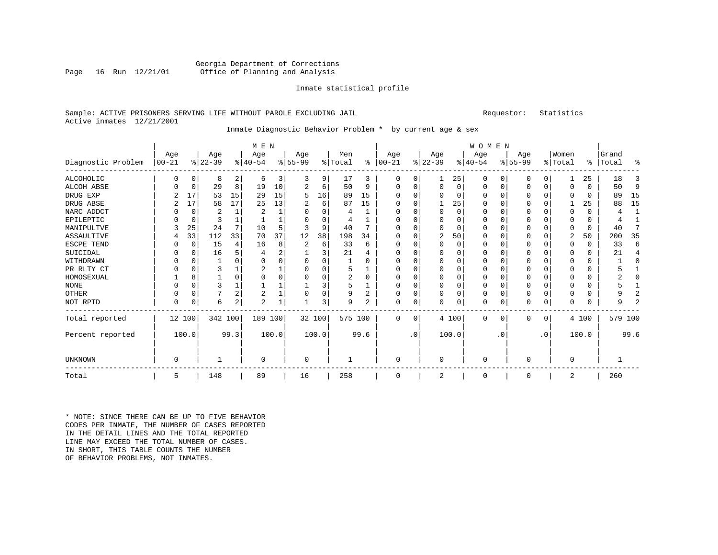## Georgia Department of Corrections<br>Page 16 Run 12/21/01 Office of Planning and Analysis Office of Planning and Analysis

#### Inmate statistical profile

## Sample: ACTIVE PRISONERS SERVING LIFE WITHOUT PAROLE EXCLUDING JAIL Requestor: Statistics Active inmates 12/21/2001

# Inmate Diagnostic Behavior Problem \* by current age & sex

|                    |                   | M E N       |                  |                |                  |       |                  |          |                |          |                   |             |                 |          | WOMEN            |          |                  |           |                  |          |                    |                |
|--------------------|-------------------|-------------|------------------|----------------|------------------|-------|------------------|----------|----------------|----------|-------------------|-------------|-----------------|----------|------------------|----------|------------------|-----------|------------------|----------|--------------------|----------------|
| Diagnostic Problem | Age<br>$ 00 - 21$ |             | Age<br>$8 22-39$ |                | Age<br>$8 40-54$ |       | Age<br>$8 55-99$ |          | Men<br>% Total | ွေ       | Age<br>$ 00 - 21$ |             | Age<br>$ 22-39$ |          | Age<br>$ 40-54 $ |          | Age<br>$8 55-99$ |           | Women<br>% Total |          | Grand<br>%   Total | ႜ              |
| ALCOHOLIC          | 0                 | $\Omega$    | 8                | 2              | 6                | 3     | 3                | 9        | 17             | 3        | $\Omega$          | 0           | 1               | 25       | 0                | 0        | 0                | 0         |                  | 25       | 18                 | 3              |
| ALCOH ABSE         | U                 | $\mathbf 0$ | 29               | 8              | 19               | 10    |                  | 6        | 50             | 9        | $\Omega$          | 0           | $\Omega$        | 0        | $\Omega$         | 0        | 0                | 0         | $\Omega$         | $\Omega$ | 50                 | 9              |
| DRUG EXP           |                   | 17          | 53               | 15             | 29               | 15    | 5                | 16       | 89             | 15       |                   | 0           |                 | $\Omega$ | $\Omega$         | $\Omega$ |                  | 0         |                  | U        | 89                 | 15             |
| DRUG ABSE          | 2                 | 17          | 58               | 17             | 25               | 13    |                  | 6        | 87             | 15       | $\Omega$          | $\Omega$    |                 | 25       | $\Omega$         | $\Omega$ | 0                | 0         |                  | 25       | 88                 | 15             |
| NARC ADDCT         |                   | $\Omega$    | 2                |                | $\overline{2}$   |       |                  | $\Omega$ | 4              |          |                   | $\Omega$    | $\Omega$        | $\Omega$ | $\Omega$         | $\Omega$ |                  | $\Omega$  | $\Omega$         | $\Omega$ |                    | $\mathbf{1}$   |
| EPILEPTIC          |                   | $\Omega$    |                  |                |                  |       |                  | O        | 4              |          |                   |             | $\Omega$        | 0        |                  | $\Omega$ |                  | 0         |                  | 0        |                    |                |
| MANIPULTVE         |                   | 25          | 24               |                | 10               | 5     |                  | 9        | 40             |          |                   | 0           | $\Omega$        | O        |                  | $\Omega$ |                  | 0         | $\Omega$         | 0        | 40                 |                |
| ASSAULTIVE         |                   | 33          | 112              | 33             | 70               | 37    | 12               | 38       | 198            | 34       |                   | 0           | 2               | 50       | $\Omega$         | $\Omega$ | U                | 0         | $\overline{2}$   | 50       | 200                | 35             |
| ESCPE TEND         | O                 | $\mathbf 0$ | 15               | $\overline{4}$ | 16               | 8     |                  | 6        | 33             | 6        | ∩                 | U           | $\Omega$        | O        | $\Omega$         | $\Omega$ |                  | 0         | ∩                | $\Omega$ | 33                 | 6              |
| SUICIDAL           |                   | $\Omega$    | 16               |                |                  | 2     |                  | 3        | 21             |          |                   |             | $\Omega$        | O        |                  | $\Omega$ |                  | 0         | <sup>0</sup>     | 0        | 21                 | 4              |
| WITHDRAWN          | 0                 | $\Omega$    |                  |                | $\Omega$         | 0     |                  | $\Omega$ |                | 0        | <sup>0</sup>      | 0           | $\Omega$        | 0        | $\Omega$         | $\Omega$ | U                | 0         | <sup>0</sup>     | $\Omega$ |                    | $\Omega$       |
| PR RLTY CT         | U                 | $\Omega$    | 3                |                | 2                |       |                  | $\Omega$ | 5              |          | <sup>0</sup>      | 0           | 0               | 0        | $\Omega$         | $\Omega$ | U                | 0         | <sup>0</sup>     | 0        |                    |                |
| HOMOSEXUAL         |                   | 8           |                  | $\Omega$       | $\cap$           | 0     |                  | $\Omega$ | 2              | $\Omega$ | <sup>0</sup>      | $\Omega$    | $\Omega$        | O        | $\Omega$         | $\Omega$ | U                | $\Omega$  | $\Omega$         | $\Omega$ |                    | $\Omega$       |
| <b>NONE</b>        | U                 | $\Omega$    | 3                |                |                  |       |                  | 3        | 5              |          |                   | 0           | 0               | 0        | $\Omega$         | $\Omega$ |                  | $\Omega$  | 0                | 0        |                    |                |
| OTHER              | O                 | $\Omega$    |                  | $\overline{2}$ | 2                |       | $\Omega$         | 0        | 9              | 2        | <sup>0</sup>      | $\mathbf 0$ | $\Omega$        | 0        | $\Omega$         | $\Omega$ | 0                | $\Omega$  | $\Omega$         | $\Omega$ |                    | 2              |
| NOT RPTD           | 0                 | 0           | 6                | 2              | 2                | 1     |                  | 3        | 9              | 2        | $\Omega$          | $\mathbf 0$ | O               | 0        | $\Omega$         | 0        | 0                | 0         | $\Omega$         | 0        | q                  | $\overline{2}$ |
| Total reported     |                   | 12 100      | 342 100          |                | 189 100          |       | 32 100           |          | 575 100        |          | $\Omega$          | 0           |                 | 4 100    | $\Omega$         | $\Omega$ | 0                | 0         |                  | 4 100    | 579 100            |                |
| Percent reported   |                   | 100.0       |                  | 99.3           |                  | 100.0 |                  | 100.0    |                | 99.6     |                   | $\cdot$ 0   |                 | 100.0    |                  | . 0      |                  | $\cdot$ 0 |                  | 100.0    |                    | 99.6           |
| <b>UNKNOWN</b>     | 0                 |             |                  |                | $\Omega$         |       | $\Omega$         |          |                |          | $\Omega$          |             | $\Omega$        |          | $\Omega$         |          | O                |           | $\Omega$         |          |                    |                |
| Total              | 5                 |             | 148              |                | 89               |       | 16               |          | 258            |          | $\Omega$          |             | $\overline{2}$  |          | $\Omega$         |          | O                |           | 2                |          | 260                |                |

\* NOTE: SINCE THERE CAN BE UP TO FIVE BEHAVIOR CODES PER INMATE, THE NUMBER OF CASES REPORTED IN THE DETAIL LINES AND THE TOTAL REPORTED LINE MAY EXCEED THE TOTAL NUMBER OF CASES.IN SHORT, THIS TABLE COUNTS THE NUMBER OF BEHAVIOR PROBLEMS, NOT INMATES.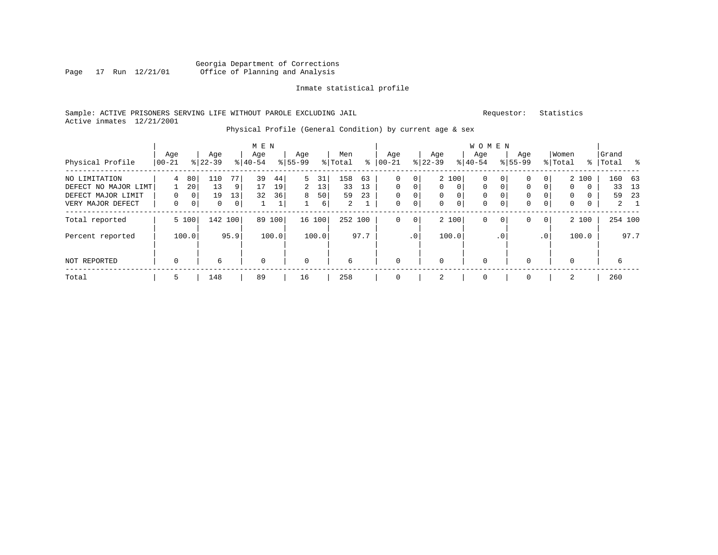# Georgia Department of Corrections Page 17 Run 12/21/01 Office of Planning and Analysis

# Inmate statistical profile

# Sample: ACTIVE PRISONERS SERVING LIFE WITHOUT PAROLE EXCLUDING JAIL Requestor: Statistics Active inmates 12/21/2001

# Physical Profile (General Condition) by current age & sex

| Physical Profile                                                                 | Age<br>$ 00-21$    |                                              | Age<br>$8 22-39$     |                                    | M E N<br>Age<br>$8 40-54$ |                | Age<br>$8155 - 99$ |                     | Men<br>% Total                    | ∻              | Age<br>$ 00-21$                          |                                                         | Age<br>$8$   22-39 |                                                       | W O M E N<br>Age<br>$8 40-54$                         |                                              | Age<br>$8155 - 99$ |                                   | Women<br>% Total                           |                                               | Grand<br>%   Total | း                                |
|----------------------------------------------------------------------------------|--------------------|----------------------------------------------|----------------------|------------------------------------|---------------------------|----------------|--------------------|---------------------|-----------------------------------|----------------|------------------------------------------|---------------------------------------------------------|--------------------|-------------------------------------------------------|-------------------------------------------------------|----------------------------------------------|--------------------|-----------------------------------|--------------------------------------------|-----------------------------------------------|--------------------|----------------------------------|
| NO LIMITATION<br>DEFECT NO MAJOR LIMT<br>DEFECT MAJOR LIMIT<br>VERY MAJOR DEFECT | 4<br>$\Omega$<br>0 | 80<br>20<br>0 <sup>1</sup><br>0 <sup>1</sup> | 110<br>13<br>19<br>0 | 77 I<br>91<br>13<br>$\overline{0}$ | 39<br>17<br>32            | 44<br>19<br>36 | 5<br>2<br>8        | 31<br>13<br>50<br>6 | 158<br>33<br>59<br>$\overline{a}$ | 63<br>13<br>23 | 0<br>$\Omega$<br>$\Omega$<br>$\mathbf 0$ | 0 <sup>1</sup><br>$\Omega$<br>$\overline{0}$<br>$\circ$ | $\Omega$<br>0<br>0 | 2 100<br>$\Omega$<br>$\overline{0}$<br>$\overline{0}$ | $\mathbf 0$<br>$\Omega$<br>$\mathbf 0$<br>$\mathbf 0$ | 0 <sup>1</sup><br>$\Omega$<br>$\overline{0}$ | 0<br>0<br>0<br>0   | 0<br>$\Omega$<br>0<br>$\mathbf 0$ | $\mathbf{0}$<br>$\mathbf 0$<br>$\mathbf 0$ | 2 100<br>$\Omega$<br>$\Omega$<br>$\mathbf{0}$ | 160<br>33<br>59    | 63<br>- 13<br>-23<br>$2 \quad 1$ |
| Total reported<br>Percent reported                                               |                    | 5 100<br>100.0                               |                      | 142 100<br>95.9                    | 89                        | 100<br>100.0   |                    | 16 100<br>100.0     | 252 100                           | 97.7           | 0                                        | 0 <sup>1</sup><br>.0 <sup>1</sup>                       |                    | 2 100<br>100.0                                        | $\mathbf 0$                                           | 0 <sup>1</sup><br>.0 <sup>1</sup>            | 0                  | $\mathbf{0}$<br>$\cdot$ 0         |                                            | 2 100<br>100.0                                |                    | 254 100<br>97.7                  |
| NOT REPORTED                                                                     | $\mathbf 0$        |                                              | 6                    |                                    | $\mathbf 0$               |                | $\mathbf 0$        |                     | 6                                 |                | $\Omega$                                 |                                                         | $\Omega$           |                                                       | $\mathbf 0$                                           |                                              | $\Omega$           |                                   | 0                                          |                                               | 6                  |                                  |
| Total                                                                            | 5                  |                                              | 148                  |                                    | 89                        |                | 16                 |                     | 258                               |                |                                          |                                                         | 2                  |                                                       | $\mathbf 0$                                           |                                              | $\Omega$           |                                   | 2                                          |                                               | 260                |                                  |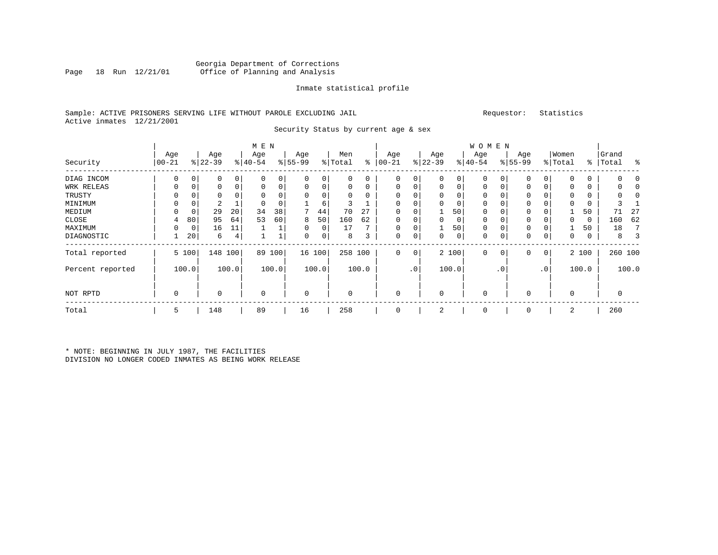# Georgia Department of Corrections Office of Planning and Analysis

#### Inmate statistical profile

# Sample: ACTIVE PRISONERS SERVING LIFE WITHOUT PAROLE EXCLUDING JAIL Requestor: Statistics Active inmates 12/21/2001

Security Status by current age & sex

|                  |                 |       |                  |         | M E N            |       |                  |        |                |       |                 |                |                  |       | W O M E N        |                |                  |           |                  |             |                    |         |
|------------------|-----------------|-------|------------------|---------|------------------|-------|------------------|--------|----------------|-------|-----------------|----------------|------------------|-------|------------------|----------------|------------------|-----------|------------------|-------------|--------------------|---------|
| Security         | Age<br>$ 00-21$ |       | Age<br>$ 22-39 $ |         | Age<br>$8 40-54$ |       | Age<br>$8 55-99$ |        | Men<br>% Total | ∻     | Age<br>$ 00-21$ |                | Age<br>$ 22-39 $ |       | Age<br>$ 40-54 $ |                | Age<br>$ 55-99 $ |           | Women<br>% Total |             | Grand<br>%   Total | ႜ       |
| DIAG INCOM       | $\Omega$        | 0     | 0                | 0       | 0                | 0     | 0                | 0      | 0              | 0     | 0               | $\overline{0}$ | $\mathbf 0$      | 0     | $\mathbf 0$      | 0              | 0                | 0         | $\Omega$         | 0           |                    |         |
| WRK RELEAS       | 0               | 0     | 0                | 0       | $\Omega$         | 0     | 0                | 0      | 0              | 0     | $\Omega$        | 0              | $\mathbf 0$      | 0     | $\mathbf 0$      | 0              | $\Omega$         | 0         | 0                | 0           |                    |         |
| TRUSTY           |                 |       | 0                |         |                  |       | 0                | 0      | 0              | 0     |                 |                |                  | 0     | 0                |                | 0                |           | 0                | 0           |                    |         |
| MINIMUM          |                 |       | 2                |         |                  |       |                  | 6      | 3              |       |                 |                |                  |       | $\Omega$         |                | 0                |           | $\Omega$         |             |                    |         |
| MEDIUM           |                 | 0     | 29               | 20      | 34               | 38    |                  | 44     | 70             | 27    | $\Omega$        |                |                  | 50    | 0                |                | 0                |           |                  | 50          | 71                 | 27      |
| CLOSE            | 4               | 80    | 95               | 64      | 53               | 60    | 8                | 50     | 160            | 62    | $\Omega$        |                | $\Omega$         | 0     | 0                |                | 0                |           | 0                | $\mathbf 0$ | 160                | 62      |
| MAXIMUM          |                 | 0     | 16               | 11      |                  |       | 0                | 0      | 17             |       |                 |                |                  | 50    | 0                |                | 0                |           |                  | 50          | 18                 |         |
| DIAGNOSTIC       |                 | 20    | 6                | 4       |                  |       | 0                | 0      | 8              | 3     | $\mathbf 0$     | 0              | 0                | 0     | $\Omega$         | 0              | 0                | 0         | 0                | 0           | 8                  | 3       |
| Total reported   |                 | 5 100 |                  | 148 100 | 89               | 100   |                  | 16 100 | 258 100        |       | $\mathbf 0$     | 0 <sup>1</sup> |                  | 2 100 | $\mathbf 0$      | 0 <sup>1</sup> | 0                | 0         |                  | 2 100       |                    | 260 100 |
| Percent reported |                 | 100.0 |                  | 100.0   |                  | 100.0 |                  | 100.0  |                | 100.0 |                 | .0'            |                  | 100.0 |                  | . 0            |                  | $\cdot$ 0 |                  | 100.0       |                    | 100.0   |
| NOT RPTD         | 0               |       |                  |         | $\mathbf 0$      |       | 0                |        | 0              |       | $\Omega$        |                | $\Omega$         |       | 0                |                | $\Omega$         |           | $\mathbf 0$      |             | 0                  |         |
| Total            | 5               |       | 148              |         | 89               |       | 16               |        | 258            |       |                 |                | 2                |       | 0                |                | $\Omega$         |           | 2                |             | 260                |         |

\* NOTE: BEGINNING IN JULY 1987, THE FACILITIES DIVISION NO LONGER CODED INMATES AS BEING WORK RELEASE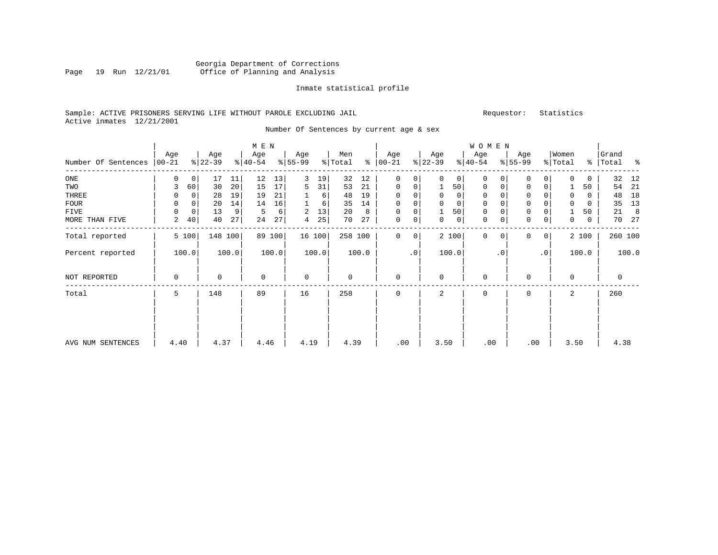# Georgia Department of Corrections<br>Page 19 Run 12/21/01 Office of Planning and Analysis Page 19 Run 12/21/01 Office of Planning and Analysis

#### Inmate statistical profile

# Sample: ACTIVE PRISONERS SERVING LIFE WITHOUT PAROLE EXCLUDING JAIL Requestor: Statistics Active inmates 12/21/2001

Number Of Sentences by current age & sex

|                     | Age      |             | Age       |                 | M E N<br>Age |       | Age         |          | Men     |       | Age           |           | Age         |             | WOMEN<br>Age |           | Age          |                 | Women       |       | Grand     |       |
|---------------------|----------|-------------|-----------|-----------------|--------------|-------|-------------|----------|---------|-------|---------------|-----------|-------------|-------------|--------------|-----------|--------------|-----------------|-------------|-------|-----------|-------|
| Number Of Sentences | $ 00-21$ |             | $ 22-39 $ |                 | $ 40-54 $    |       | $ 55-99$    |          | % Total |       | $8   00 - 21$ |           | $ 22-39 $   |             | $ 40-54 $    |           | $8 55-99$    |                 | % Total     |       | %   Total | နွ    |
| ONE                 | 0        | 0           | 17        | 11              | 12           | 13    | 3           | 19       | 32      | 12    | $\Omega$      | 0         | $\Omega$    | 0           | 0            |           | 0            | $\Omega$        |             | 0     | 32        | 12    |
| TWO                 | 3        | 60          | 30        | 20 <sup>1</sup> | 15           | 17    | 5           | 31       | 53      | 21    | 0             | 0         |             | 50          | 0            | 0         | $\mathbf 0$  | $\overline{0}$  |             | 50    | 54        | 21    |
| THREE               | 0        | 0           | 28        | 19              | 19           | 21    |             | $6 \mid$ | 48      | 19    | 0             | 0         | $\mathbf 0$ | 0           | 0            |           | $\mathbf 0$  |                 | 0           | 0     | 48        | 18    |
| <b>FOUR</b>         | $\Omega$ | 0           | 20        | 14              | 14           | 16    |             | 6        | 35      | 14    | $\Omega$      | 0         |             | $\mathbf 0$ | $\mathbf 0$  |           | $\mathbf{0}$ |                 | $\mathbf 0$ | 0     | 35        | 13    |
| <b>FIVE</b>         | 0        | $\mathbf 0$ | 13        | 9               | 5            | 6     | 2           | 13       | 20      | 8     | $\mathbf 0$   | 0         |             | 50          | $\mathbf 0$  |           | $\mathbf 0$  |                 |             | 50    | 21        | 8     |
| MORE THAN FIVE      | 2        | 40          | 40        | 27              | 24           | 27    | 4           | 25       | 70      | 27    | $\mathbf 0$   | 0         | 0           | 0           | $\mathbf 0$  | 0         | $\mathbf 0$  | $\overline{0}$  | 0           | 0     | 70        | 27    |
| Total reported      |          | 5 100       | 148       | 100             | 89           | 100   |             | 16 100   | 258 100 |       | $\Omega$      | 0         |             | 2 100       | $\Omega$     |           | 0            | 0 <sup>1</sup>  |             | 2 100 | 260 100   |       |
| Percent reported    |          | 100.0       |           | 100.0           |              | 100.0 |             | 100.0    |         | 100.0 |               | $\cdot$ 0 |             | 100.0       |              | $\cdot$ 0 |              | .0 <sup>1</sup> |             | 100.0 |           | 100.0 |
| NOT REPORTED        | 0        |             | $\Omega$  |                 | 0            |       | $\mathbf 0$ |          | 0       |       | $\mathbf 0$   |           | $\Omega$    |             | $\mathbf 0$  |           | $\Omega$     |                 | $\Omega$    |       | 0         |       |
| Total               | 5        |             | 148       |                 | 89           |       | 16          |          | 258     |       | $\Omega$      |           | 2           |             | $\mathbf 0$  |           | $\Omega$     |                 | 2           |       | 260       |       |
|                     |          |             |           |                 |              |       |             |          |         |       |               |           |             |             |              |           |              |                 |             |       |           |       |
|                     |          |             |           |                 |              |       |             |          |         |       |               |           |             |             |              |           |              |                 |             |       |           |       |
| AVG NUM SENTENCES   | 4.40     |             | 4.37      |                 | 4.46         |       | 4.19        |          | 4.39    |       | .00           |           | 3.50        |             | .00          |           |              | .00             | 3.50        |       | 4.38      |       |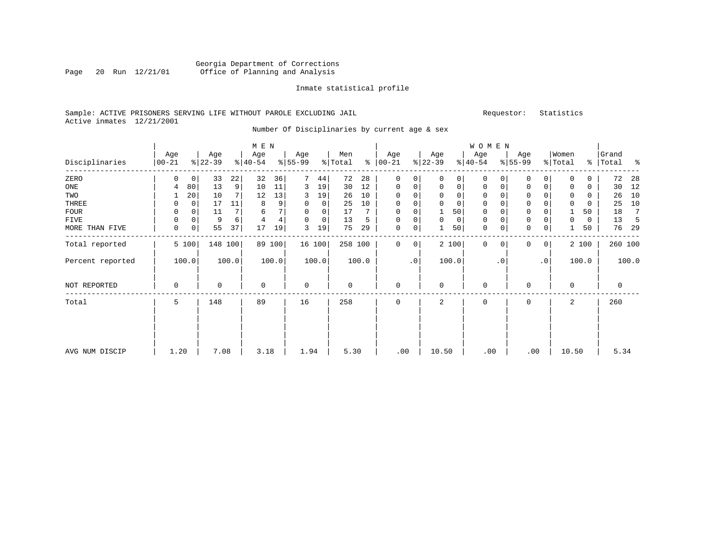# Georgia Department of Corrections Page 20 Run 12/21/01 Office of Planning and Analysis

#### Inmate statistical profile

# Sample: ACTIVE PRISONERS SERVING LIFE WITHOUT PAROLE EXCLUDING JAIL Requestor: Statistics Active inmates 12/21/2001

Number Of Disciplinaries by current age & sex

|                  |                  |             |                 |                | $M$ $\,$ E $\,$ N |        |                  |        |                |       |                 |           |                  |              | WOMEN            |           |                  |                |                  |             |                |         |
|------------------|------------------|-------------|-----------------|----------------|-------------------|--------|------------------|--------|----------------|-------|-----------------|-----------|------------------|--------------|------------------|-----------|------------------|----------------|------------------|-------------|----------------|---------|
| Disciplinaries   | Age<br>$00 - 21$ |             | Age<br>$ 22-39$ |                | Age<br>$ 40-54 $  |        | Age<br>$ 55-99 $ |        | Men<br>% Total | နွ    | Age<br>$ 00-21$ |           | Age<br>$ 22-39 $ |              | Age<br>$ 40-54 $ |           | Age<br>$ 55-99 $ |                | Women<br>% Total | ွေ          | Grand<br>Total | န္      |
| ZERO             | 0                | $\mathbf 0$ | 33              | 22             | 32                | 36     | 7                | 44     | 72             | 28    | 0               | 0         | $\Omega$         | 0            | $\Omega$         | $\Omega$  | $\mathbf 0$      | 0              | $\Omega$         | $\Omega$    | 72             | 28      |
| ONE              | 4                | 80          | 13              | 9 <sup>1</sup> | 10                | 11     | 3                | 19     | 30             | 12    | $\mathbf 0$     | 0         | $\mathbf 0$      | $\mathsf{O}$ | $\mathbf 0$      | 0         | $\mathbf 0$      | 0              | $\Omega$         | $\mathbf 0$ | 30             | 12      |
| TWO              |                  | 20          | 10              |                | 12                | 13     | 3                | 19     | 26             | 10    | 0               | 0         |                  | 0            | 0                |           | $\mathbf 0$      |                | $\Omega$         | $\Omega$    | 26             | 10      |
| THREE            | 0                | $\mathbf 0$ | 17              | 11             | 8                 | 9      | $\mathbf 0$      | 0      | 25             | 10    | 0               | 0         | $\Omega$         | $\mathbf 0$  | $\mathbf 0$      |           | $\mathbf 0$      |                | 0                | 0           | 25             | 10      |
| <b>FOUR</b>      | $\Omega$         | $\Omega$    | 11              |                | 6                 | 7      | 0                | 0      | 17             |       | $\Omega$        | 0         |                  | 50           | 0                |           | $\mathsf 0$      |                |                  | 50          | 18             | 7       |
| FIVE             | 0                | $\mathbf 0$ | 9               | 6              | 4                 | 4      | $\Omega$         | 0      | 13             | 5     | 0               | 0         | $\Omega$         | $\mathbf 0$  | $\mathbf 0$      |           | $\mathbf 0$      | 0              | $\Omega$         | 0           | 13             |         |
| MORE THAN FIVE   | 0                | 0           | 55              | 37             | 17                | 19     | 3                | 19     | 75             | 29    | $\mathbf 0$     | 0         |                  | 50           | 0                | 0         | $\mathbf 0$      | $\mathbf 0$    |                  | 50          | 76             | 29      |
| Total reported   |                  | 5 100       |                 | 148 100        |                   | 89 100 |                  | 16 100 | 258 100        |       | 0               | 0         |                  | 2 100        | $\mathbf 0$      | $\Omega$  | $\mathbf{0}$     | $\overline{0}$ |                  | 2 100       |                | 260 100 |
| Percent reported |                  | 100.0       |                 | 100.0          |                   | 100.0  |                  | 100.0  |                | 100.0 |                 | $\cdot$ 0 |                  | 100.0        |                  | $\cdot$ 0 |                  | $\cdot$ 0      |                  | 100.0       |                | 100.0   |
| NOT REPORTED     | 0                |             | 0               |                | 0                 |        | $\mathbf 0$      |        | 0              |       | $\mathbf 0$     |           | $\Omega$         |              | $\mathbf 0$      |           | $\mathbf 0$      |                | $\Omega$         |             | 0              |         |
| Total            | 5                |             | 148             |                | 89                |        | 16               |        | 258            |       | 0               |           | 2                |              | $\mathbf 0$      |           | $\mathbf 0$      |                | 2                |             | 260            |         |
|                  |                  |             |                 |                |                   |        |                  |        |                |       |                 |           |                  |              |                  |           |                  |                |                  |             |                |         |
|                  |                  |             |                 |                |                   |        |                  |        |                |       |                 |           |                  |              |                  |           |                  |                |                  |             |                |         |
| AVG NUM DISCIP   | 1.20             |             | 7.08            |                | 3.18              |        | 1.94             |        | 5.30           |       | .00             |           | 10.50            |              | .00              |           | .00              |                | 10.50            |             | 5.34           |         |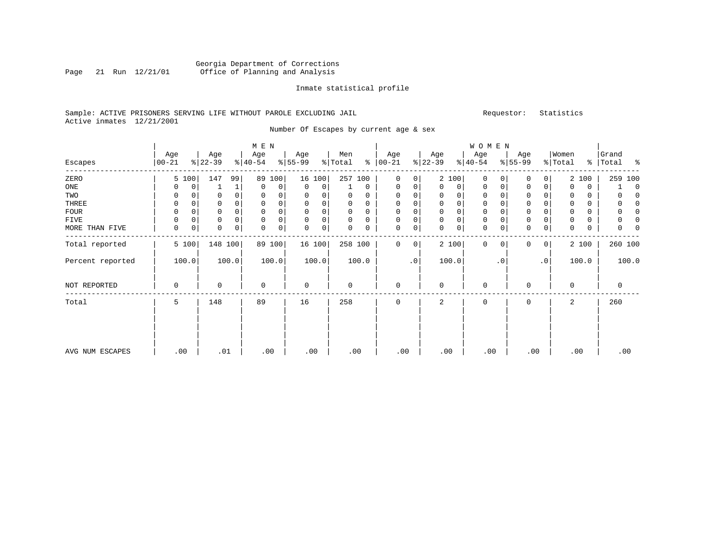# Georgia Department of Corrections Page 21 Run 12/21/01 Office of Planning and Analysis

#### Inmate statistical profile

# Sample: ACTIVE PRISONERS SERVING LIFE WITHOUT PAROLE EXCLUDING JAIL Requestor: Statistics Active inmates 12/21/2001

Number Of Escapes by current age & sex

|                  |                  |          |                  |          | M E N            |        |                  |             |                |             |                 |                     |                  |             | WOMEN            |             |                  |                |                  |       |                    |             |
|------------------|------------------|----------|------------------|----------|------------------|--------|------------------|-------------|----------------|-------------|-----------------|---------------------|------------------|-------------|------------------|-------------|------------------|----------------|------------------|-------|--------------------|-------------|
| Escapes          | Age<br>$00 - 21$ |          | Age<br>$ 22-39 $ |          | Age<br>$ 40-54 $ |        | Age<br>$8 55-99$ |             | Men<br>% Total | ႜ           | Age<br>$ 00-21$ |                     | Age<br>$ 22-39 $ |             | Age<br>$ 40-54 $ |             | Age<br>$8 55-99$ |                | Women<br>% Total |       | Grand<br>%   Total | ႜ           |
| ZERO             |                  | 5 100    | 147              | 99       | 89               | 100    |                  | 16 100      | 257 100        |             | $\mathbf{0}$    | $\mathbf 0$         |                  | 2 100       | $\mathbf 0$      | $\Omega$    | 0                | $\overline{0}$ |                  | 2 100 | 259 100            |             |
| ONE              | 0                | 0        |                  | 1        | $\mathbf 0$      | 0      | 0                | 0           |                | $\mathbf 0$ | 0               | 0                   | 0                | 0           | 0                | 0           | 0                | $\mathbf 0$    | $\Omega$         | 0     |                    | $\mathbf 0$ |
| TWO              | 0                | $\Omega$ | 0                | $\Omega$ | 0                | 0      | 0                | 0           | 0              | $\Omega$    | $\mathbf 0$     | 0                   | $\Omega$         | 0           | 0                |             | 0                |                | $\Omega$         | 0     |                    | n           |
| THREE            | 0                | 0        | 0                | 0        | 0                | 0      | $\mathbf 0$      | 0           | 0              | 0           | 0               | 0                   | $\mathbf 0$      | 0           | 0                | 0           | $\mathsf 0$      |                | $\mathbf 0$      | 0     | 0                  | $\Omega$    |
| <b>FOUR</b>      | 0                | $\Omega$ | $\Omega$         |          | $\mathbf 0$      | 0      | 0                | 0           | 0              | 0           | $\mathbf 0$     | 0                   | 0                | 0           | 0                |             | $\mathbf 0$      |                |                  | 0     |                    | n           |
| FIVE             | 0                | 0        | 0                |          | $\mathbf 0$      | 0      | $\Omega$         | 0           | 0              | 0           | $\mathbf 0$     | 0                   | $\mathbf 0$      | $\mathsf 0$ | $\mathbf 0$      |             | $\mathsf 0$      |                |                  | 0     | 0                  | n           |
| MORE THAN FIVE   | 0                | 0        | $\mathbf 0$      | 0        | 0                | 0      | $\Omega$         | $\mathbf 0$ | $\Omega$       | 0           | $\mathbf 0$     | $\mathsf{O}\xspace$ | $\Omega$         | $\mathsf 0$ | $\mathbf 0$      | 0           | $\Omega$         | $\mathbf 0$    | $\Omega$         | 0     | 0                  |             |
| Total reported   |                  | 5 100    |                  | 148 100  |                  | 89 100 |                  | 16 100      | 258 100        |             | $\mathbf 0$     | 0                   |                  | 2 100       | 0                | $\mathbf 0$ | $\Omega$         | $\overline{0}$ |                  | 2 100 | 260 100            |             |
| Percent reported |                  | 100.0    |                  | 100.0    |                  | 100.0  |                  | 100.0       |                | 100.0       |                 | $\cdot$ 0           |                  | 100.0       |                  | . 0         |                  | $\cdot$ 0      |                  | 100.0 | 100.0              |             |
| NOT REPORTED     | 0                |          | 0                |          | $\mathbf 0$      |        | 0                |             | 0              |             | $\mathbf 0$     |                     | $\Omega$         |             | $\mathbf 0$      |             | $\Omega$         |                | $\Omega$         |       | 0                  |             |
| Total            | 5                |          | 148              |          | 89               |        | 16               |             | 258            |             | $\mathbf 0$     |                     | 2                |             | $\mathbf 0$      |             | $\Omega$         |                | 2                |       | 260                |             |
|                  |                  |          |                  |          |                  |        |                  |             |                |             |                 |                     |                  |             |                  |             |                  |                |                  |       |                    |             |
| AVG NUM ESCAPES  | .00              |          | .01              |          |                  | .00    |                  | .00         | .00            |             | .00             |                     | .00              |             | .00              |             | .00              |                | .00              |       | .00                |             |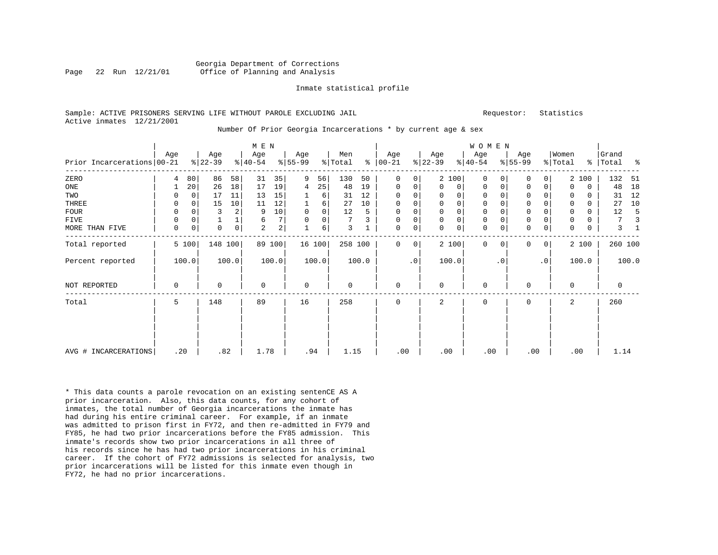#### Georgia Department of Corrections Page 22 Run 12/21/01 Office of Planning and Analysis

#### Inmate statistical profile

#### Sample: ACTIVE PRISONERS SERVING LIFE WITHOUT PAROLE EXCLUDING JAIL **Requestor:** Statistics Active inmates 12/21/2001

#### Number Of Prior Georgia Incarcerations \* by current age & sex

|                            |             |          |                  |                | M E N            |                 |                  |             |                |       |                 |           |                  |              | WOMEN           |           |                  |                |                  |             |                |       |
|----------------------------|-------------|----------|------------------|----------------|------------------|-----------------|------------------|-------------|----------------|-------|-----------------|-----------|------------------|--------------|-----------------|-----------|------------------|----------------|------------------|-------------|----------------|-------|
| Prior Incarcerations 00-21 | Age         |          | Age<br>$8 22-39$ |                | Age<br>$ 40-54 $ |                 | Age<br>$8 55-99$ |             | Men<br>% Total | န္    | Age<br>$ 00-21$ |           | Age<br>$ 22-39 $ |              | Age<br>$ 40-54$ |           | Age<br>$ 55-99 $ |                | Women<br>% Total | $\approx$   | Grand<br>Total | ್ಠಿ   |
| ZERO                       | 4           | 80       | 86               | 58             | 31               | 35              | 9                | 56          | 130            | 50    | 0               | 0         |                  | 2 100        | $\Omega$        | 0         | $\mathbf 0$      | 0              |                  | 2 100       | 132            | 51    |
| ONE                        |             | 20       | 26               | 18             | 17               | 19              | 4                | 25          | 48             | 19    | 0               | 0         | $\Omega$         | 0            | 0               | 0         | $\mathbf 0$      | 0              | $\Omega$         | $\mathbf 0$ | 48             | 18    |
| TWO                        | 0           | $\Omega$ | 17               | 11             | 13               | 15              |                  | 6           | 31             | 12    | 0               | 0         | 0                | 0            | 0               |           | 0                | U              | 0                | 0           | 31             | 12    |
| THREE                      | 0           | $\Omega$ | 15               | 10             | 11               | 12              |                  | 6           | 27             | 10    | 0               | 0         | $\Omega$         | $\mathsf{O}$ | $\mathbf 0$     |           | $\mathbf 0$      | 0              | $\Omega$         | $\Omega$    | 27             | 10    |
| <b>FOUR</b>                | 0           | $\Omega$ | 3                | $\overline{a}$ | 9                | 10 <sup>1</sup> | $\mathbf 0$      | $\mathbf 0$ | 12             | 5     | 0               | 0         | $\Omega$         | $\mathsf{O}$ | 0               |           | $\mathbf 0$      |                | 0                | $\Omega$    | 12             |       |
| FIVE                       | 0           | 0        |                  |                | 6                | 7 <sup>1</sup>  | $\mathbf 0$      | 0           | 7              | 3     | $\mathbf 0$     | 0         | $\mathbf 0$      | $\mathbf 0$  | $\mathbf 0$     |           | $\mathsf 0$      | 0              | 0                | 0           | 7              |       |
| MORE THAN FIVE             | $\mathbf 0$ | 0        | 0                | $\overline{0}$ | $\overline{a}$   | 2 <sup>1</sup>  |                  | 6           | 3              |       | 0               | 0         | $\Omega$         | $\mathsf{O}$ | $\mathbf 0$     | 0         | $\mathbf 0$      | 0              | $\mathbf 0$      | $\mathbf 0$ | 3              |       |
| Total reported             |             | 5 100    | 148 100          |                |                  | 89 100          |                  | 16 100      | 258 100        |       | $\Omega$        | 0         |                  | 2 100        | $\Omega$        | $\Omega$  | $\Omega$         | $\overline{0}$ |                  | 2 100       | 260 100        |       |
| Percent reported           |             | 100.0    |                  | 100.0          |                  | 100.0           |                  | 100.0       |                | 100.0 |                 | $\cdot$ 0 |                  | 100.0        |                 | $\cdot$ 0 |                  | $\cdot$ 0      |                  | 100.0       |                | 100.0 |
| NOT REPORTED               | 0           |          | $\Omega$         |                | $\Omega$         |                 | $\mathbf 0$      |             | $\Omega$       |       | $\Omega$        |           | $\Omega$         |              | 0               |           | $\Omega$         |                | $\Omega$         |             | 0              |       |
| Total                      | 5           |          | 148              |                | 89               |                 | 16               |             | 258            |       | 0               |           | 2                |              | $\mathbf 0$     |           | $\mathbf 0$      |                | 2                |             | 260            |       |
|                            |             |          |                  |                |                  |                 |                  |             |                |       |                 |           |                  |              |                 |           |                  |                |                  |             |                |       |
| AVG # INCARCERATIONS       | .20         |          | .82              |                | 1.78             |                 | .94              |             | 1.15           |       | .00             |           | .00              |              | .00             |           | .00              |                |                  | .00         | 1.14           |       |

\* This data counts a parole revocation on an existing sentenCE AS A prior incarceration. Also, this data counts, for any cohort of inmates, the total number of Georgia incarcerations the inmate has had during his entire criminal career. For example, if an inmate was admitted to prison first in FY72, and then re-admitted in FY79 and FY85, he had two prior incarcerations before the FY85 admission. This inmate's records show two prior incarcerations in all three of his records since he has had two prior incarcerations in his criminal career. If the cohort of FY72 admissions is selected for analysis, two prior incarcerations will be listed for this inmate even though in FY72, he had no prior incarcerations.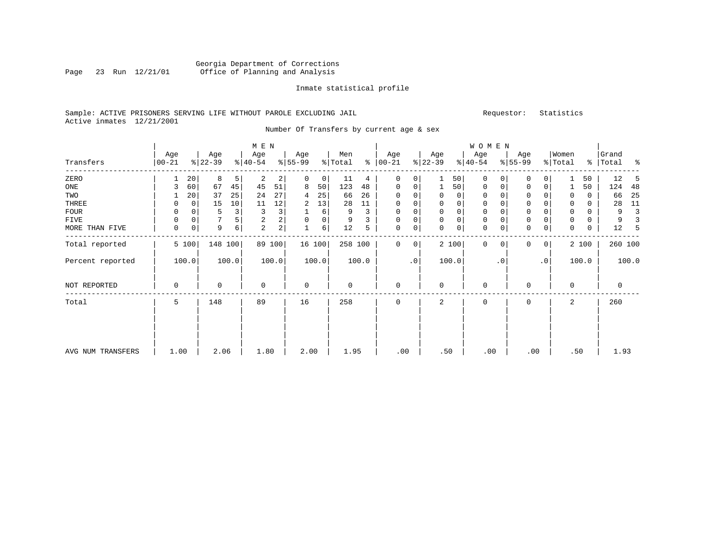# Georgia Department of Corrections Page 23 Run 12/21/01 Office of Planning and Analysis

#### Inmate statistical profile

# Sample: ACTIVE PRISONERS SERVING LIFE WITHOUT PAROLE EXCLUDING JAIL Requestor: Statistics Active inmates 12/21/2001

Number Of Transfers by current age & sex

|                   |                   |             |                  |       | M E N            |        |                 |        |                |       |                      |             |                  |             | WOMEN            |           |                  |                 |                  |       |                    |       |
|-------------------|-------------------|-------------|------------------|-------|------------------|--------|-----------------|--------|----------------|-------|----------------------|-------------|------------------|-------------|------------------|-----------|------------------|-----------------|------------------|-------|--------------------|-------|
| Transfers         | Age<br>$ 00 - 21$ |             | Age<br>$ 22-39 $ |       | Age<br>$ 40-54 $ |        | Age<br>$ 55-99$ |        | Men<br>% Total |       | Age<br>$8   00 - 21$ |             | Age<br>$ 22-39 $ |             | Age<br>$ 40-54 $ |           | Age<br>$ 55-99 $ |                 | Women<br>% Total |       | Grand<br>%   Total | ႜ     |
| ZERO              |                   | 20          | 8                | 5     | 2                | 2      | 0               | 0      | 11             | 4     | 0                    | 0           |                  | 50          | 0                | $\Omega$  | $\mathbf 0$      | 0               |                  | 50    | 12                 | 5     |
| ONE               | 3                 | 60          | 67               | 45    | 45               | 51     | 8               | 50     | 123            | 48    | 0                    | 0           |                  | 50          | 0                | 0         | $\mathbf 0$      | 0               |                  | 50    | 124                | 48    |
| TWO               |                   | 20          | 37               | 25    | 24               | 27     | 4               | 25     | 66             | 26    | 0                    | 0           |                  | 0           | 0                |           | 0                |                 | 0                | 0     | 66                 | 25    |
| THREE             | 0                 | 0           | 15               | 10    | 11               | 12     | 2               | 13     | 28             | 11    | 0                    | 0           | 0                | 0           | 0                | 0         | $\mathbf 0$      |                 | 0                | 0     | 28                 | 11    |
| FOUR              | 0                 | $\Omega$    | 5                | 3     | 3                | 3      |                 | 6      | 9              | 3     | $\Omega$             | 0           |                  | $\mathbf 0$ | 0                |           | $\Omega$         |                 | $\mathbf 0$      | 0     | 9                  | 3     |
| <b>FIVE</b>       | 0                 | $\mathbf 0$ | 7                |       | $\sqrt{2}$       | 2      | $\Omega$        | 0      | 9              |       | $\Omega$             | 0           | $\mathbf 0$      | $\mathsf 0$ | $\mathbf 0$      |           | $\mathbf{0}$     |                 | 0                | 0     | 9                  | 3     |
| MORE THAN FIVE    | $\mathbf 0$       | 0           | 9                | 6     | 2                | 2      |                 | 6      | 12             | 5     | $\mathbf 0$          | $\mathsf 0$ | $\Omega$         | $\mathsf 0$ | $\mathbf 0$      | 0         | $\mathbf 0$      | 0               | 0                | 0     | 12                 | -5    |
| Total reported    |                   | 5 100       | 148 100          |       |                  | 89 100 |                 | 16 100 | 258 100        |       | $\mathbf 0$          | 0           |                  | 2 100       | $\mathbf 0$      | $\Omega$  | $\Omega$         | 0 <sup>1</sup>  |                  | 2 100 | 260 100            |       |
| Percent reported  |                   | 100.0       |                  | 100.0 |                  | 100.0  |                 | 100.0  |                | 100.0 |                      | $\cdot$ 0   |                  | 100.0       |                  | $\cdot$ 0 |                  | .0 <sup>1</sup> |                  | 100.0 |                    | 100.0 |
| NOT REPORTED      | 0                 |             | 0                |       | $\mathbf 0$      |        | $\mathbf 0$     |        | 0              |       | $\mathbf 0$          |             | $\Omega$         |             | 0                |           | $\Omega$         |                 | $\Omega$         |       | $\mathbf 0$        |       |
| Total             | 5                 |             | 148              |       | 89               |        | 16              |        | 258            |       | 0                    |             | 2                |             | 0                |           | $\Omega$         |                 | 2                |       | 260                |       |
|                   |                   |             |                  |       |                  |        |                 |        |                |       |                      |             |                  |             |                  |           |                  |                 |                  |       |                    |       |
| AVG NUM TRANSFERS | 1.00              |             | 2.06             |       | 1.80             |        | 2.00            |        | 1.95           |       | .00                  |             | .50              |             | .00              |           | .00              |                 | .50              |       | 1.93               |       |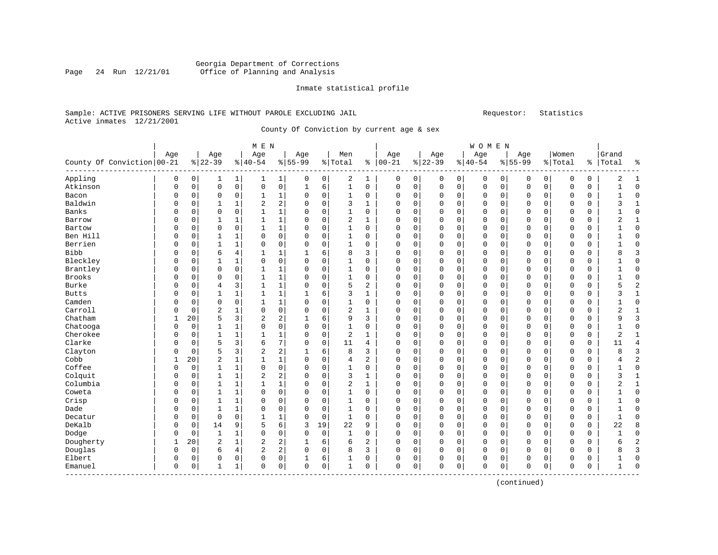# Georgia Department of Corrections Office of Planning and Analysis

#### Inmate statistical profile

# Sample: ACTIVE PRISONERS SERVING LIFE WITHOUT PAROLE EXCLUDING JAIL Requestor: Statistics Active inmates 12/21/2001

County Of Conviction by current age & sex

|                              |          |             |                |                | M E N          |                     |              |             |                |              |             |          |             |                | <b>WOMEN</b> |          |              |              |             |             |                |                |
|------------------------------|----------|-------------|----------------|----------------|----------------|---------------------|--------------|-------------|----------------|--------------|-------------|----------|-------------|----------------|--------------|----------|--------------|--------------|-------------|-------------|----------------|----------------|
|                              | Age      |             | Age            |                | Age            |                     | Age          |             | Men            |              | Age         |          | Age         |                | Age          |          | Age          |              | Women       |             | Grand          |                |
| County Of Conviction   00-21 |          |             | $ 22-39$       |                | $8140 - 54$    |                     | $8 55-99$    |             | %   Total      | နွ           | $ 00-21$    |          | $ 22-39$    |                | $8 40-54$    |          | $8155 - 99$  |              | % Total     | ႜ           | Total          | ٩,             |
| Appling                      | 0        | 0           | 1              | 1              | ı              | 1                   | 0            | 0           | 2              | 1            | 0           | 0        | 0           | 0 <sup>1</sup> | 0            | 0        | 0            | $\mathsf{O}$ | 0           | 0           | 2              | $\mathbf{1}$   |
| Atkinson                     | $\Omega$ | $\mathbf 0$ | $\circ$        | 0              | $\mathbf 0$    | $\mathsf{O}\xspace$ | $\mathbf{1}$ | 6           | $\mathbf{1}$   | $\mathbf 0$  | $\mathbf 0$ | 0        | $\mathbf 0$ | $\mathsf{O}$   | $\mathsf 0$  | 0        | $\mathbf 0$  | $\mathsf{O}$ | $\mathbf 0$ | $\mathsf 0$ | $\mathbf{1}$   | $\Omega$       |
| Bacon                        | $\Omega$ | 0           | 0              | 0              | 1              | 1                   | 0            | 0           | 1              | 0            | $\Omega$    | 0        | 0           | 0              | 0            | 0        | 0            | 0            | 0           | 0           |                | $\Omega$       |
| Baldwin                      | $\Omega$ | 0           | $\mathbf{1}$   | $\mathbf 1$    | $\overline{2}$ | 2                   | 0            | $\mathbf 0$ | 3              | 1            | $\Omega$    | 0        | $\Omega$    | $\mathbf 0$    | $\mathbf 0$  | 0        | $\mathbf 0$  | $\mathbf 0$  | 0           | $\mathbf 0$ | 3              | $\mathbf{1}$   |
| Banks                        | $\Omega$ | O           | $\Omega$       | $\mathbf 0$    |                | 1                   | 0            | 0           | 1              | 0            | $\Omega$    | 0        | 0           | $\mathbf 0$    | 0            | 0        | $\mathbf 0$  | 0            | $\Omega$    | 0           |                | $\Omega$       |
| Barrow                       | $\Omega$ | $\Omega$    | 1              | 1              | 1              | 1                   | 0            | $\mathbf 0$ | 2              | 1            | $\Omega$    | $\Omega$ | $\Omega$    | $\Omega$       | 0            | 0        | $\mathbf 0$  | $\Omega$     | $\Omega$    | 0           | 2              | $\mathbf{1}$   |
| Bartow                       | $\Omega$ | $\Omega$    | $\Omega$       | $\mathbf 0$    | 1              | $\mathbf{1}$        | 0            | $\mathbf 0$ | $\mathbf{1}$   | $\mathbf 0$  | $\Omega$    | $\Omega$ | $\Omega$    | $\Omega$       | 0            | $\Omega$ | $\Omega$     | $\Omega$     | $\Omega$    | $\mathbf 0$ |                | $\Omega$       |
| Ben Hill                     | 0        | 0           | 1              | 1              | $\Omega$       | 0                   | 0            | 0           | 1              | 0            | 0           | 0        | 0           | $\mathbf 0$    | 0            | 0        | 0            | $\mathbf 0$  | 0           | 0           |                | <sup>0</sup>   |
| Berrien                      | $\Omega$ | 0           | $\mathbf{1}$   | $\mathbf 1$    | 0              | 0                   | 0            | 0           | $\mathbf{1}$   | 0            | 0           | 0        | 0           | 0              | 0            | 0        | 0            | 0            | 0           | 0           |                | O              |
| <b>Bibb</b>                  | $\Omega$ | $\Omega$    | 6              | 4              | 1              | 1                   | 1            | 6           | 8              | 3            | $\Omega$    | 0        | $\Omega$    | 0              | 0            | 0        | $\Omega$     | $\mathbf 0$  | $\mathbf 0$ | $\mathbf 0$ | 8              | 3              |
| Bleckley                     | $\Omega$ | 0           |                | 1              | $\Omega$       | 0                   | 0            | 0           | 1              | 0            | $\Omega$    | 0        | 0           | 0              | 0            | 0        | $\mathbf 0$  | 0            | $\Omega$    | 0           |                | $\Omega$       |
| Brantley                     | $\Omega$ | $\Omega$    | $\Omega$       | $\mathbf 0$    | 1              | 1                   | 0            | $\mathbf 0$ | 1              | 0            | $\Omega$    | 0        | $\Omega$    | 0              | 0            | 0        | $\mathbf 0$  | 0            | 0           | 0           |                | $\Omega$       |
| <b>Brooks</b>                | $\Omega$ | $\Omega$    | $\Omega$       | 0              | $\mathbf{1}$   | $\mathbf 1$         | 0            | $\mathbf 0$ | $\mathbf{1}$   | 0            | $\Omega$    | $\Omega$ | $\Omega$    | $\Omega$       | $\Omega$     | $\Omega$ | $\Omega$     | $\Omega$     | $\Omega$    | $\mathbf 0$ | 1              | $\Omega$       |
| Burke                        | O        | $\Omega$    | 4              | 3              | 1              | 1                   | 0            | 0           | 5              | 2            | 0           | 0        | $\Omega$    | $\mathbf 0$    | 0            | 0        | $\mathbf 0$  | $\mathbf 0$  | $\Omega$    | 0           | 5              | $\overline{c}$ |
| <b>Butts</b>                 | $\Omega$ | 0           | 1              | $\mathbf 1$    | 1              | 1                   |              | 6           | 3              | $\mathbf{1}$ | 0           | 0        | 0           | 0              | 0            | 0        | $\Omega$     | $\mathbf 0$  | 0           | 0           | 3              | $\mathbf{1}$   |
| Camden                       | $\Omega$ | $\Omega$    | $\mathbf 0$    | 0              | 1              | 1                   | $\Omega$     | 0           | $\mathbf{1}$   | 0            | O           | 0        | $\Omega$    | $\Omega$       | 0            | 0        | $\mathbf 0$  | 0            | $\Omega$    | 0           | 1              | $\Omega$       |
| Carroll                      | $\Omega$ | 0           | $\overline{2}$ | 1              | $\Omega$       | 0                   | 0            | 0           | $\overline{2}$ | 1            | $\Omega$    | 0        | $\Omega$    | 0              | 0            | 0        | $\mathbf 0$  | 0            | $\Omega$    | 0           | $\overline{2}$ | -1             |
| Chatham                      | 1        | 20          | 5              | 3              | 2              | 2                   |              | 6           | 9              | 3            | $\Omega$    | 0        | $\Omega$    | $\mathbf 0$    | 0            | 0        | $\Omega$     | 0            | $\Omega$    | 0           | 9              | 3              |
| Chatooga                     | $\Omega$ | $\Omega$    | $\mathbf{1}$   | $\mathbf{1}$   | $\Omega$       | $\mathbf 0$         | $\Omega$     | $\Omega$    | $\mathbf{1}$   | $\Omega$     | $\Omega$    | $\Omega$ | $\Omega$    | $\Omega$       | $\Omega$     | $\Omega$ | $\Omega$     | $\Omega$     | $\Omega$    | $\mathbf 0$ | 1              | $\Omega$       |
| Cherokee                     | O        | 0           | $\mathbf{1}$   | 1              |                | 1                   | 0            | $\mathbf 0$ | 2              | 1            | 0           | 0        | $\Omega$    | $\mathbf 0$    | 0            | 0        | $\mathbf 0$  | $\Omega$     | $\Omega$    | 0           | 2              |                |
| Clarke                       | 0        | 0           | 5              | 3              | 6              | 7                   | 0            | $\mathbf 0$ | 11             | 4            | 0           | 0        | $\Omega$    | $\mathbf 0$    | 0            | 0        | $\Omega$     | $\mathbf 0$  | 0           | $\mathbf 0$ | 11             | 4              |
| Clayton                      | $\Omega$ | $\Omega$    | 5              | 3              | $\overline{a}$ | 2                   |              | 6           | 8              | 3            | O           | 0        | $\Omega$    | $\mathbf 0$    | 0            | 0        | $\Omega$     | $\Omega$     | $\Omega$    | $\mathbf 0$ | 8              | ζ              |
| Cobb                         | 1        | 20          | $\overline{c}$ | $\mathbf 1$    | 1              | $\mathbf 1$         | $\Omega$     | 0           | 4              | 2            | $\Omega$    | 0        | $\Omega$    | 0              | 0            | 0        | $\mathbf 0$  | 0            | 0           | 0           | 4              | $\overline{2}$ |
| Coffee                       | $\Omega$ | 0           | $\mathbf{1}$   | 1              | $\Omega$       | $\mathbf 0$         | 0            | $\mathbf 0$ | 1              | 0            | $\Omega$    | 0        | $\Omega$    | $\mathbf 0$    | 0            | 0        | $\mathbf 0$  | 0            | $\Omega$    | 0           |                | $\Omega$       |
| Colquit                      | $\Omega$ | $\Omega$    | $\mathbf{1}$   | $\mathbf 1$    | $\overline{2}$ | 2                   | $\Omega$     | $\Omega$    | 3              | $\mathbf 1$  | $\Omega$    | $\Omega$ | $\Omega$    | $\Omega$       | $\Omega$     | 0        | $\Omega$     | $\Omega$     | $\Omega$    | $\mathbf 0$ | 3              | $\mathbf{1}$   |
| Columbia                     | 0        | $\Omega$    | $\mathbf{1}$   | $\mathbf 1$    | 1              | $\mathbf 1$         | 0            | $\mathbf 0$ | $\overline{2}$ | 1            | 0           | 0        | $\Omega$    | $\mathbf 0$    | 0            | 0        | $\mathbf 0$  | $\mathbf 0$  | 0           | 0           | $\overline{2}$ | 1              |
| Coweta                       | $\Omega$ | 0           | 1              | $\mathbf 1$    | $\Omega$       | $\mathbf 0$         | 0            | $\mathbf 0$ | $\mathbf{1}$   | $\mathbf 0$  | 0           | 0        | $\Omega$    | $\mathbf 0$    | 0            | 0        | $\Omega$     | $\mathbf 0$  | 0           | 0           |                | $\Omega$       |
| Crisp                        | $\Omega$ | $\Omega$    | $\mathbf{1}$   | $\mathbf 1$    | $\Omega$       | 0                   | 0            | 0           | $\mathbf{1}$   | 0            | 0           | 0        | 0           | $\mathbf 0$    | $\Omega$     | 0        | $\Omega$     | $\mathbf 0$  | $\Omega$    | $\mathbf 0$ |                | $\Omega$       |
| Dade                         | $\Omega$ | 0           | $\mathbf{1}$   | $\mathbf{1}$   | $\Omega$       | 0                   | $\Omega$     | $\mathbf 0$ | $\mathbf{1}$   | $\Omega$     | $\Omega$    | 0        | $\Omega$    | 0              | 0            | 0        | $\mathbf 0$  | $\mathbf 0$  | $\Omega$    | $\mathbf 0$ | 1              | $\Omega$       |
| Decatur                      | $\Omega$ | 0           | $\mathbf 0$    | $\mathbf 0$    |                | 1                   | 0            | $\mathbf 0$ | 1              | 0            | 0           | 0        | $\Omega$    | 0              | 0            | 0        | $\mathbf 0$  | 0            | 0           | 0           | 1              | $\Omega$       |
| DeKalb                       | $\Omega$ | 0           | 14             | 9              | 5              | 6                   | 3            | 19          | 22             | 9            | $\Omega$    | $\Omega$ | $\Omega$    | $\mathbf 0$    | $\mathbf 0$  | 0        | $\mathbf{0}$ | $\mathbf 0$  | $\Omega$    | $\mathbf 0$ | 22             | 8              |
| Dodge                        | $\Omega$ | $\Omega$    | $\mathbf{1}$   | 1              | $\Omega$       | $\mathbf 0$         | $\Omega$     | $\mathbf 0$ | $\mathbf{1}$   | 0            | 0           | 0        | $\Omega$    | $\Omega$       | 0            | 0        | $\mathbf 0$  | $\Omega$     | $\Omega$    | 0           | $\mathbf{1}$   | $\Omega$       |
| Dougherty                    | 1        | 20          | $\overline{2}$ | 1              | 2              | 2                   | 1            | 6           | 6              | 2            | $\Omega$    | $\Omega$ | $\Omega$    | $\Omega$       | 0            | $\Omega$ | $\mathbf 0$  | $\Omega$     | $\Omega$    | 0           | 6              | 2              |
| Douglas                      | $\Omega$ | $\mathbf 0$ | 6              | $\overline{4}$ | 2              | 2                   | $\Omega$     | $\mathbf 0$ | 8              | 3            | U           | 0        | O           | $\mathbf 0$    | 0            | 0        | $\mathbf 0$  | $\Omega$     | 0           | $\mathbf 0$ | 8              | 3              |
| Elbert                       | $\Omega$ | 0           | 0              | 0              | $\Omega$       | 0                   | 1            | 6           | 1              | 0            | 0           | 0        | Ω           | 0              | 0            | 0        | $\Omega$     | 0            | 0           | 0           | 1              | $\Omega$       |
| Emanuel                      | $\Omega$ | 0           | $\mathbf{1}$   | 1              | $\Omega$       | 0                   | 0            | 0           | 1              | 0            | $\Omega$    | 0        | $\Omega$    | 0              | 0            | 0        | $\mathbf 0$  | 0            | 0           | 0           | 1              | $\Omega$       |

(continued)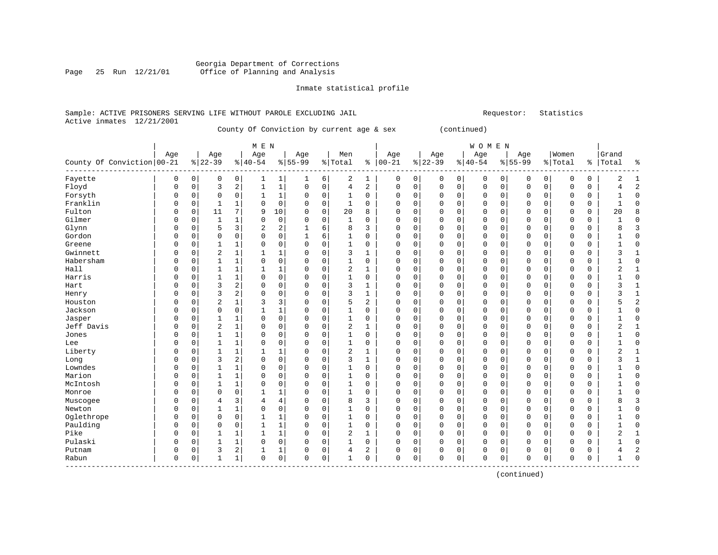#### Georgia Department of Corrections Page 25 Run 12/21/01 Office of Planning and Analysis

#### Inmate statistical profile

#### Sample: ACTIVE PRISONERS SERVING LIFE WITHOUT PAROLE EXCLUDING JAIL **Subset Construent Construent** Requestor: Statistics Active inmates 12/21/2001

County Of Conviction by current age & sex (continued)

| M E N | W O M E N | Age | Age | Age | Age | Men | Age | Age | Age | Age |Women |Grand County Of Conviction|00-21 %|22-39 %|40-54 %|55-99 %|Total % |00-21 %|22-39 %|40-54 %|55-99 %|Total % |Total % ------------------------------------------------------------------------------------------------------------------------------------Fayette | 0 0| 0 0| 1 1| 1 6| 2 1 | 0 0| 0 0| 0 0| 0 0| 0 0 | 2 1 Floyd | 0 0| 3 2| 1 1| 0 0| 4 2 | 0 0| 0 0| 0 0| 0 0| 0 0 | 4 2 Forsyth | 0 0| 0 0| 1 1| 0 0| 1 0 | 0 0| 0 0| 0 0| 0 0| 0 0 | 1 0 Franklin | 0 0| 1 1| 0 0| 0 0| 1 0 | 0 0| 0 0| 0 0| 0 0| 0 0 | 1 0 Fulton | 0 0| 11 7| 9 10| 0 0| 20 8 | 0 0| 0 0| 0 0| 0 0| 0 0 | 20 8 Gilmer | 0 0| 1 1| 0 0| 0 0| 1 0 | 0 0| 0 0| 0 0| 0 0| 0 0 | 1 0 Glynn | 0 0| 5 3| 2 2| 1 6| 8 3 | 0 0| 0 0| 0 0| 0 0| 0 0 | 8 3 Gordon | 0 0| 0 0| 0 0| 1 6| 1 0 | 0 0| 0 0| 0 0| 0 0| 0 0 | 1 0 Greene | 0 0| 1 1| 0 0| 0 0| 1 0 | 0 0| 0 0| 0 0| 0 0| 0 0 | 1 0 Gwinnett | 0 0| 2 1| 1 1| 0 0| 3 1 | 0 0| 0 0| 0 0| 0 0| 0 0 | 3 1 Habersham | 0 0| 1 1| 0 0| 0 0| 1 0 | 0 0| 0 0| 0 0| 0 0| 0 0 | 1 0 Hall | 0 0| 1 1| 1 1| 0 0| 2 1 | 0 0| 0 0| 0 0| 0 0| 0 0 | 2 1 Harris | 0 0| 1 1| 0 0| 0 0| 1 0 | 0 0| 0 0| 0 0| 0 0| 0 0 | 1 0 Hart | 0 0| 3 2| 0 0| 0 0| 3 1 | 0 0| 0 0| 0 0| 0 0| 0 0 | 3 1 Henry | 0 0| 3 2| 0 0| 0 0| 3 1 | 0 0| 0 0| 0 0| 0 0| 0 0 | 3 1 Houston | 0 0| 2 1| 3 3| 0 0| 5 2 | 0 0| 0 0| 0 0| 0 0| 0 0 | 5 2 Jackson | 0 0| 0 0| 1 1| 0 0| 1 0 | 0 0| 0 0| 0 0| 0 0| 0 0 | 1 0 Jasper | 0 0| 1 1| 0 0| 0 0| 1 0 | 0 0| 0 0| 0 0| 0 0| 0 0 | 1 0 Jeff Davis | 0 0| 2 1| 0 0| 0 0| 2 1 | 0 0| 0 0| 0 0| 0 0| 0 0 | 2 1 Jones | 0 0| 1 1| 0 0| 0 0| 1 0 | 0 0| 0 0| 0 0| 0 0| 0 0 | 1 0 Lee | 0 0| 1 1| 0 0| 0 0| 1 0 | 0 0| 0 0| 0 0| 0 0| 0 0 | 1 0 Liberty | 0 0| 1 1| 1 1| 0 0| 2 1 | 0 0| 0 0| 0 0| 0 0| 0 0 | 2 1 Long | 0 0| 3 2| 0 0| 0 0| 3 1 | 0 0| 0 0| 0 0| 0 0| 0 0 | 3 1 Lowndes | 0 0| 1 1| 0 0| 0 0| 1 0 | 0 0| 0 0| 0 0| 0 0| 0 0 | 1 0 Marion | 0 0| 1 1| 0 0| 0 0| 1 0 | 0 0| 0 0| 0 0| 0 0| 0 0 | 1 0 McIntosh | 0 0| 1 1| 0 0| 0 0| 1 0 | 0 0| 0 0| 0 0| 0 0| 0 0 | 1 0 Monroe | 0 0| 0 0| 1 1| 0 0| 1 0 | 0 0| 0 0| 0 0| 0 0| 0 0 | 1 0 Muscogee | 0 0| 4 3| 4 4| 0 0| 8 3 | 0 0| 0 0| 0 0| 0 0| 0 0 | 8 3 Newton | 0 0| 1 1| 0 0| 0 0| 1 0 | 0 0| 0 0| 0 0| 0 0| 0 0 | 1 0 Oglethrope | 0 0| 0 0| 1 1| 0 0| 1 0 | 0 0| 0 0| 0 0| 0 0| 0 0 | 1 0 Paulding | 0 0| 0 0| 1 1| 0 0| 1 0 | 0 0| 0 0| 0 0| 0 0| 0 0 | 1 0 Pike | 0 0| 1 1| 1 1| 0 0| 2 1 | 0 0| 0 0| 0 0| 0 0| 0 0 | 2 1 Pulaski | 0 0| 1 1| 0 0| 0 0| 1 0 | 0 0| 0 0| 0 0| 0 0| 0 0 | 1 0 Putnam | 0 0| 3 2| 1 1| 0 0| 4 2 | 0 0| 0 0| 0 0| 0 0| 0 0 | 4 2 Rabun | 0 0| 1 1| 0 0| 0 0| 1 0 | 0 0| 0 0| 0 0| 0 0| 0 0 | 1 0 ------------------------------------------------------------------------------------------------------------------------------------

(continued)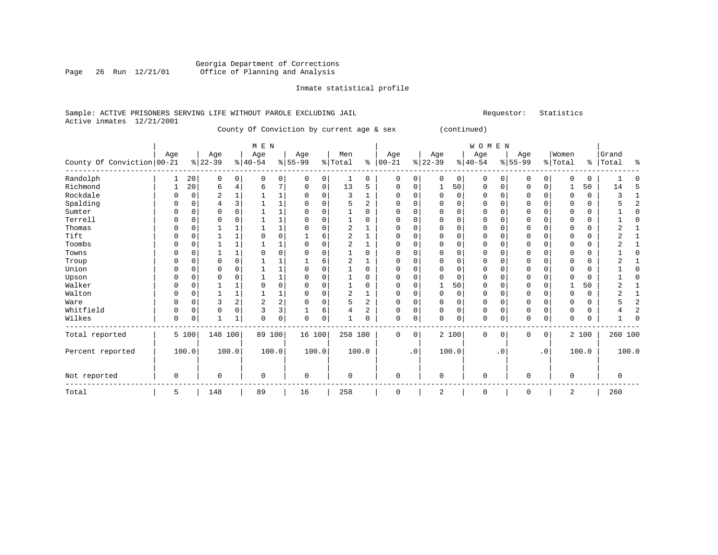#### Georgia Department of Corrections Page 26 Run 12/21/01 Office of Planning and Analysis

#### Inmate statistical profile

#### Sample: ACTIVE PRISONERS SERVING LIFE WITHOUT PAROLE EXCLUDING JAIL **Subset Activates** Requestor: Statistics Active inmates 12/21/2001

County Of Conviction by current age & sex (continued)

| M E N | W O M E N | Age | Age | Age | Age | Men | Age | Age | Age | Age |Women |Grand County Of Conviction 00-21  $\frac{1}{8}$  22-39  $\frac{1}{8}$  40-54  $\frac{1}{8}$  55-99  $\frac{1}{8}$  Total  $\frac{1}{8}$  Total  $\frac{1}{8}$   $\frac{1}{22-39}$   $\frac{1}{8}$   $\frac{1}{40-54}$   $\frac{1}{8}$   $\frac{1}{55-99}$   $\frac{1}{8}$   $\frac{1}{1}$  Total  $\frac{1}{8}$   $\frac{1}{$ ------------------------------------------------------------------------------------------------------------------------------------Randolph | 1 20| 0 0| 0 0| 0 0| 1 0 | 0 0| 0 0| 0 0| 0 0| 0 0 | 1 0 Richmond | 1 20| 6 4| 6 7| 0 0| 13 5 | 0 0| 1 50| 0 0| 0 0| 1 50 | 14 5 Rockdale | 0 0| 2 1| 1 1| 0 0| 3 1 | 0 0| 0 0| 0 0| 0 0| 0 0 | 3 1 Spalding | 0 0| 4 3| 1 1| 0 0| 5 2 | 0 0| 0 0| 0 0| 0 0| 0 0 | 5 2 Sumter | 0 0| 0 0| 1 1| 0 0| 1 0 | 0 0| 0 0| 0 0| 0 0| 0 0 | 1 0 Terrell | 0 0| 0 0| 1 1| 0 0| 1 0 | 0 0| 0 0| 0 0| 0 0| 0 0 | 1 0 Thomas | 0 0| 1 1| 1 1| 0 0| 2 1 | 0 0| 0 0| 0 0| 0 0| 0 0 | 2 1 Tift | 0 0| 1 1| 0 0| 1 6| 2 1 | 0 0| 0 0| 0 0| 0 0| 0 0 | 2 1 Toombs | 0 0| 1 1| 1 1| 0 0| 2 1 | 0 0| 0 0| 0 0| 0 0| 0 0 | 2 1 Towns | 0 0| 1 1| 0 0| 0 0| 1 0 | 0 0| 0 0| 0 0| 0 0| 0 0 | 1 0 Troup | 0 0| 0 0| 1 1| 1 6| 2 1 | 0 0| 0 0| 0 0| 0 0| 0 0 | 2 1 Union | 0 0| 0 0| 1 1| 0 0| 1 0 | 0 0| 0 0| 0 0| 0 0| 0 0 | 1 0 Upson | 0 0| 0 0| 1 1| 0 0| 1 0 | 0 0| 0 0| 0 0| 0 0| 0 0 | 1 0 Walker | 0 0| 1 1| 0 0| 0 0| 1 0 | 0 0| 1 50| 0 0| 0 0| 1 50 | 2 1 Walton | 0 0| 1 1| 1 1| 0 0| 2 1 | 0 0| 0 0| 0 0| 0 0| 0 0 | 2 1 Ware | 0 0| 3 2| 2 2| 0 0| 5 2 | 0 0| 0 0| 0 0| 0 0| 0 0 | 5 2 Whitfield | 0 0| 0 0| 3 3| 1 6| 4 2 | 0 0| 0 0| 0 0| 0 0| 0 0 | 4 2 Wilkes | 0 0| 1 1| 0 0| 0 0| 1 0 | 0 0| 0 0| 0 0| 0 0| 0 0 | 1 0 ------------------------------------------------------------------------------------------------------------------------------------Total reported | 5 100| 148 100| 89 100| 16 100| 258 100 | 0 0| 2 100| 0 0| 0 0| 2 100 | 260 100 | | | | | | | | | | | Percent reported | 100.0| 100.0| 100.0| 100.0| 100.0 | .0| 100.0| .0| .0| 100.0 | 100.0 | | | | | | | | | | | | | | | | | | | | | | Not reported | 0 | 0 | 0 | 0 | 0 | 0 | 0 | 0 | 0 | 0 | 0 ------------------------------------------------------------------------------------------------------------------------------------Total | 5 | 148 | 89 | 16 | 258 | 0 | 2 | 0 | 0 | 2 | 260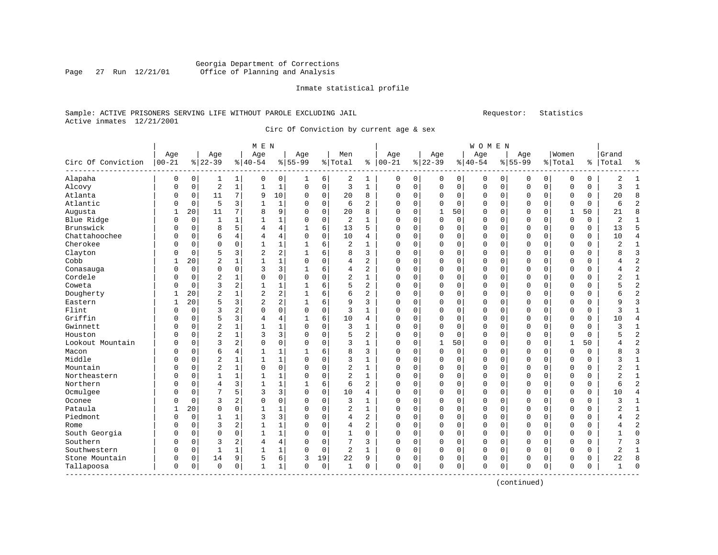# Georgia Department of Corrections Page 27 Run 12/21/01 Office of Planning and Analysis

#### Inmate statistical profile

# Sample: ACTIVE PRISONERS SERVING LIFE WITHOUT PAROLE EXCLUDING JAIL Requestor: Statistics Active inmates 12/21/2001

Circ Of Conviction by current age & sex

| Age<br>Age<br>Age<br>Age<br>Men<br>Age<br>Age<br>Age<br>Age<br>Women<br>Grand<br>$00 - 21$<br>$ 22-39$<br>Circ Of Conviction<br>$8 22-39$<br>$ 40-54$<br>$8 55-99$<br>% Total<br>$8   00 - 21$<br>$8 40-54$<br>$8155 - 99$<br>% Total<br>ႜ<br>Total<br>å<br>Alapaha<br>0<br>0<br>0<br>6<br>2<br>1<br>0<br>$\circ$<br>0<br>2<br>1<br>0<br>0<br> 0 <br>0<br>0<br>0<br>0<br>1<br>1<br>0<br>$\overline{2}$<br>$\mathbf{1}$<br>$\mathbf{1}$<br>$\mathbf{1}$<br>3<br>$\mathbf{1}$<br>3<br>$\overline{1}$<br>Alcovy<br>$\mathsf 0$<br>$\mathbf 0$<br>0<br>$\mathbf 0$<br>0<br>0<br>0<br>0<br>0<br>$\Omega$<br>$\Omega$<br>0<br>$\mathbf 0$<br>0<br>Atlanta<br>10<br>20<br>8<br>7<br>9<br>$\mathbf 0$<br>$\mathbf 0$<br>20<br>8<br>0<br>$\mathbf 0$<br>0<br>0<br>$\Omega$<br>11<br>$\Omega$<br>$\Omega$<br>$\Omega$<br>$\Omega$<br>0<br>$\Omega$<br>$\Omega$<br>Atlantic<br>5<br>3<br>$\overline{c}$<br>1<br>$\mathbf 0$<br>2<br>$\Omega$<br>0<br>6<br>O<br>0<br>$\mathbf{1}$<br>$\Omega$<br>6<br>$\Omega$<br>$\Omega$<br>$\Omega$<br>U<br>$\Omega$<br>$\Omega$<br>$\Omega$<br>O<br>20<br>11<br>8<br>9<br>$\mathbf 0$<br>20<br>8<br>$\Omega$<br>$\Omega$<br>$\mathbf{1}$<br>50<br>21<br>$\mathsf{R}$<br>Augusta<br>7<br>0<br>$\Omega$<br>50<br>$\Omega$<br>$\Omega$<br>$\Omega$<br>1<br>1<br>$\mathbf{1}$<br>$\overline{2}$<br>$\Omega$<br>$\mathbf 0$<br>0<br>2<br>Blue Ridge<br>0<br>0<br>1<br>1<br>1<br>0<br>0<br>1<br>0<br>$\Omega$<br>$\mathbf 0$<br>0<br>$\mathbf 0$<br>0<br>0<br>5<br>$\,4$<br>5<br>Brunswick<br>8<br>6<br>13<br>5<br>0<br>$\mathbf 0$<br>0<br>13<br>0<br>4<br>$\mathbf 0$<br>0<br>0<br>1<br>$\Omega$<br>$\Omega$<br>0<br>0<br>$\Omega$<br>Chattahoochee<br>$\overline{4}$<br>$\mathsf 0$<br>6<br>4<br>$\mathbf 0$<br>10<br>0<br>0<br>$\Omega$<br>0<br>10<br>4<br>0<br>0<br>4<br>$\Omega$<br>$\mathbf 0$<br>0<br>0<br>$\Omega$<br>4<br>Cherokee<br>$\overline{2}$<br>$\overline{2}$<br>$\mathbf 0$<br>$\mathbf 0$<br>$\mathbf{1}$<br>$\mathbf 1$<br>6<br>$\mathbf{1}$<br>0<br>$\Omega$<br>$\mathbf 0$<br>$\mathbf{1}$<br>O<br>0<br>1<br>$\cap$<br>$\Omega$<br>U<br>0<br>0<br>O<br>0<br>$\overline{2}$<br>5<br>3<br>$\overline{2}$<br>3<br>Clayton<br>6<br>8<br>3<br>8<br>0<br>1<br>0<br>0<br>$\Omega$<br>0<br>$\Omega$<br>0<br>O<br>$\Omega$<br>$\Omega$<br>$\mathbf 0$<br>0<br>$\overline{c}$<br>$\mathbf{1}$<br>Cobb<br>$\mathbf{1}$<br>$\Omega$<br>$\mathbf 0$<br>$\overline{a}$<br>$\overline{2}$<br>20<br>$\mathbf{1}$<br>$\Omega$<br>$\Omega$<br>$\Omega$<br>$\Omega$<br>$\Omega$<br>$\Omega$<br>0<br>$\mathbf{1}$<br>4<br>$\Omega$<br>$\Omega$<br>$\Omega$<br>4<br>3<br>3<br>6<br>$\overline{2}$<br>$\overline{a}$<br>$\Omega$<br>$\mathbf 0$<br>$\Omega$<br>$\mathbf{1}$<br>$\Omega$<br>$\Omega$<br>$\Omega$<br>$\Omega$<br>$\Omega$<br>Conasauga<br>O<br>4<br>$\Omega$<br>$\Omega$<br>$\Omega$<br>$\Omega$<br>$\Omega$<br>4<br>$\mathsf 0$<br>Cordele<br>$\overline{2}$<br>$\mathsf 0$<br>$\overline{2}$<br>$\mathbf 1$<br>2<br>$\mathbf{1}$<br>1<br>$\mathbf 0$<br>$\mathsf 0$<br>$\Omega$<br>$\Omega$<br>$\Omega$<br>0<br>0<br>O<br>$\Omega$<br>$\Omega$<br>$\Omega$<br>0<br>0<br>$\overline{2}$<br>3<br>6<br>5<br>$\overline{c}$<br>2<br>$\mathbf{1}$<br>$\mathbf 1$<br>$\mathbf{1}$<br>0<br>5<br>Coweta<br>0<br>0<br>$\Omega$<br>$\Omega$<br>$\mathbf 0$<br>0<br>0<br>$\Omega$<br>0<br>0<br>0<br>$\overline{2}$<br>Dougherty<br>20<br>$\overline{c}$<br>$\overline{2}$<br>6<br>6<br>$\overline{a}$<br>$\overline{c}$<br>1<br>1<br>$\Omega$<br>0<br>0<br>$\mathbf 0$<br>0<br>0<br>0<br>6<br>1<br>$\Omega$<br>$\mathbf 0$<br>0<br>2<br>5<br>3<br>20<br>$\overline{2}$<br>6<br>9<br>3<br>$\Omega$<br>9<br>3<br>Eastern<br>1<br>$\mathbf{1}$<br>$\Omega$<br>$\Omega$<br>$\Omega$<br>U<br>$\Omega$<br>$\Omega$<br>$\Omega$<br>0<br>O<br>3<br>$\mathbf 0$<br>Flint<br>$\mathbf 0$<br>2<br>$\Omega$<br>$\mathbf 0$<br>$\mathbf 0$<br>3<br>$\mathbf{1}$<br>0<br>$\Omega$<br>0<br>3<br>$\Omega$<br>$\Omega$<br>$\Omega$<br>$\Omega$<br>$\Omega$<br>$\Omega$<br>$\Omega$<br>$\mathbf{1}$<br>O<br>Griffin<br>5<br>3<br>4<br>6<br>10<br>10<br>$\Omega$<br>1<br>$\Omega$<br>$\Omega$<br>$\Omega$<br>$\Omega$<br>$\Omega$<br>0<br>0<br>4<br>U<br>4<br>4<br>0<br>O<br>0<br>$\overline{c}$<br>$\mathbf{1}$<br>Gwinnett<br>$\mathbf{1}$<br>$\mathbf{1}$<br>$\mathbf 0$<br>3<br>$\Omega$<br>3<br>0<br>0<br>1<br>0<br>$\mathbf 0$<br>$\Omega$<br>0<br>$\mathbf{1}$<br>0<br>$\Omega$<br>$\Omega$<br>0<br>0<br>$\Omega$<br>$\overline{c}$<br>3<br>$\overline{c}$<br>3<br>$\mathbf 0$<br>5<br>2<br>5<br>Houston<br>$\Omega$<br>$\mathbf 0$<br>$\mathbf{1}$<br>$\Omega$<br>0<br>$\Omega$<br>$\Omega$<br>$\Omega$<br>$\Omega$<br>$\Omega$<br>0<br>$\Omega$<br>0<br>$\Omega$<br>3<br>2<br>$\mathbf 0$<br>3<br>50<br>$\overline{a}$<br>$\Omega$<br>$\Omega$<br>$\mathbf 0$<br>$\mathbf{1}$<br>0<br>$\Omega$<br>$\mathbf 0$<br>$\mathbf{1}$<br>Lookout Mountain<br>O<br>0<br>$\Omega$<br>50<br>U<br>4<br>$\mathbf{1}$<br>0<br>6<br>4<br>$\mathbf 1$<br>6<br>8<br>3<br>3<br>O<br>0<br>$\mathbf{1}$<br>0<br>$\mathbf 0$<br>0<br>$\Omega$<br>0<br>0<br>0<br>8<br>Macon<br>1<br>O<br>$\Omega$<br>0<br>Middle<br>$\overline{c}$<br>$\mathbf{1}$<br>0<br>1<br>1<br>0<br>$\mathbf 0$<br>3<br>1<br>0<br>$\mathbf 0$<br>0<br>0<br>$\Omega$<br>0<br>$\Omega$<br>0<br>3<br>1<br>O<br>$\Omega$<br>$\Omega$<br>Mountain<br>$\overline{2}$<br>$\mathbf 0$<br>$\overline{c}$<br>2<br>$\mathbf{1}$<br>$\mathbf{1}$<br>$\Omega$<br>$\Omega$<br>$\mathbf 0$<br>$\mathbf{1}$<br>$\Omega$<br>$\Omega$<br>$\Omega$<br>$\Omega$<br>0<br>$\Omega$<br>$\Omega$<br>$\Omega$<br>$\Omega$<br>$\Omega$<br>$\Omega$<br>$\Omega$<br>$\mathbf 1$<br>$\mathsf 0$<br>$\overline{2}$<br>Northeastern<br>$\mathbf{1}$<br>$\mathbf{1}$<br>$\Omega$<br>$\mathbf{1}$<br>$\Omega$<br>$\Omega$<br>$\Omega$<br>$\overline{2}$<br>$\mathbf{1}$<br>0<br>0<br>$\mathbf{1}$<br>$\Omega$<br>$\Omega$<br>0<br>$\Omega$<br>$\Omega$<br>$\Omega$<br>0<br>3<br>$\mathbf 1$<br>6<br>2<br>$\overline{2}$<br>Northern<br>$\overline{4}$<br>$\mathbf{1}$<br>6<br>0<br>$\mathbf 0$<br>0<br>$\mathbf 0$<br>0<br>6<br>0<br>0<br>$\mathbf{1}$<br>$\Omega$<br>0<br>0<br>$\Omega$<br>7<br>5<br>3<br>Ocmulgee<br>3<br>$\mathbf 0$<br>$\mathbf 0$<br>10<br>$\overline{4}$<br>O<br>$\Omega$<br>0<br>$\mathbf 0$<br>0<br>0<br>0<br>10<br>0<br>4<br>$\Omega$<br>$\mathbf 0$<br>0<br>0<br>Oconee<br>3<br>2<br>$\mathbf 0$<br>$\mathbf 0$<br>$\mathbf 0$<br>3<br>$\mathbf{1}$<br>0<br>0<br>3<br>O<br>$\Omega$<br>0<br>$\Omega$<br>$\Omega$<br>0<br>$\Omega$<br>0<br>0<br>$\mathbf{1}$<br>O<br>0<br>$\overline{a}$<br>Pataula<br>20<br>$\mathbf 0$<br>$\mathbf 0$<br>$\mathbf 1$<br>$\mathbf 0$<br>$\mathbf{1}$<br>0<br>0<br>2<br>$\mathbf{1}$<br>1<br>$\Omega$<br>$\Omega$<br>$\Omega$<br>O<br>O<br>$\Omega$<br>$\Omega$<br>$\Omega$<br>1<br>Piedmont<br>3<br>$\overline{c}$<br>3<br>$\mathbf 0$<br>2<br>$\Omega$<br>1<br>1<br>$\Omega$<br>4<br>$\Omega$<br>$\Omega$<br>$\Omega$<br>$\Omega$<br>$\Omega$<br>$\Omega$<br>0<br>4<br>U<br>O<br>O<br>0<br>2<br>$\overline{c}$<br>3<br>$\mathbf{1}$<br>$\mathbf 0$<br>$\overline{a}$<br>$\Omega$<br>1<br>0<br>4<br>0<br>$\mathbf 0$<br>0<br>0<br>Rome<br>0<br>0<br>$\Omega$<br>$\Omega$<br>0<br>0<br>$\Omega$<br>4<br>$\mathbf 0$<br>$\mathbf 0$<br>$\mathbf{1}$<br>$\mathbf 1$<br>$\mathbf 0$<br>$\mathbf 1$<br>$\Omega$<br>0<br>$\Omega$<br>$\Omega$<br>South Georgia<br>$\mathbf 0$<br>$\Omega$<br>$\mathbf 0$<br>$\Omega$<br>$\Omega$<br>$\Omega$<br>0<br>$\Omega$<br>$\Omega$<br>0<br>$\Omega$<br>1<br>7<br>Southern<br>3<br>2<br>$\overline{4}$<br>$\mathbf 0$<br>3<br>0<br>7<br>3<br>O<br>0<br>0<br>$\Omega$<br>$\Omega$<br>$\mathbf 0$<br>0<br>0<br>$\Omega$<br>0<br>$\Omega$<br>0<br>4<br>Southwestern<br>$\mathbf 1$<br>2<br>$\mathbf{1}$<br>2<br>O<br>1<br>1<br>$\mathbf{1}$<br>$\Omega$<br>$\mathbf 0$<br>$\Omega$<br>0<br>0<br>$\mathbf 0$<br>0<br>0<br>0<br>$\mathbf{1}$<br>0<br>0<br>0<br>0<br>Stone Mountain<br>6<br>19<br>22<br>0<br>14<br>9<br>5<br>3<br>22<br>9<br>0<br>0<br>8<br>0<br>0<br>$\mathbf 0$<br>0<br>0<br>$\mathbf 0$<br>0<br>$\Omega$<br>0<br>$\mathbf 1$<br>Tallapoosa<br>$\Omega$<br>$\Omega$<br>$\mathsf 0$<br>$\mathbf{1}$<br>$\Omega$<br>$\mathbf 0$<br>$\mathbf{1}$<br>$\Omega$<br>$\Omega$<br>0<br>$\mathbf 0$<br>$\Omega$<br>$\Omega$<br>0<br>$\Omega$<br>0<br>$\sqrt{ }$<br>0<br>$\Omega$<br>0<br>$\mathbf{1}$ |  |  | M E N |  |  |  |  | WOMEN |  |  |  |  |
|---------------------------------------------------------------------------------------------------------------------------------------------------------------------------------------------------------------------------------------------------------------------------------------------------------------------------------------------------------------------------------------------------------------------------------------------------------------------------------------------------------------------------------------------------------------------------------------------------------------------------------------------------------------------------------------------------------------------------------------------------------------------------------------------------------------------------------------------------------------------------------------------------------------------------------------------------------------------------------------------------------------------------------------------------------------------------------------------------------------------------------------------------------------------------------------------------------------------------------------------------------------------------------------------------------------------------------------------------------------------------------------------------------------------------------------------------------------------------------------------------------------------------------------------------------------------------------------------------------------------------------------------------------------------------------------------------------------------------------------------------------------------------------------------------------------------------------------------------------------------------------------------------------------------------------------------------------------------------------------------------------------------------------------------------------------------------------------------------------------------------------------------------------------------------------------------------------------------------------------------------------------------------------------------------------------------------------------------------------------------------------------------------------------------------------------------------------------------------------------------------------------------------------------------------------------------------------------------------------------------------------------------------------------------------------------------------------------------------------------------------------------------------------------------------------------------------------------------------------------------------------------------------------------------------------------------------------------------------------------------------------------------------------------------------------------------------------------------------------------------------------------------------------------------------------------------------------------------------------------------------------------------------------------------------------------------------------------------------------------------------------------------------------------------------------------------------------------------------------------------------------------------------------------------------------------------------------------------------------------------------------------------------------------------------------------------------------------------------------------------------------------------------------------------------------------------------------------------------------------------------------------------------------------------------------------------------------------------------------------------------------------------------------------------------------------------------------------------------------------------------------------------------------------------------------------------------------------------------------------------------------------------------------------------------------------------------------------------------------------------------------------------------------------------------------------------------------------------------------------------------------------------------------------------------------------------------------------------------------------------------------------------------------------------------------------------------------------------------------------------------------------------------------------------------------------------------------------------------------------------------------------------------------------------------------------------------------------------------------------------------------------------------------------------------------------------------------------------------------------------------------------------------------------------------------------------------------------------------------------------------------------------------------------------------------------------------------------------------------------------------------------------------------------------------------------------------------------------------------------------------------------------------------------------------------------------------------------------------------------------------------------------------------------------------------------------------------------------------------------------------------------------------------------------------------------------------------------------------------------------------------------------------------------------------------------------------------------------------------------------------------------------------------------------------------------------------------------------------------------------------------------------------------------------------------------------------------------------------------------------------------------------------------------------------------------------------------------------------------------------------------------------------------------------------------------------------------------------------------------------------------------------------------------------------------------------------------------------------------------------------------------------------------------------------------------------------------------------------------------------------------------------------------------------------------------------------------------------------------------------------------------------------------------------------------------------------------------------------------------------------------------------------------------------------------------------------------------------------------------------------------------------------------------------------------------------------------------------------------------------------------------------------------------------------------------------------------------------------------------------------------------------------------------------------------------------------------------------------------------------------------------------------------------------------------------------------------------------------------------------------------------------------------------------------------------------------------------------------------------------------------------------------------------------------------------------------------------------------------------------------------------------------------------------------------------------------------------------------------------------------------------------------------------------------------------------------------------------------------------------------------------------------------------------------------------------------------------------------------------------------------------------------------------------------------------------------------|--|--|-------|--|--|--|--|-------|--|--|--|--|
|                                                                                                                                                                                                                                                                                                                                                                                                                                                                                                                                                                                                                                                                                                                                                                                                                                                                                                                                                                                                                                                                                                                                                                                                                                                                                                                                                                                                                                                                                                                                                                                                                                                                                                                                                                                                                                                                                                                                                                                                                                                                                                                                                                                                                                                                                                                                                                                                                                                                                                                                                                                                                                                                                                                                                                                                                                                                                                                                                                                                                                                                                                                                                                                                                                                                                                                                                                                                                                                                                                                                                                                                                                                                                                                                                                                                                                                                                                                                                                                                                                                                                                                                                                                                                                                                                                                                                                                                                                                                                                                                                                                                                                                                                                                                                                                                                                                                                                                                                                                                                                                                                                                                                                                                                                                                                                                                                                                                                                                                                                                                                                                                                                                                                                                                                                                                                                                                                                                                                                                                                                                                                                                                                                                                                                                                                                                                                                                                                                                                                                                                                                                                                                                                                                                                                                                                                                                                                                                                                                                                                                                                                                                                                                                                                                                                                                                                                                                                                                                                                                                                                                                                                                                                                                                                                                                                                                                                                                                                                                                                                                                                                                                                                                                                                                                                                                                                 |  |  |       |  |  |  |  |       |  |  |  |  |
|                                                                                                                                                                                                                                                                                                                                                                                                                                                                                                                                                                                                                                                                                                                                                                                                                                                                                                                                                                                                                                                                                                                                                                                                                                                                                                                                                                                                                                                                                                                                                                                                                                                                                                                                                                                                                                                                                                                                                                                                                                                                                                                                                                                                                                                                                                                                                                                                                                                                                                                                                                                                                                                                                                                                                                                                                                                                                                                                                                                                                                                                                                                                                                                                                                                                                                                                                                                                                                                                                                                                                                                                                                                                                                                                                                                                                                                                                                                                                                                                                                                                                                                                                                                                                                                                                                                                                                                                                                                                                                                                                                                                                                                                                                                                                                                                                                                                                                                                                                                                                                                                                                                                                                                                                                                                                                                                                                                                                                                                                                                                                                                                                                                                                                                                                                                                                                                                                                                                                                                                                                                                                                                                                                                                                                                                                                                                                                                                                                                                                                                                                                                                                                                                                                                                                                                                                                                                                                                                                                                                                                                                                                                                                                                                                                                                                                                                                                                                                                                                                                                                                                                                                                                                                                                                                                                                                                                                                                                                                                                                                                                                                                                                                                                                                                                                                                                                 |  |  |       |  |  |  |  |       |  |  |  |  |
|                                                                                                                                                                                                                                                                                                                                                                                                                                                                                                                                                                                                                                                                                                                                                                                                                                                                                                                                                                                                                                                                                                                                                                                                                                                                                                                                                                                                                                                                                                                                                                                                                                                                                                                                                                                                                                                                                                                                                                                                                                                                                                                                                                                                                                                                                                                                                                                                                                                                                                                                                                                                                                                                                                                                                                                                                                                                                                                                                                                                                                                                                                                                                                                                                                                                                                                                                                                                                                                                                                                                                                                                                                                                                                                                                                                                                                                                                                                                                                                                                                                                                                                                                                                                                                                                                                                                                                                                                                                                                                                                                                                                                                                                                                                                                                                                                                                                                                                                                                                                                                                                                                                                                                                                                                                                                                                                                                                                                                                                                                                                                                                                                                                                                                                                                                                                                                                                                                                                                                                                                                                                                                                                                                                                                                                                                                                                                                                                                                                                                                                                                                                                                                                                                                                                                                                                                                                                                                                                                                                                                                                                                                                                                                                                                                                                                                                                                                                                                                                                                                                                                                                                                                                                                                                                                                                                                                                                                                                                                                                                                                                                                                                                                                                                                                                                                                                                 |  |  |       |  |  |  |  |       |  |  |  |  |
|                                                                                                                                                                                                                                                                                                                                                                                                                                                                                                                                                                                                                                                                                                                                                                                                                                                                                                                                                                                                                                                                                                                                                                                                                                                                                                                                                                                                                                                                                                                                                                                                                                                                                                                                                                                                                                                                                                                                                                                                                                                                                                                                                                                                                                                                                                                                                                                                                                                                                                                                                                                                                                                                                                                                                                                                                                                                                                                                                                                                                                                                                                                                                                                                                                                                                                                                                                                                                                                                                                                                                                                                                                                                                                                                                                                                                                                                                                                                                                                                                                                                                                                                                                                                                                                                                                                                                                                                                                                                                                                                                                                                                                                                                                                                                                                                                                                                                                                                                                                                                                                                                                                                                                                                                                                                                                                                                                                                                                                                                                                                                                                                                                                                                                                                                                                                                                                                                                                                                                                                                                                                                                                                                                                                                                                                                                                                                                                                                                                                                                                                                                                                                                                                                                                                                                                                                                                                                                                                                                                                                                                                                                                                                                                                                                                                                                                                                                                                                                                                                                                                                                                                                                                                                                                                                                                                                                                                                                                                                                                                                                                                                                                                                                                                                                                                                                                                 |  |  |       |  |  |  |  |       |  |  |  |  |
|                                                                                                                                                                                                                                                                                                                                                                                                                                                                                                                                                                                                                                                                                                                                                                                                                                                                                                                                                                                                                                                                                                                                                                                                                                                                                                                                                                                                                                                                                                                                                                                                                                                                                                                                                                                                                                                                                                                                                                                                                                                                                                                                                                                                                                                                                                                                                                                                                                                                                                                                                                                                                                                                                                                                                                                                                                                                                                                                                                                                                                                                                                                                                                                                                                                                                                                                                                                                                                                                                                                                                                                                                                                                                                                                                                                                                                                                                                                                                                                                                                                                                                                                                                                                                                                                                                                                                                                                                                                                                                                                                                                                                                                                                                                                                                                                                                                                                                                                                                                                                                                                                                                                                                                                                                                                                                                                                                                                                                                                                                                                                                                                                                                                                                                                                                                                                                                                                                                                                                                                                                                                                                                                                                                                                                                                                                                                                                                                                                                                                                                                                                                                                                                                                                                                                                                                                                                                                                                                                                                                                                                                                                                                                                                                                                                                                                                                                                                                                                                                                                                                                                                                                                                                                                                                                                                                                                                                                                                                                                                                                                                                                                                                                                                                                                                                                                                                 |  |  |       |  |  |  |  |       |  |  |  |  |
|                                                                                                                                                                                                                                                                                                                                                                                                                                                                                                                                                                                                                                                                                                                                                                                                                                                                                                                                                                                                                                                                                                                                                                                                                                                                                                                                                                                                                                                                                                                                                                                                                                                                                                                                                                                                                                                                                                                                                                                                                                                                                                                                                                                                                                                                                                                                                                                                                                                                                                                                                                                                                                                                                                                                                                                                                                                                                                                                                                                                                                                                                                                                                                                                                                                                                                                                                                                                                                                                                                                                                                                                                                                                                                                                                                                                                                                                                                                                                                                                                                                                                                                                                                                                                                                                                                                                                                                                                                                                                                                                                                                                                                                                                                                                                                                                                                                                                                                                                                                                                                                                                                                                                                                                                                                                                                                                                                                                                                                                                                                                                                                                                                                                                                                                                                                                                                                                                                                                                                                                                                                                                                                                                                                                                                                                                                                                                                                                                                                                                                                                                                                                                                                                                                                                                                                                                                                                                                                                                                                                                                                                                                                                                                                                                                                                                                                                                                                                                                                                                                                                                                                                                                                                                                                                                                                                                                                                                                                                                                                                                                                                                                                                                                                                                                                                                                                                 |  |  |       |  |  |  |  |       |  |  |  |  |
|                                                                                                                                                                                                                                                                                                                                                                                                                                                                                                                                                                                                                                                                                                                                                                                                                                                                                                                                                                                                                                                                                                                                                                                                                                                                                                                                                                                                                                                                                                                                                                                                                                                                                                                                                                                                                                                                                                                                                                                                                                                                                                                                                                                                                                                                                                                                                                                                                                                                                                                                                                                                                                                                                                                                                                                                                                                                                                                                                                                                                                                                                                                                                                                                                                                                                                                                                                                                                                                                                                                                                                                                                                                                                                                                                                                                                                                                                                                                                                                                                                                                                                                                                                                                                                                                                                                                                                                                                                                                                                                                                                                                                                                                                                                                                                                                                                                                                                                                                                                                                                                                                                                                                                                                                                                                                                                                                                                                                                                                                                                                                                                                                                                                                                                                                                                                                                                                                                                                                                                                                                                                                                                                                                                                                                                                                                                                                                                                                                                                                                                                                                                                                                                                                                                                                                                                                                                                                                                                                                                                                                                                                                                                                                                                                                                                                                                                                                                                                                                                                                                                                                                                                                                                                                                                                                                                                                                                                                                                                                                                                                                                                                                                                                                                                                                                                                                                 |  |  |       |  |  |  |  |       |  |  |  |  |
|                                                                                                                                                                                                                                                                                                                                                                                                                                                                                                                                                                                                                                                                                                                                                                                                                                                                                                                                                                                                                                                                                                                                                                                                                                                                                                                                                                                                                                                                                                                                                                                                                                                                                                                                                                                                                                                                                                                                                                                                                                                                                                                                                                                                                                                                                                                                                                                                                                                                                                                                                                                                                                                                                                                                                                                                                                                                                                                                                                                                                                                                                                                                                                                                                                                                                                                                                                                                                                                                                                                                                                                                                                                                                                                                                                                                                                                                                                                                                                                                                                                                                                                                                                                                                                                                                                                                                                                                                                                                                                                                                                                                                                                                                                                                                                                                                                                                                                                                                                                                                                                                                                                                                                                                                                                                                                                                                                                                                                                                                                                                                                                                                                                                                                                                                                                                                                                                                                                                                                                                                                                                                                                                                                                                                                                                                                                                                                                                                                                                                                                                                                                                                                                                                                                                                                                                                                                                                                                                                                                                                                                                                                                                                                                                                                                                                                                                                                                                                                                                                                                                                                                                                                                                                                                                                                                                                                                                                                                                                                                                                                                                                                                                                                                                                                                                                                                                 |  |  |       |  |  |  |  |       |  |  |  |  |
|                                                                                                                                                                                                                                                                                                                                                                                                                                                                                                                                                                                                                                                                                                                                                                                                                                                                                                                                                                                                                                                                                                                                                                                                                                                                                                                                                                                                                                                                                                                                                                                                                                                                                                                                                                                                                                                                                                                                                                                                                                                                                                                                                                                                                                                                                                                                                                                                                                                                                                                                                                                                                                                                                                                                                                                                                                                                                                                                                                                                                                                                                                                                                                                                                                                                                                                                                                                                                                                                                                                                                                                                                                                                                                                                                                                                                                                                                                                                                                                                                                                                                                                                                                                                                                                                                                                                                                                                                                                                                                                                                                                                                                                                                                                                                                                                                                                                                                                                                                                                                                                                                                                                                                                                                                                                                                                                                                                                                                                                                                                                                                                                                                                                                                                                                                                                                                                                                                                                                                                                                                                                                                                                                                                                                                                                                                                                                                                                                                                                                                                                                                                                                                                                                                                                                                                                                                                                                                                                                                                                                                                                                                                                                                                                                                                                                                                                                                                                                                                                                                                                                                                                                                                                                                                                                                                                                                                                                                                                                                                                                                                                                                                                                                                                                                                                                                                                 |  |  |       |  |  |  |  |       |  |  |  |  |
|                                                                                                                                                                                                                                                                                                                                                                                                                                                                                                                                                                                                                                                                                                                                                                                                                                                                                                                                                                                                                                                                                                                                                                                                                                                                                                                                                                                                                                                                                                                                                                                                                                                                                                                                                                                                                                                                                                                                                                                                                                                                                                                                                                                                                                                                                                                                                                                                                                                                                                                                                                                                                                                                                                                                                                                                                                                                                                                                                                                                                                                                                                                                                                                                                                                                                                                                                                                                                                                                                                                                                                                                                                                                                                                                                                                                                                                                                                                                                                                                                                                                                                                                                                                                                                                                                                                                                                                                                                                                                                                                                                                                                                                                                                                                                                                                                                                                                                                                                                                                                                                                                                                                                                                                                                                                                                                                                                                                                                                                                                                                                                                                                                                                                                                                                                                                                                                                                                                                                                                                                                                                                                                                                                                                                                                                                                                                                                                                                                                                                                                                                                                                                                                                                                                                                                                                                                                                                                                                                                                                                                                                                                                                                                                                                                                                                                                                                                                                                                                                                                                                                                                                                                                                                                                                                                                                                                                                                                                                                                                                                                                                                                                                                                                                                                                                                                                                 |  |  |       |  |  |  |  |       |  |  |  |  |
|                                                                                                                                                                                                                                                                                                                                                                                                                                                                                                                                                                                                                                                                                                                                                                                                                                                                                                                                                                                                                                                                                                                                                                                                                                                                                                                                                                                                                                                                                                                                                                                                                                                                                                                                                                                                                                                                                                                                                                                                                                                                                                                                                                                                                                                                                                                                                                                                                                                                                                                                                                                                                                                                                                                                                                                                                                                                                                                                                                                                                                                                                                                                                                                                                                                                                                                                                                                                                                                                                                                                                                                                                                                                                                                                                                                                                                                                                                                                                                                                                                                                                                                                                                                                                                                                                                                                                                                                                                                                                                                                                                                                                                                                                                                                                                                                                                                                                                                                                                                                                                                                                                                                                                                                                                                                                                                                                                                                                                                                                                                                                                                                                                                                                                                                                                                                                                                                                                                                                                                                                                                                                                                                                                                                                                                                                                                                                                                                                                                                                                                                                                                                                                                                                                                                                                                                                                                                                                                                                                                                                                                                                                                                                                                                                                                                                                                                                                                                                                                                                                                                                                                                                                                                                                                                                                                                                                                                                                                                                                                                                                                                                                                                                                                                                                                                                                                                 |  |  |       |  |  |  |  |       |  |  |  |  |
|                                                                                                                                                                                                                                                                                                                                                                                                                                                                                                                                                                                                                                                                                                                                                                                                                                                                                                                                                                                                                                                                                                                                                                                                                                                                                                                                                                                                                                                                                                                                                                                                                                                                                                                                                                                                                                                                                                                                                                                                                                                                                                                                                                                                                                                                                                                                                                                                                                                                                                                                                                                                                                                                                                                                                                                                                                                                                                                                                                                                                                                                                                                                                                                                                                                                                                                                                                                                                                                                                                                                                                                                                                                                                                                                                                                                                                                                                                                                                                                                                                                                                                                                                                                                                                                                                                                                                                                                                                                                                                                                                                                                                                                                                                                                                                                                                                                                                                                                                                                                                                                                                                                                                                                                                                                                                                                                                                                                                                                                                                                                                                                                                                                                                                                                                                                                                                                                                                                                                                                                                                                                                                                                                                                                                                                                                                                                                                                                                                                                                                                                                                                                                                                                                                                                                                                                                                                                                                                                                                                                                                                                                                                                                                                                                                                                                                                                                                                                                                                                                                                                                                                                                                                                                                                                                                                                                                                                                                                                                                                                                                                                                                                                                                                                                                                                                                                                 |  |  |       |  |  |  |  |       |  |  |  |  |
|                                                                                                                                                                                                                                                                                                                                                                                                                                                                                                                                                                                                                                                                                                                                                                                                                                                                                                                                                                                                                                                                                                                                                                                                                                                                                                                                                                                                                                                                                                                                                                                                                                                                                                                                                                                                                                                                                                                                                                                                                                                                                                                                                                                                                                                                                                                                                                                                                                                                                                                                                                                                                                                                                                                                                                                                                                                                                                                                                                                                                                                                                                                                                                                                                                                                                                                                                                                                                                                                                                                                                                                                                                                                                                                                                                                                                                                                                                                                                                                                                                                                                                                                                                                                                                                                                                                                                                                                                                                                                                                                                                                                                                                                                                                                                                                                                                                                                                                                                                                                                                                                                                                                                                                                                                                                                                                                                                                                                                                                                                                                                                                                                                                                                                                                                                                                                                                                                                                                                                                                                                                                                                                                                                                                                                                                                                                                                                                                                                                                                                                                                                                                                                                                                                                                                                                                                                                                                                                                                                                                                                                                                                                                                                                                                                                                                                                                                                                                                                                                                                                                                                                                                                                                                                                                                                                                                                                                                                                                                                                                                                                                                                                                                                                                                                                                                                                                 |  |  |       |  |  |  |  |       |  |  |  |  |
|                                                                                                                                                                                                                                                                                                                                                                                                                                                                                                                                                                                                                                                                                                                                                                                                                                                                                                                                                                                                                                                                                                                                                                                                                                                                                                                                                                                                                                                                                                                                                                                                                                                                                                                                                                                                                                                                                                                                                                                                                                                                                                                                                                                                                                                                                                                                                                                                                                                                                                                                                                                                                                                                                                                                                                                                                                                                                                                                                                                                                                                                                                                                                                                                                                                                                                                                                                                                                                                                                                                                                                                                                                                                                                                                                                                                                                                                                                                                                                                                                                                                                                                                                                                                                                                                                                                                                                                                                                                                                                                                                                                                                                                                                                                                                                                                                                                                                                                                                                                                                                                                                                                                                                                                                                                                                                                                                                                                                                                                                                                                                                                                                                                                                                                                                                                                                                                                                                                                                                                                                                                                                                                                                                                                                                                                                                                                                                                                                                                                                                                                                                                                                                                                                                                                                                                                                                                                                                                                                                                                                                                                                                                                                                                                                                                                                                                                                                                                                                                                                                                                                                                                                                                                                                                                                                                                                                                                                                                                                                                                                                                                                                                                                                                                                                                                                                                                 |  |  |       |  |  |  |  |       |  |  |  |  |
|                                                                                                                                                                                                                                                                                                                                                                                                                                                                                                                                                                                                                                                                                                                                                                                                                                                                                                                                                                                                                                                                                                                                                                                                                                                                                                                                                                                                                                                                                                                                                                                                                                                                                                                                                                                                                                                                                                                                                                                                                                                                                                                                                                                                                                                                                                                                                                                                                                                                                                                                                                                                                                                                                                                                                                                                                                                                                                                                                                                                                                                                                                                                                                                                                                                                                                                                                                                                                                                                                                                                                                                                                                                                                                                                                                                                                                                                                                                                                                                                                                                                                                                                                                                                                                                                                                                                                                                                                                                                                                                                                                                                                                                                                                                                                                                                                                                                                                                                                                                                                                                                                                                                                                                                                                                                                                                                                                                                                                                                                                                                                                                                                                                                                                                                                                                                                                                                                                                                                                                                                                                                                                                                                                                                                                                                                                                                                                                                                                                                                                                                                                                                                                                                                                                                                                                                                                                                                                                                                                                                                                                                                                                                                                                                                                                                                                                                                                                                                                                                                                                                                                                                                                                                                                                                                                                                                                                                                                                                                                                                                                                                                                                                                                                                                                                                                                                                 |  |  |       |  |  |  |  |       |  |  |  |  |
|                                                                                                                                                                                                                                                                                                                                                                                                                                                                                                                                                                                                                                                                                                                                                                                                                                                                                                                                                                                                                                                                                                                                                                                                                                                                                                                                                                                                                                                                                                                                                                                                                                                                                                                                                                                                                                                                                                                                                                                                                                                                                                                                                                                                                                                                                                                                                                                                                                                                                                                                                                                                                                                                                                                                                                                                                                                                                                                                                                                                                                                                                                                                                                                                                                                                                                                                                                                                                                                                                                                                                                                                                                                                                                                                                                                                                                                                                                                                                                                                                                                                                                                                                                                                                                                                                                                                                                                                                                                                                                                                                                                                                                                                                                                                                                                                                                                                                                                                                                                                                                                                                                                                                                                                                                                                                                                                                                                                                                                                                                                                                                                                                                                                                                                                                                                                                                                                                                                                                                                                                                                                                                                                                                                                                                                                                                                                                                                                                                                                                                                                                                                                                                                                                                                                                                                                                                                                                                                                                                                                                                                                                                                                                                                                                                                                                                                                                                                                                                                                                                                                                                                                                                                                                                                                                                                                                                                                                                                                                                                                                                                                                                                                                                                                                                                                                                                                 |  |  |       |  |  |  |  |       |  |  |  |  |
|                                                                                                                                                                                                                                                                                                                                                                                                                                                                                                                                                                                                                                                                                                                                                                                                                                                                                                                                                                                                                                                                                                                                                                                                                                                                                                                                                                                                                                                                                                                                                                                                                                                                                                                                                                                                                                                                                                                                                                                                                                                                                                                                                                                                                                                                                                                                                                                                                                                                                                                                                                                                                                                                                                                                                                                                                                                                                                                                                                                                                                                                                                                                                                                                                                                                                                                                                                                                                                                                                                                                                                                                                                                                                                                                                                                                                                                                                                                                                                                                                                                                                                                                                                                                                                                                                                                                                                                                                                                                                                                                                                                                                                                                                                                                                                                                                                                                                                                                                                                                                                                                                                                                                                                                                                                                                                                                                                                                                                                                                                                                                                                                                                                                                                                                                                                                                                                                                                                                                                                                                                                                                                                                                                                                                                                                                                                                                                                                                                                                                                                                                                                                                                                                                                                                                                                                                                                                                                                                                                                                                                                                                                                                                                                                                                                                                                                                                                                                                                                                                                                                                                                                                                                                                                                                                                                                                                                                                                                                                                                                                                                                                                                                                                                                                                                                                                                                 |  |  |       |  |  |  |  |       |  |  |  |  |
|                                                                                                                                                                                                                                                                                                                                                                                                                                                                                                                                                                                                                                                                                                                                                                                                                                                                                                                                                                                                                                                                                                                                                                                                                                                                                                                                                                                                                                                                                                                                                                                                                                                                                                                                                                                                                                                                                                                                                                                                                                                                                                                                                                                                                                                                                                                                                                                                                                                                                                                                                                                                                                                                                                                                                                                                                                                                                                                                                                                                                                                                                                                                                                                                                                                                                                                                                                                                                                                                                                                                                                                                                                                                                                                                                                                                                                                                                                                                                                                                                                                                                                                                                                                                                                                                                                                                                                                                                                                                                                                                                                                                                                                                                                                                                                                                                                                                                                                                                                                                                                                                                                                                                                                                                                                                                                                                                                                                                                                                                                                                                                                                                                                                                                                                                                                                                                                                                                                                                                                                                                                                                                                                                                                                                                                                                                                                                                                                                                                                                                                                                                                                                                                                                                                                                                                                                                                                                                                                                                                                                                                                                                                                                                                                                                                                                                                                                                                                                                                                                                                                                                                                                                                                                                                                                                                                                                                                                                                                                                                                                                                                                                                                                                                                                                                                                                                                 |  |  |       |  |  |  |  |       |  |  |  |  |
|                                                                                                                                                                                                                                                                                                                                                                                                                                                                                                                                                                                                                                                                                                                                                                                                                                                                                                                                                                                                                                                                                                                                                                                                                                                                                                                                                                                                                                                                                                                                                                                                                                                                                                                                                                                                                                                                                                                                                                                                                                                                                                                                                                                                                                                                                                                                                                                                                                                                                                                                                                                                                                                                                                                                                                                                                                                                                                                                                                                                                                                                                                                                                                                                                                                                                                                                                                                                                                                                                                                                                                                                                                                                                                                                                                                                                                                                                                                                                                                                                                                                                                                                                                                                                                                                                                                                                                                                                                                                                                                                                                                                                                                                                                                                                                                                                                                                                                                                                                                                                                                                                                                                                                                                                                                                                                                                                                                                                                                                                                                                                                                                                                                                                                                                                                                                                                                                                                                                                                                                                                                                                                                                                                                                                                                                                                                                                                                                                                                                                                                                                                                                                                                                                                                                                                                                                                                                                                                                                                                                                                                                                                                                                                                                                                                                                                                                                                                                                                                                                                                                                                                                                                                                                                                                                                                                                                                                                                                                                                                                                                                                                                                                                                                                                                                                                                                                 |  |  |       |  |  |  |  |       |  |  |  |  |
|                                                                                                                                                                                                                                                                                                                                                                                                                                                                                                                                                                                                                                                                                                                                                                                                                                                                                                                                                                                                                                                                                                                                                                                                                                                                                                                                                                                                                                                                                                                                                                                                                                                                                                                                                                                                                                                                                                                                                                                                                                                                                                                                                                                                                                                                                                                                                                                                                                                                                                                                                                                                                                                                                                                                                                                                                                                                                                                                                                                                                                                                                                                                                                                                                                                                                                                                                                                                                                                                                                                                                                                                                                                                                                                                                                                                                                                                                                                                                                                                                                                                                                                                                                                                                                                                                                                                                                                                                                                                                                                                                                                                                                                                                                                                                                                                                                                                                                                                                                                                                                                                                                                                                                                                                                                                                                                                                                                                                                                                                                                                                                                                                                                                                                                                                                                                                                                                                                                                                                                                                                                                                                                                                                                                                                                                                                                                                                                                                                                                                                                                                                                                                                                                                                                                                                                                                                                                                                                                                                                                                                                                                                                                                                                                                                                                                                                                                                                                                                                                                                                                                                                                                                                                                                                                                                                                                                                                                                                                                                                                                                                                                                                                                                                                                                                                                                                                 |  |  |       |  |  |  |  |       |  |  |  |  |
|                                                                                                                                                                                                                                                                                                                                                                                                                                                                                                                                                                                                                                                                                                                                                                                                                                                                                                                                                                                                                                                                                                                                                                                                                                                                                                                                                                                                                                                                                                                                                                                                                                                                                                                                                                                                                                                                                                                                                                                                                                                                                                                                                                                                                                                                                                                                                                                                                                                                                                                                                                                                                                                                                                                                                                                                                                                                                                                                                                                                                                                                                                                                                                                                                                                                                                                                                                                                                                                                                                                                                                                                                                                                                                                                                                                                                                                                                                                                                                                                                                                                                                                                                                                                                                                                                                                                                                                                                                                                                                                                                                                                                                                                                                                                                                                                                                                                                                                                                                                                                                                                                                                                                                                                                                                                                                                                                                                                                                                                                                                                                                                                                                                                                                                                                                                                                                                                                                                                                                                                                                                                                                                                                                                                                                                                                                                                                                                                                                                                                                                                                                                                                                                                                                                                                                                                                                                                                                                                                                                                                                                                                                                                                                                                                                                                                                                                                                                                                                                                                                                                                                                                                                                                                                                                                                                                                                                                                                                                                                                                                                                                                                                                                                                                                                                                                                                                 |  |  |       |  |  |  |  |       |  |  |  |  |
|                                                                                                                                                                                                                                                                                                                                                                                                                                                                                                                                                                                                                                                                                                                                                                                                                                                                                                                                                                                                                                                                                                                                                                                                                                                                                                                                                                                                                                                                                                                                                                                                                                                                                                                                                                                                                                                                                                                                                                                                                                                                                                                                                                                                                                                                                                                                                                                                                                                                                                                                                                                                                                                                                                                                                                                                                                                                                                                                                                                                                                                                                                                                                                                                                                                                                                                                                                                                                                                                                                                                                                                                                                                                                                                                                                                                                                                                                                                                                                                                                                                                                                                                                                                                                                                                                                                                                                                                                                                                                                                                                                                                                                                                                                                                                                                                                                                                                                                                                                                                                                                                                                                                                                                                                                                                                                                                                                                                                                                                                                                                                                                                                                                                                                                                                                                                                                                                                                                                                                                                                                                                                                                                                                                                                                                                                                                                                                                                                                                                                                                                                                                                                                                                                                                                                                                                                                                                                                                                                                                                                                                                                                                                                                                                                                                                                                                                                                                                                                                                                                                                                                                                                                                                                                                                                                                                                                                                                                                                                                                                                                                                                                                                                                                                                                                                                                                                 |  |  |       |  |  |  |  |       |  |  |  |  |
|                                                                                                                                                                                                                                                                                                                                                                                                                                                                                                                                                                                                                                                                                                                                                                                                                                                                                                                                                                                                                                                                                                                                                                                                                                                                                                                                                                                                                                                                                                                                                                                                                                                                                                                                                                                                                                                                                                                                                                                                                                                                                                                                                                                                                                                                                                                                                                                                                                                                                                                                                                                                                                                                                                                                                                                                                                                                                                                                                                                                                                                                                                                                                                                                                                                                                                                                                                                                                                                                                                                                                                                                                                                                                                                                                                                                                                                                                                                                                                                                                                                                                                                                                                                                                                                                                                                                                                                                                                                                                                                                                                                                                                                                                                                                                                                                                                                                                                                                                                                                                                                                                                                                                                                                                                                                                                                                                                                                                                                                                                                                                                                                                                                                                                                                                                                                                                                                                                                                                                                                                                                                                                                                                                                                                                                                                                                                                                                                                                                                                                                                                                                                                                                                                                                                                                                                                                                                                                                                                                                                                                                                                                                                                                                                                                                                                                                                                                                                                                                                                                                                                                                                                                                                                                                                                                                                                                                                                                                                                                                                                                                                                                                                                                                                                                                                                                                                 |  |  |       |  |  |  |  |       |  |  |  |  |
|                                                                                                                                                                                                                                                                                                                                                                                                                                                                                                                                                                                                                                                                                                                                                                                                                                                                                                                                                                                                                                                                                                                                                                                                                                                                                                                                                                                                                                                                                                                                                                                                                                                                                                                                                                                                                                                                                                                                                                                                                                                                                                                                                                                                                                                                                                                                                                                                                                                                                                                                                                                                                                                                                                                                                                                                                                                                                                                                                                                                                                                                                                                                                                                                                                                                                                                                                                                                                                                                                                                                                                                                                                                                                                                                                                                                                                                                                                                                                                                                                                                                                                                                                                                                                                                                                                                                                                                                                                                                                                                                                                                                                                                                                                                                                                                                                                                                                                                                                                                                                                                                                                                                                                                                                                                                                                                                                                                                                                                                                                                                                                                                                                                                                                                                                                                                                                                                                                                                                                                                                                                                                                                                                                                                                                                                                                                                                                                                                                                                                                                                                                                                                                                                                                                                                                                                                                                                                                                                                                                                                                                                                                                                                                                                                                                                                                                                                                                                                                                                                                                                                                                                                                                                                                                                                                                                                                                                                                                                                                                                                                                                                                                                                                                                                                                                                                                                 |  |  |       |  |  |  |  |       |  |  |  |  |
|                                                                                                                                                                                                                                                                                                                                                                                                                                                                                                                                                                                                                                                                                                                                                                                                                                                                                                                                                                                                                                                                                                                                                                                                                                                                                                                                                                                                                                                                                                                                                                                                                                                                                                                                                                                                                                                                                                                                                                                                                                                                                                                                                                                                                                                                                                                                                                                                                                                                                                                                                                                                                                                                                                                                                                                                                                                                                                                                                                                                                                                                                                                                                                                                                                                                                                                                                                                                                                                                                                                                                                                                                                                                                                                                                                                                                                                                                                                                                                                                                                                                                                                                                                                                                                                                                                                                                                                                                                                                                                                                                                                                                                                                                                                                                                                                                                                                                                                                                                                                                                                                                                                                                                                                                                                                                                                                                                                                                                                                                                                                                                                                                                                                                                                                                                                                                                                                                                                                                                                                                                                                                                                                                                                                                                                                                                                                                                                                                                                                                                                                                                                                                                                                                                                                                                                                                                                                                                                                                                                                                                                                                                                                                                                                                                                                                                                                                                                                                                                                                                                                                                                                                                                                                                                                                                                                                                                                                                                                                                                                                                                                                                                                                                                                                                                                                                                                 |  |  |       |  |  |  |  |       |  |  |  |  |
|                                                                                                                                                                                                                                                                                                                                                                                                                                                                                                                                                                                                                                                                                                                                                                                                                                                                                                                                                                                                                                                                                                                                                                                                                                                                                                                                                                                                                                                                                                                                                                                                                                                                                                                                                                                                                                                                                                                                                                                                                                                                                                                                                                                                                                                                                                                                                                                                                                                                                                                                                                                                                                                                                                                                                                                                                                                                                                                                                                                                                                                                                                                                                                                                                                                                                                                                                                                                                                                                                                                                                                                                                                                                                                                                                                                                                                                                                                                                                                                                                                                                                                                                                                                                                                                                                                                                                                                                                                                                                                                                                                                                                                                                                                                                                                                                                                                                                                                                                                                                                                                                                                                                                                                                                                                                                                                                                                                                                                                                                                                                                                                                                                                                                                                                                                                                                                                                                                                                                                                                                                                                                                                                                                                                                                                                                                                                                                                                                                                                                                                                                                                                                                                                                                                                                                                                                                                                                                                                                                                                                                                                                                                                                                                                                                                                                                                                                                                                                                                                                                                                                                                                                                                                                                                                                                                                                                                                                                                                                                                                                                                                                                                                                                                                                                                                                                                                 |  |  |       |  |  |  |  |       |  |  |  |  |
|                                                                                                                                                                                                                                                                                                                                                                                                                                                                                                                                                                                                                                                                                                                                                                                                                                                                                                                                                                                                                                                                                                                                                                                                                                                                                                                                                                                                                                                                                                                                                                                                                                                                                                                                                                                                                                                                                                                                                                                                                                                                                                                                                                                                                                                                                                                                                                                                                                                                                                                                                                                                                                                                                                                                                                                                                                                                                                                                                                                                                                                                                                                                                                                                                                                                                                                                                                                                                                                                                                                                                                                                                                                                                                                                                                                                                                                                                                                                                                                                                                                                                                                                                                                                                                                                                                                                                                                                                                                                                                                                                                                                                                                                                                                                                                                                                                                                                                                                                                                                                                                                                                                                                                                                                                                                                                                                                                                                                                                                                                                                                                                                                                                                                                                                                                                                                                                                                                                                                                                                                                                                                                                                                                                                                                                                                                                                                                                                                                                                                                                                                                                                                                                                                                                                                                                                                                                                                                                                                                                                                                                                                                                                                                                                                                                                                                                                                                                                                                                                                                                                                                                                                                                                                                                                                                                                                                                                                                                                                                                                                                                                                                                                                                                                                                                                                                                                 |  |  |       |  |  |  |  |       |  |  |  |  |
|                                                                                                                                                                                                                                                                                                                                                                                                                                                                                                                                                                                                                                                                                                                                                                                                                                                                                                                                                                                                                                                                                                                                                                                                                                                                                                                                                                                                                                                                                                                                                                                                                                                                                                                                                                                                                                                                                                                                                                                                                                                                                                                                                                                                                                                                                                                                                                                                                                                                                                                                                                                                                                                                                                                                                                                                                                                                                                                                                                                                                                                                                                                                                                                                                                                                                                                                                                                                                                                                                                                                                                                                                                                                                                                                                                                                                                                                                                                                                                                                                                                                                                                                                                                                                                                                                                                                                                                                                                                                                                                                                                                                                                                                                                                                                                                                                                                                                                                                                                                                                                                                                                                                                                                                                                                                                                                                                                                                                                                                                                                                                                                                                                                                                                                                                                                                                                                                                                                                                                                                                                                                                                                                                                                                                                                                                                                                                                                                                                                                                                                                                                                                                                                                                                                                                                                                                                                                                                                                                                                                                                                                                                                                                                                                                                                                                                                                                                                                                                                                                                                                                                                                                                                                                                                                                                                                                                                                                                                                                                                                                                                                                                                                                                                                                                                                                                                                 |  |  |       |  |  |  |  |       |  |  |  |  |
|                                                                                                                                                                                                                                                                                                                                                                                                                                                                                                                                                                                                                                                                                                                                                                                                                                                                                                                                                                                                                                                                                                                                                                                                                                                                                                                                                                                                                                                                                                                                                                                                                                                                                                                                                                                                                                                                                                                                                                                                                                                                                                                                                                                                                                                                                                                                                                                                                                                                                                                                                                                                                                                                                                                                                                                                                                                                                                                                                                                                                                                                                                                                                                                                                                                                                                                                                                                                                                                                                                                                                                                                                                                                                                                                                                                                                                                                                                                                                                                                                                                                                                                                                                                                                                                                                                                                                                                                                                                                                                                                                                                                                                                                                                                                                                                                                                                                                                                                                                                                                                                                                                                                                                                                                                                                                                                                                                                                                                                                                                                                                                                                                                                                                                                                                                                                                                                                                                                                                                                                                                                                                                                                                                                                                                                                                                                                                                                                                                                                                                                                                                                                                                                                                                                                                                                                                                                                                                                                                                                                                                                                                                                                                                                                                                                                                                                                                                                                                                                                                                                                                                                                                                                                                                                                                                                                                                                                                                                                                                                                                                                                                                                                                                                                                                                                                                                                 |  |  |       |  |  |  |  |       |  |  |  |  |
|                                                                                                                                                                                                                                                                                                                                                                                                                                                                                                                                                                                                                                                                                                                                                                                                                                                                                                                                                                                                                                                                                                                                                                                                                                                                                                                                                                                                                                                                                                                                                                                                                                                                                                                                                                                                                                                                                                                                                                                                                                                                                                                                                                                                                                                                                                                                                                                                                                                                                                                                                                                                                                                                                                                                                                                                                                                                                                                                                                                                                                                                                                                                                                                                                                                                                                                                                                                                                                                                                                                                                                                                                                                                                                                                                                                                                                                                                                                                                                                                                                                                                                                                                                                                                                                                                                                                                                                                                                                                                                                                                                                                                                                                                                                                                                                                                                                                                                                                                                                                                                                                                                                                                                                                                                                                                                                                                                                                                                                                                                                                                                                                                                                                                                                                                                                                                                                                                                                                                                                                                                                                                                                                                                                                                                                                                                                                                                                                                                                                                                                                                                                                                                                                                                                                                                                                                                                                                                                                                                                                                                                                                                                                                                                                                                                                                                                                                                                                                                                                                                                                                                                                                                                                                                                                                                                                                                                                                                                                                                                                                                                                                                                                                                                                                                                                                                                                 |  |  |       |  |  |  |  |       |  |  |  |  |
|                                                                                                                                                                                                                                                                                                                                                                                                                                                                                                                                                                                                                                                                                                                                                                                                                                                                                                                                                                                                                                                                                                                                                                                                                                                                                                                                                                                                                                                                                                                                                                                                                                                                                                                                                                                                                                                                                                                                                                                                                                                                                                                                                                                                                                                                                                                                                                                                                                                                                                                                                                                                                                                                                                                                                                                                                                                                                                                                                                                                                                                                                                                                                                                                                                                                                                                                                                                                                                                                                                                                                                                                                                                                                                                                                                                                                                                                                                                                                                                                                                                                                                                                                                                                                                                                                                                                                                                                                                                                                                                                                                                                                                                                                                                                                                                                                                                                                                                                                                                                                                                                                                                                                                                                                                                                                                                                                                                                                                                                                                                                                                                                                                                                                                                                                                                                                                                                                                                                                                                                                                                                                                                                                                                                                                                                                                                                                                                                                                                                                                                                                                                                                                                                                                                                                                                                                                                                                                                                                                                                                                                                                                                                                                                                                                                                                                                                                                                                                                                                                                                                                                                                                                                                                                                                                                                                                                                                                                                                                                                                                                                                                                                                                                                                                                                                                                                                 |  |  |       |  |  |  |  |       |  |  |  |  |
|                                                                                                                                                                                                                                                                                                                                                                                                                                                                                                                                                                                                                                                                                                                                                                                                                                                                                                                                                                                                                                                                                                                                                                                                                                                                                                                                                                                                                                                                                                                                                                                                                                                                                                                                                                                                                                                                                                                                                                                                                                                                                                                                                                                                                                                                                                                                                                                                                                                                                                                                                                                                                                                                                                                                                                                                                                                                                                                                                                                                                                                                                                                                                                                                                                                                                                                                                                                                                                                                                                                                                                                                                                                                                                                                                                                                                                                                                                                                                                                                                                                                                                                                                                                                                                                                                                                                                                                                                                                                                                                                                                                                                                                                                                                                                                                                                                                                                                                                                                                                                                                                                                                                                                                                                                                                                                                                                                                                                                                                                                                                                                                                                                                                                                                                                                                                                                                                                                                                                                                                                                                                                                                                                                                                                                                                                                                                                                                                                                                                                                                                                                                                                                                                                                                                                                                                                                                                                                                                                                                                                                                                                                                                                                                                                                                                                                                                                                                                                                                                                                                                                                                                                                                                                                                                                                                                                                                                                                                                                                                                                                                                                                                                                                                                                                                                                                                                 |  |  |       |  |  |  |  |       |  |  |  |  |
|                                                                                                                                                                                                                                                                                                                                                                                                                                                                                                                                                                                                                                                                                                                                                                                                                                                                                                                                                                                                                                                                                                                                                                                                                                                                                                                                                                                                                                                                                                                                                                                                                                                                                                                                                                                                                                                                                                                                                                                                                                                                                                                                                                                                                                                                                                                                                                                                                                                                                                                                                                                                                                                                                                                                                                                                                                                                                                                                                                                                                                                                                                                                                                                                                                                                                                                                                                                                                                                                                                                                                                                                                                                                                                                                                                                                                                                                                                                                                                                                                                                                                                                                                                                                                                                                                                                                                                                                                                                                                                                                                                                                                                                                                                                                                                                                                                                                                                                                                                                                                                                                                                                                                                                                                                                                                                                                                                                                                                                                                                                                                                                                                                                                                                                                                                                                                                                                                                                                                                                                                                                                                                                                                                                                                                                                                                                                                                                                                                                                                                                                                                                                                                                                                                                                                                                                                                                                                                                                                                                                                                                                                                                                                                                                                                                                                                                                                                                                                                                                                                                                                                                                                                                                                                                                                                                                                                                                                                                                                                                                                                                                                                                                                                                                                                                                                                                                 |  |  |       |  |  |  |  |       |  |  |  |  |
|                                                                                                                                                                                                                                                                                                                                                                                                                                                                                                                                                                                                                                                                                                                                                                                                                                                                                                                                                                                                                                                                                                                                                                                                                                                                                                                                                                                                                                                                                                                                                                                                                                                                                                                                                                                                                                                                                                                                                                                                                                                                                                                                                                                                                                                                                                                                                                                                                                                                                                                                                                                                                                                                                                                                                                                                                                                                                                                                                                                                                                                                                                                                                                                                                                                                                                                                                                                                                                                                                                                                                                                                                                                                                                                                                                                                                                                                                                                                                                                                                                                                                                                                                                                                                                                                                                                                                                                                                                                                                                                                                                                                                                                                                                                                                                                                                                                                                                                                                                                                                                                                                                                                                                                                                                                                                                                                                                                                                                                                                                                                                                                                                                                                                                                                                                                                                                                                                                                                                                                                                                                                                                                                                                                                                                                                                                                                                                                                                                                                                                                                                                                                                                                                                                                                                                                                                                                                                                                                                                                                                                                                                                                                                                                                                                                                                                                                                                                                                                                                                                                                                                                                                                                                                                                                                                                                                                                                                                                                                                                                                                                                                                                                                                                                                                                                                                                                 |  |  |       |  |  |  |  |       |  |  |  |  |
|                                                                                                                                                                                                                                                                                                                                                                                                                                                                                                                                                                                                                                                                                                                                                                                                                                                                                                                                                                                                                                                                                                                                                                                                                                                                                                                                                                                                                                                                                                                                                                                                                                                                                                                                                                                                                                                                                                                                                                                                                                                                                                                                                                                                                                                                                                                                                                                                                                                                                                                                                                                                                                                                                                                                                                                                                                                                                                                                                                                                                                                                                                                                                                                                                                                                                                                                                                                                                                                                                                                                                                                                                                                                                                                                                                                                                                                                                                                                                                                                                                                                                                                                                                                                                                                                                                                                                                                                                                                                                                                                                                                                                                                                                                                                                                                                                                                                                                                                                                                                                                                                                                                                                                                                                                                                                                                                                                                                                                                                                                                                                                                                                                                                                                                                                                                                                                                                                                                                                                                                                                                                                                                                                                                                                                                                                                                                                                                                                                                                                                                                                                                                                                                                                                                                                                                                                                                                                                                                                                                                                                                                                                                                                                                                                                                                                                                                                                                                                                                                                                                                                                                                                                                                                                                                                                                                                                                                                                                                                                                                                                                                                                                                                                                                                                                                                                                                 |  |  |       |  |  |  |  |       |  |  |  |  |
|                                                                                                                                                                                                                                                                                                                                                                                                                                                                                                                                                                                                                                                                                                                                                                                                                                                                                                                                                                                                                                                                                                                                                                                                                                                                                                                                                                                                                                                                                                                                                                                                                                                                                                                                                                                                                                                                                                                                                                                                                                                                                                                                                                                                                                                                                                                                                                                                                                                                                                                                                                                                                                                                                                                                                                                                                                                                                                                                                                                                                                                                                                                                                                                                                                                                                                                                                                                                                                                                                                                                                                                                                                                                                                                                                                                                                                                                                                                                                                                                                                                                                                                                                                                                                                                                                                                                                                                                                                                                                                                                                                                                                                                                                                                                                                                                                                                                                                                                                                                                                                                                                                                                                                                                                                                                                                                                                                                                                                                                                                                                                                                                                                                                                                                                                                                                                                                                                                                                                                                                                                                                                                                                                                                                                                                                                                                                                                                                                                                                                                                                                                                                                                                                                                                                                                                                                                                                                                                                                                                                                                                                                                                                                                                                                                                                                                                                                                                                                                                                                                                                                                                                                                                                                                                                                                                                                                                                                                                                                                                                                                                                                                                                                                                                                                                                                                                                 |  |  |       |  |  |  |  |       |  |  |  |  |
|                                                                                                                                                                                                                                                                                                                                                                                                                                                                                                                                                                                                                                                                                                                                                                                                                                                                                                                                                                                                                                                                                                                                                                                                                                                                                                                                                                                                                                                                                                                                                                                                                                                                                                                                                                                                                                                                                                                                                                                                                                                                                                                                                                                                                                                                                                                                                                                                                                                                                                                                                                                                                                                                                                                                                                                                                                                                                                                                                                                                                                                                                                                                                                                                                                                                                                                                                                                                                                                                                                                                                                                                                                                                                                                                                                                                                                                                                                                                                                                                                                                                                                                                                                                                                                                                                                                                                                                                                                                                                                                                                                                                                                                                                                                                                                                                                                                                                                                                                                                                                                                                                                                                                                                                                                                                                                                                                                                                                                                                                                                                                                                                                                                                                                                                                                                                                                                                                                                                                                                                                                                                                                                                                                                                                                                                                                                                                                                                                                                                                                                                                                                                                                                                                                                                                                                                                                                                                                                                                                                                                                                                                                                                                                                                                                                                                                                                                                                                                                                                                                                                                                                                                                                                                                                                                                                                                                                                                                                                                                                                                                                                                                                                                                                                                                                                                                                                 |  |  |       |  |  |  |  |       |  |  |  |  |
|                                                                                                                                                                                                                                                                                                                                                                                                                                                                                                                                                                                                                                                                                                                                                                                                                                                                                                                                                                                                                                                                                                                                                                                                                                                                                                                                                                                                                                                                                                                                                                                                                                                                                                                                                                                                                                                                                                                                                                                                                                                                                                                                                                                                                                                                                                                                                                                                                                                                                                                                                                                                                                                                                                                                                                                                                                                                                                                                                                                                                                                                                                                                                                                                                                                                                                                                                                                                                                                                                                                                                                                                                                                                                                                                                                                                                                                                                                                                                                                                                                                                                                                                                                                                                                                                                                                                                                                                                                                                                                                                                                                                                                                                                                                                                                                                                                                                                                                                                                                                                                                                                                                                                                                                                                                                                                                                                                                                                                                                                                                                                                                                                                                                                                                                                                                                                                                                                                                                                                                                                                                                                                                                                                                                                                                                                                                                                                                                                                                                                                                                                                                                                                                                                                                                                                                                                                                                                                                                                                                                                                                                                                                                                                                                                                                                                                                                                                                                                                                                                                                                                                                                                                                                                                                                                                                                                                                                                                                                                                                                                                                                                                                                                                                                                                                                                                                                 |  |  |       |  |  |  |  |       |  |  |  |  |

(continued)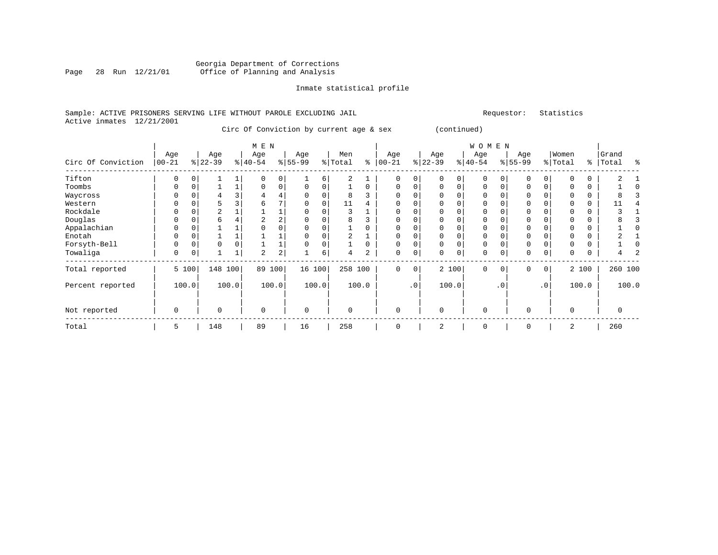# Georgia Department of Corrections Page 28 Run 12/21/01 Office of Planning and Analysis

# Inmate statistical profile

### Sample: ACTIVE PRISONERS SERVING LIFE WITHOUT PAROLE EXCLUDING JAIL Requestor: Statistics Active inmates 12/21/2001

Circ Of Conviction by current age & sex (continued)

|                    |                   |          |                 |       | M E N            |                |                  |       |                |          |                  |             |                  |          | W O M E N        |           |                  |                 |                  |       |                |       |
|--------------------|-------------------|----------|-----------------|-------|------------------|----------------|------------------|-------|----------------|----------|------------------|-------------|------------------|----------|------------------|-----------|------------------|-----------------|------------------|-------|----------------|-------|
| Circ Of Conviction | Age<br>$ 00 - 21$ |          | Age<br>$ 22-39$ |       | Age<br>$ 40-54 $ |                | Age<br>$8 55-99$ |       | Men<br>% Total | ႜ        | Age<br>$00 - 21$ | %           | Age<br>$22 - 39$ |          | Age<br>$ 40-54 $ |           | Age<br>$8 55-99$ |                 | Women<br>% Total | ွေ    | Grand<br>Total | ႜ     |
| Tifton             | $\Omega$          | $\Omega$ |                 |       | $\Omega$         | $\Omega$       |                  | 6     | $\overline{2}$ |          | $\Omega$         | $\Omega$    |                  | $\Omega$ | $\Omega$         |           | $\Omega$         | $\Omega$        |                  |       |                |       |
| Toombs             | 0                 | 0        |                 |       | 0                | 0              | 0                |       |                | $\Omega$ | $\Omega$         | $\Omega$    | $\Omega$         | $\Omega$ | $\Omega$         |           | $\Omega$         | 0               |                  | 0     |                |       |
| Waycross           | 0                 |          |                 |       |                  | 4              |                  |       | 8              |          | $\Omega$         | 0           |                  |          | 0                |           |                  |                 |                  | 0     |                |       |
| Western            |                   |          |                 |       | 6                | 7              |                  |       | 11             |          | $\Omega$         |             |                  |          | 0                |           |                  |                 |                  | 0     |                |       |
| Rockdale           | 0                 | $\Omega$ | $\overline{a}$  |       |                  |                |                  |       | 3              |          | $\Omega$         | $\Omega$    |                  |          | $\Omega$         |           | $\Omega$         |                 |                  | 0     |                |       |
| Douglas            | U                 |          | 6               |       | 2                | $\overline{a}$ |                  |       | 8              |          | O                |             |                  |          | 0                |           |                  |                 |                  |       |                |       |
| Appalachian        | N                 |          |                 |       | <sup>0</sup>     | 0              |                  |       |                |          | $\Omega$         | $\Omega$    |                  |          | $\Omega$         |           |                  |                 |                  |       |                |       |
| Enotah             | 0                 |          |                 |       |                  |                |                  |       | 2              |          | $\Omega$         | 0           | $\Omega$         | 0        | 0                |           | 0                |                 |                  | 0     |                |       |
| Forsyth-Bell       | 0                 | $\Omega$ | 0               |       |                  | ⊥              |                  |       |                | 0        | $\mathbf 0$      | $\Omega$    | 0                | $\Omega$ | $\mathbf 0$      |           | 0                |                 |                  | 0     |                |       |
| Towaliga           | 0                 | 0        |                 |       | 2                | $\overline{a}$ |                  | 6     | 4              | 2        | 0                | 0           | $\Omega$         | 0        | $\mathbf 0$      | 0         | $\mathbf 0$      | 0               | 0                | 0     |                |       |
| Total reported     |                   | 5 100    | 148             | 100   | 89               | 100            | 16 100           |       | 258 100        |          | $\Omega$         | $\mathbf 0$ |                  | 2 100    | $\Omega$         | $\Omega$  | $\Omega$         | $\circ$         |                  | 2 100 | 260 100        |       |
| Percent reported   |                   | 100.0    |                 | 100.0 |                  | 100.0          |                  | 100.0 |                | 100.0    |                  | $\cdot$ 0   |                  | 100.0    |                  | $\cdot$ 0 |                  | .0 <sup>1</sup> |                  | 100.0 |                | 100.0 |
| Not reported       | 0                 |          | $\Omega$        |       | $\Omega$         |                | $\Omega$         |       | $\Omega$       |          | $\Omega$         |             | $\Omega$         |          | $\Omega$         |           | $\Omega$         |                 | $\Omega$         |       | 0              |       |
| Total              | 5                 |          | 148             |       | 89               |                | 16               |       | 258            |          | $\Omega$         |             |                  |          | 0                |           |                  |                 | 2                |       | 260            |       |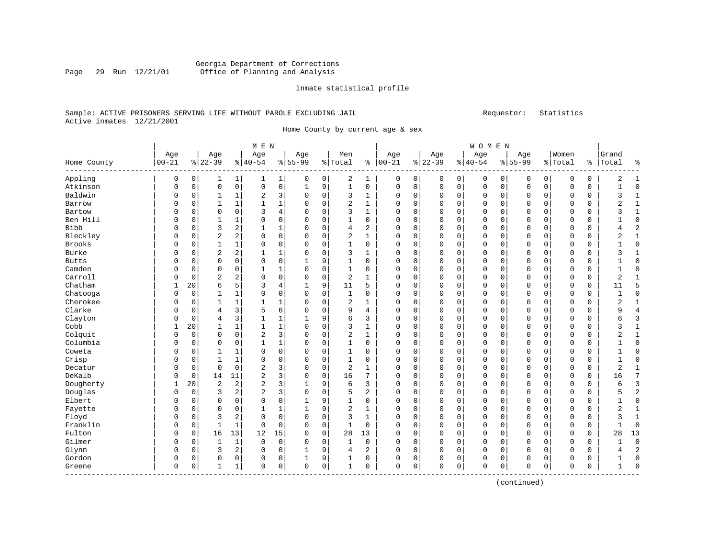# Georgia Department of Corrections Page 29 Run 12/21/01 Office of Planning and Analysis

#### Inmate statistical profile

# Sample: ACTIVE PRISONERS SERVING LIFE WITHOUT PAROLE EXCLUDING JAIL Requestor: Statistics Active inmates 12/21/2001

Home County by current age & sex

|                          |             |             |                |                | M E N          |                |              |             |                |                |             |          |             |                | WOMEN       |          |             |              |             |             |                |                |
|--------------------------|-------------|-------------|----------------|----------------|----------------|----------------|--------------|-------------|----------------|----------------|-------------|----------|-------------|----------------|-------------|----------|-------------|--------------|-------------|-------------|----------------|----------------|
|                          | Age         |             | Age            |                | Age            |                | Age          |             | Men            |                | Age         |          | Age         |                | Age         |          | Age         |              | Women       |             | Grand          |                |
| Home County<br>--------- | $ 00 - 21$  |             | $8 22-39$      |                | $8 40-54$      |                | $8155 - 99$  |             | %   Total      | နွ             | $ 00-21$    |          | $ 22-39$    |                | $8 40-54$   |          | $8155 - 99$ |              | % Total     | ႜ           | Total          | န္             |
| Appling                  | $\mathbf 0$ | $\mathbf 0$ | 1              | 1              | 1              | 1              | 0            | 0           | 2              | 1              | 0           | 0        | 0           | 0 <sup>1</sup> | 0           | 0        | 0           | $\mathsf{O}$ | 0           | 0           | $\overline{2}$ | -1             |
| Atkinson                 | $\Omega$    | $\mathbf 0$ | $\mathbf 0$    | $\mathsf 0$    | $\mathbf 0$    | $\mathsf 0$    | $\mathbf{1}$ | 9           | $\mathbf{1}$   | $\mathbf 0$    | 0           | 0        | $\mathbf 0$ | 0 <sup>1</sup> | 0           | 0        | $\mathbf 0$ | $\mathsf{O}$ | $\mathbf 0$ | $\mathbf 0$ | $\mathbf{1}$   | $\Omega$       |
| Baldwin                  | 0           | 0           | $\mathbf{1}$   | 1              | 2              | 3              | 0            | 0           | 3              | 1              | 0           | 0        | 0           | 0              | 0           | 0        | 0           | $\mathbf 0$  | 0           | 0           | 3              | $\mathbf{1}$   |
| Barrow                   | $\Omega$    | $\Omega$    | $\mathbf{1}$   | $\mathbf{1}$   | 1              | $\mathbf 1$    | 0            | $\mathbf 0$ | $\overline{2}$ | $\mathbf{1}$   | $\Omega$    | 0        | $\Omega$    | $\Omega$       | $\mathbf 0$ | 0        | $\Omega$    | $\mathbf 0$  | $\mathbf 0$ | $\mathbf 0$ | 2              | $\mathbf{1}$   |
| Bartow                   | $\Omega$    | $\Omega$    | $\Omega$       | 0              | 3              | 4              | 0            | 0           | 3              | 1              | $\Omega$    | 0        | 0           | 0              | 0           | 0        | $\mathbf 0$ | 0            | $\Omega$    | 0           | 3              | $\mathbf{1}$   |
| Ben Hill                 | $\Omega$    | $\Omega$    | $\mathbf{1}$   | 1              | $\Omega$       | $\mathbf 0$    | 0            | $\mathbf 0$ | 1              | 0              | 0           | 0        | $\Omega$    | 0              | $\mathbf 0$ | 0        | $\mathbf 0$ | 0            | $\Omega$    | 0           |                | $\Omega$       |
| Bibb                     | $\Omega$    | $\Omega$    | 3              | 2              | 1              | $\mathbf 1$    | $\Omega$     | $\Omega$    | 4              | $\overline{a}$ | $\Omega$    | $\Omega$ | $\Omega$    | $\Omega$       | $\Omega$    | $\Omega$ | $\Omega$    | $\Omega$     | $\Omega$    | $\Omega$    | 4              | $\overline{c}$ |
| Bleckley                 | $\Omega$    | $\Omega$    | $\overline{2}$ | 2              | $\Omega$       | $\mathbf 0$    | 0            | $\mathbf 0$ | 2              | 1              | 0           | 0        | $\Omega$    | $\mathbf 0$    | 0           | 0        | $\mathbf 0$ | $\Omega$     | $\Omega$    | 0           | 2              | $\mathbf{1}$   |
| <b>Brooks</b>            | $\Omega$    | 0           | $\mathbf 1$    | $\mathbf 1$    | 0              | 0              | 0            | $\mathbf 0$ | $\mathbf{1}$   | 0              | 0           | 0        | 0           | $\mathbf 0$    | 0           | 0        | $\mathbf 0$ | $\mathbf 0$  | 0           | 0           | 1              | $\Omega$       |
| Burke                    | $\Omega$    | $\Omega$    | $\overline{2}$ | 2              | $\mathbf{1}$   | 1              | $\Omega$     | $\mathbf 0$ | 3              | $\mathbf{1}$   | $\Omega$    | 0        | $\Omega$    | $\Omega$       | 0           | 0        | $\Omega$    | $\Omega$     | $\mathbf 0$ | $\mathbf 0$ | 3              | $\mathbf{1}$   |
| <b>Butts</b>             | $\Omega$    | $\Omega$    | $\mathbf 0$    | 0              | $\Omega$       | $\mathsf 0$    | 1            | 9           | 1              | $\Omega$       | $\Omega$    | 0        | $\Omega$    | $\mathbf 0$    | $\mathbf 0$ | 0        | $\Omega$    | $\mathbf 0$  | 0           | 0           |                | $\Omega$       |
| Camden                   | $\Omega$    | 0           | $\mathbf 0$    | 0              | 1              | 1              | $\Omega$     | $\mathbf 0$ | $\mathbf{1}$   | 0              | 0           | 0        | $\Omega$    | $\mathbf 0$    | $\mathbf 0$ | 0        | $\mathbf 0$ | $\mathbf 0$  | $\Omega$    | $\mathbf 0$ |                | <sup>0</sup>   |
| Carroll                  | $\Omega$    | $\Omega$    | 2              | 2              | $\mathbf 0$    | $\mathbf 0$    | $\Omega$     | $\mathbf 0$ | $\overline{2}$ | 1              | 0           | 0        | $\Omega$    | 0              | 0           | 0        | $\mathbf 0$ | $\mathbf 0$  | 0           | 0           | 2              |                |
| Chatham                  | 1           | 20          | 6              | 5              | 3              | $\overline{4}$ | 1            | 9           | 11             | 5              | 0           | 0        | $\Omega$    | $\mathbf 0$    | 0           | 0        | $\mathbf 0$ | $\Omega$     | $\Omega$    | $\mathbf 0$ | 11             | 5              |
| Chatooga                 | $\Omega$    | $\mathbf 0$ | $\mathbf{1}$   | 1              | $\Omega$       | 0              | $\Omega$     | $\mathbf 0$ | $\mathbf{1}$   | 0              | $\Omega$    | 0        | 0           | $\mathbf 0$    | 0           | 0        | $\Omega$    | 0            | $\mathbf 0$ | $\mathsf 0$ | 1              | $\Omega$       |
| Cherokee                 | $\Omega$    | 0           | $\mathbf{1}$   | $\mathbf 1$    | 1              | 1              | 0            | 0           | $\overline{2}$ | 1              | $\Omega$    | 0        | 0           | 0              | 0           | 0        | $\mathbf 0$ | 0            | 0           | 0           | $\overline{2}$ | $\mathbf{1}$   |
| Clarke                   | $\Omega$    | $\Omega$    | 4              | 3              | 5              | 6              | $\Omega$     | $\mathbf 0$ | 9              | 4              | $\Omega$    | 0        | $\Omega$    | $\mathbf 0$    | $\mathbf 0$ | 0        | $\mathbf 0$ | $\mathbf 0$  | $\mathbf 0$ | $\mathbf 0$ | 9              | $\overline{4}$ |
| Clayton                  | $\Omega$    | $\Omega$    | 4              | 3              | 1              | 1              | 1            | 9           | 6              | 3              | $\Omega$    | 0        | $\Omega$    | $\mathbf 0$    | $\mathbf 0$ | 0        | $\mathbf 0$ | $\mathbf 0$  | $\Omega$    | $\mathbf 0$ | 6              | 3              |
| Cobb                     | 1           | 20          | 1              | $\mathbf 1$    | 1              | 1              | $\Omega$     | $\Omega$    | 3              | 1              | 0           | $\Omega$ | $\Omega$    | $\Omega$       | 0           | 0        | $\mathbf 0$ | $\Omega$     | $\Omega$    | 0           | 3              | $\mathbf{1}$   |
| Colquit                  | $\Omega$    | 0           | $\mathbf 0$    | $\mathbf 0$    | $\overline{2}$ | 3              | 0            | 0           | $\overline{2}$ | 1              | 0           | 0        | $\Omega$    | 0              | 0           | 0        | $\mathbf 0$ | $\mathbf 0$  | 0           | 0           | $\overline{2}$ | $\mathbf{1}$   |
| Columbia                 | $\Omega$    | 0           | $\Omega$       | $\mathbf 0$    | $\mathbf{1}$   | 1              | $\Omega$     | 0           | $\mathbf{1}$   | $\mathbf 0$    | 0           | 0        | $\Omega$    | $\mathbf 0$    | 0           | 0        | $\mathbf 0$ | $\mathbf 0$  | $\Omega$    | $\mathbf 0$ |                | $\Omega$       |
| Coweta                   | $\Omega$    | 0           | 1              | 1              | $\Omega$       | 0              | 0            | $\mathbf 0$ | $\mathbf{1}$   | 0              | $\Omega$    | 0        | $\Omega$    | $\mathbf 0$    | 0           | 0        | $\mathbf 0$ | $\mathbf 0$  | 0           | 0           | 1              | $\Omega$       |
| Crisp                    | $\Omega$    | $\Omega$    | $\mathbf{1}$   | 1              | $\Omega$       | $\mathbf 0$    | 0            | 0           | $\mathbf{1}$   | $\Omega$       | $\Omega$    | 0        | $\Omega$    | $\Omega$       | $\Omega$    | 0        | $\Omega$    | 0            | 0           | 0           | $\mathbf{1}$   | $\Omega$       |
| Decatur                  | $\Omega$    | 0           | $\Omega$       | 0              | $\overline{2}$ | 3              | $\Omega$     | $\mathbf 0$ | $\overline{2}$ | 1              | $\Omega$    | 0        | $\Omega$    | $\mathbf 0$    | $\mathbf 0$ | 0        | $\mathbf 0$ | $\mathbf 0$  | $\Omega$    | $\mathbf 0$ | $\overline{2}$ | $\mathbf{1}$   |
| DeKalb                   | $\Omega$    | 0           | 14             | 11             | $\overline{2}$ | 3              | $\Omega$     | $\mathbf 0$ | 16             | 7              | 0           | 0        | $\Omega$    | $\mathbf 0$    | $\mathbf 0$ | 0        | $\mathbf 0$ | $\mathbf 0$  | $\mathbf 0$ | $\mathbf 0$ | 16             |                |
| Dougherty                | 1           | 20          | $\overline{2}$ | $\overline{c}$ | $\overline{2}$ | 3              | 1            | 9           | 6              | 3              | 0           | 0        | $\Omega$    | $\mathbf 0$    | 0           | 0        | $\mathbf 0$ | $\mathbf 0$  | 0           | 0           | 6              | 3              |
| Douglas                  | $\Omega$    | $\mathbf 0$ | 3              | 2              | 2              | 3              | $\Omega$     | $\mathbf 0$ | 5              | 2              | $\Omega$    | 0        | $\Omega$    | $\mathbf 0$    | 0           | 0        | $\mathbf 0$ | $\Omega$     | $\Omega$    | $\mathbf 0$ | 5              | 2              |
| Elbert                   | $\Omega$    | 0           | $\mathbf 0$    | 0              | $\Omega$       | 0              | $\mathbf{1}$ | 9           | $\mathbf{1}$   | 0              | 0           | 0        | 0           | $\mathbf 0$    | 0           | 0        | 0           | $\mathbf 0$  | $\mathbf 0$ | $\mathbf 0$ | 1              | 0              |
| Fayette                  | $\Omega$    | 0           | $\Omega$       | 0              | 1              | 1              | 1            | 9           | $\overline{2}$ | 1              | $\Omega$    | 0        | $\Omega$    | 0              | 0           | 0        | $\mathbf 0$ | $\mathbf 0$  | 0           | 0           | 2              | $\mathbf{1}$   |
| Floyd                    | $\Omega$    | $\Omega$    | 3              | 2              | $\Omega$       | $\mathbf 0$    | 0            | $\mathbf 0$ | 3              | $\mathbf{1}$   | $\Omega$    | 0        | $\Omega$    | $\mathbf 0$    | $\mathbf 0$ | 0        | $\mathbf 0$ | $\Omega$     | $\Omega$    | $\mathbf 0$ | 3              | $\mathbf{1}$   |
| Franklin                 | $\Omega$    | 0           | $\mathbf{1}$   | $\mathbf 1$    | $\Omega$       | $\mathbf 0$    | $\Omega$     | $\mathbf 0$ | $\mathbf{1}$   | $\mathbf 0$    | $\mathbf 0$ | 0        | $\Omega$    | $\mathbf 0$    | $\mathbf 0$ | 0        | $\mathbf 0$ | $\mathbf 0$  | $\Omega$    | $\mathbf 0$ |                | $\Omega$       |
| Fulton                   | $\Omega$    | 0           | 16             | 13             | 12             | 15             | 0            | $\mathbf 0$ | 28             | 13             | 0           | 0        | $\Omega$    | $\mathbf 0$    | 0           | 0        | $\mathbf 0$ | $\Omega$     | $\mathbf 0$ | $\mathbf 0$ | 28             | 13             |
| Gilmer                   | $\Omega$    | $\Omega$    | 1              | $\mathbf{1}$   | $\Omega$       | $\mathbf 0$    | $\Omega$     | $\mathbf 0$ | 1              | $\mathbf 0$    | 0           | $\Omega$ | $\Omega$    | $\Omega$       | $\mathbf 0$ | $\Omega$ | $\mathbf 0$ | $\Omega$     | $\mathbf 0$ | $\mathbf 0$ | 1              | $\Omega$       |
| Glynn                    | $\Omega$    | 0           | 3              | $\overline{a}$ | $\Omega$       | $\mathsf 0$    | 1            | 9           | 4              | 2              | 0           | 0        | O           | $\mathbf 0$    | 0           | 0        | $\mathbf 0$ | $\mathbf 0$  | $\Omega$    | $\mathbf 0$ | 4              | $\overline{c}$ |
| Gordon                   | $\Omega$    | 0           | 0              | 0              | 0              | 0              | 1            | 9           | 1              | $\mathbf 0$    | 0           | 0        | Ω           | 0              | 0           | 0        | $\mathbf 0$ | 0            | $\Omega$    | 0           | 1              | $\Omega$       |
| Greene                   | $\mathbf 0$ | 0           | -1             | 1              | 0              | 0              | 0            | 0           | 1              | 0              | $\Omega$    | 0        | $\Omega$    | $\mathbf{0}$   | 0           | 0        | $\mathbf 0$ | 0            | 0           | 0           | 1              | $\Omega$       |

(continued)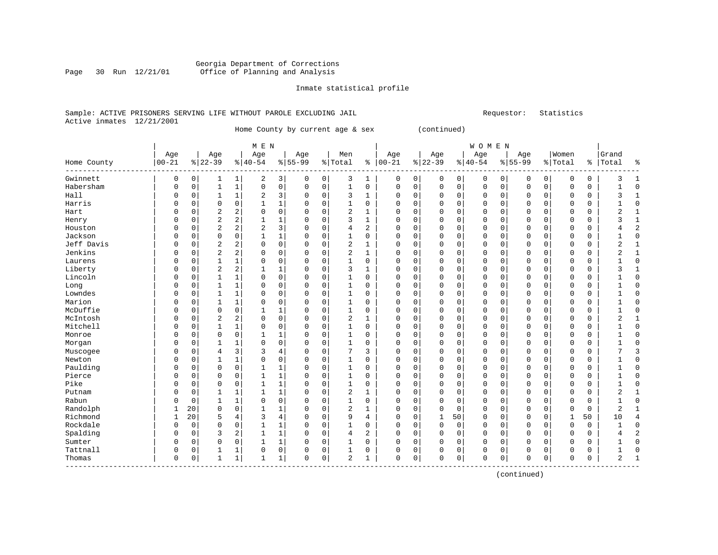# Georgia Department of Corrections Page 30 Run 12/21/01 Office of Planning and Analysis

## Inmate statistical profile

# Sample: ACTIVE PRISONERS SERVING LIFE WITHOUT PAROLE EXCLUDING JAIL Requestor: Statistics Active inmates 12/21/2001

Home County by current age & sex (continued)

|                  |             |             |                |                | M E N          |                |             |             |                |              |           |          |              |             | <b>WOMEN</b> |          |              |             |             |    |       |                |
|------------------|-------------|-------------|----------------|----------------|----------------|----------------|-------------|-------------|----------------|--------------|-----------|----------|--------------|-------------|--------------|----------|--------------|-------------|-------------|----|-------|----------------|
|                  | Age         |             | Age            |                | Age            |                | Age         |             | Men            |              | Age       |          | Age          |             | Age          |          | Age          |             | Women       |    | Grand |                |
| Home County<br>. | $00 - 21$   |             | $8 22-39$      |                | $8 40-54$      |                | $8 55-99$   |             | % Total        | ႜ            | $00 - 21$ |          | $ 22-39$     |             | $8 40-54$    |          | $8 55-99$    |             | % Total     | ⊱  | Total | နွ             |
| Gwinnett         | 0           | 0           | 1              | 1              | 2              | 3              | 0           | 0           | 3              | 1            | 0         | 0        | 0            | 0           | 0            | 0        | 0            | 0           | 0           | 0  | 3     | $\mathbf{1}$   |
| Habersham        | $\mathbf 0$ | $\mathbf 0$ | 1              | $\mathbf 1$    | $\mathbf 0$    | 0              | $\mathsf 0$ | $\mathbf 0$ | $\mathbf 1$    | $\mathbf 0$  | $\Omega$  | 0        | $\mathbf{0}$ | $\mathbf 0$ | 0            | 0        | $\mathbf{0}$ | 0           | $\Omega$    | 0  | 1     | $\Omega$       |
| Hall             | 0           | 0           | 1              | 1              | $\overline{2}$ | 3              | 0           | 0           | 3              | 1            | 0         | 0        | $\Omega$     | $\mathbf 0$ | 0            | 0        | $\Omega$     | $\mathbf 0$ | $\Omega$    | 0  | 3     | -1             |
| Harris           | 0           | 0           | 0              | $\mathbf 0$    | 1              | $\mathbf 1$    | 0           | $\mathbf 0$ | 1              | 0            | 0         | 0        | 0            | $\mathbf 0$ | 0            | 0        | 0            | $\Omega$    | 0           | 0  |       | 0              |
| Hart             | 0           | 0           | $\sqrt{2}$     | 2              | 0              | 0              | 0           | $\mathbf 0$ | $\overline{a}$ | $\mathbf{1}$ | 0         | 0        |              | $\mathbf 0$ | 0            | 0        | 0            | 0           | 0           | 0  | 2     | $\mathbf{1}$   |
| Henry            | 0           | 0           | $\sqrt{2}$     | 2              | $\mathbf{1}$   | 1              | $\Omega$    | $\mathbf 0$ | 3              | $\mathbf{1}$ | 0         | 0        |              | $\Omega$    | 0            | 0        | $\Omega$     | 0           | 0           | 0  | 3     | $\mathbf{1}$   |
| Houston          | 0           | 0           | $\overline{2}$ | $\overline{a}$ | $\overline{2}$ | 3              | $\Omega$    | $\mathbf 0$ | 4              | 2            | $\Omega$  | 0        | O            | 0           | 0            | 0        | $\mathbf 0$  | 0           | 0           | 0  | 4     | $\overline{c}$ |
| Jackson          | 0           | 0           | $\mathbf 0$    | 0              | $\mathbf{1}$   | $\mathbf 1$    | $\Omega$    | 0           | 1              | 0            | 0         | 0        | 0            | $\Omega$    | 0            | 0        | $\mathbf 0$  | 0           | $\Omega$    | 0  |       | $\Omega$       |
| Jeff Davis       | 0           | $\Omega$    | $\overline{2}$ | 2              | 0              | $\mathsf 0$    | $\Omega$    | 0           | $\overline{a}$ | 1            | 0         | 0        | 0            | 0           | 0            | 0        | $\Omega$     | $\Omega$    | $\Omega$    | 0  | 2     |                |
| Jenkins          | 0           | $\Omega$    | $\overline{c}$ | 2              | 0              | 0              | 0           | 0           | $\overline{a}$ | 1            | 0         | 0        | 0            | $\Omega$    | 0            | 0        | $\Omega$     | 0           | $\Omega$    | 0  | 2     | 1              |
| Laurens          | 0           | $\Omega$    | 1              | 1              | $\Omega$       | 0              | $\Omega$    | $\mathbf 0$ | $\mathbf 1$    | $\Omega$     | 0         | $\Omega$ | O            | $\Omega$    | 0            | 0        | $\Omega$     | $\Omega$    | $\Omega$    | 0  |       | <sup>0</sup>   |
| Liberty          | 0           | $\Omega$    | $\overline{c}$ | 2              | 1              | 1              | 0           | 0           | 3              | 1            | 0         | $\Omega$ | 0            | $\Omega$    | 0            | 0        | $\Omega$     | $\Omega$    | $\Omega$    | 0  | 3     |                |
| Lincoln          | 0           | 0           | 1              | 1              | 0              | $\mathsf 0$    | 0           | $\mathbf 0$ | $\mathbf{1}$   | $\Omega$     | 0         | $\Omega$ |              | $\Omega$    | 0            | 0        | $\Omega$     | $\Omega$    | $\Omega$    | 0  |       | 0              |
| Long             | 0           | 0           | 1              | $\mathbf{1}$   | 0              | 0              | $\Omega$    | $\mathbf 0$ | $\mathbf 1$    | 0            | 0         | 0        | 0            | $\mathbf 0$ | 0            | 0        | $\Omega$     | $\Omega$    | $\Omega$    | 0  |       | $\mathcal{C}$  |
| Lowndes          | 0           | 0           | 1              | $\mathbf{1}$   | 0              | 0              | $\Omega$    | $\mathbf 0$ | $\mathbf 1$    | $\Omega$     | 0         | 0        | 0            | $\Omega$    | 0            | 0        | $\Omega$     | $\Omega$    | $\Omega$    | 0  |       | $\Omega$       |
| Marion           | 0           | 0           | 1              | 1              | 0              | 0              | $\Omega$    | 0           | 1              | 0            | $\Omega$  | 0        | $\Omega$     | $\mathbf 0$ | 0            | 0        | $\Omega$     | 0           | $\Omega$    | 0  |       | $\Omega$       |
| McDuffie         | 0           | 0           | 0              | 0              | $\mathbf{1}$   | 1              | $\Omega$    | 0           | 1              | 0            | $\Omega$  | 0        | 0            | $\mathbf 0$ | 0            | 0        | $\mathbf 0$  | 0           | $\Omega$    | 0  |       | $\Omega$       |
| McIntosh         | 0           | $\Omega$    | $\overline{2}$ | 2              | 0              | 0              | $\Omega$    | 0           | 2              | 1            | $\Omega$  | 0        | 0            | $\mathbf 0$ | 0            | 0        | $\Omega$     | 0           | $\Omega$    | 0  | 2     | $\mathbf{1}$   |
| Mitchell         | O           | $\Omega$    | 1              | 1              | 0              | 0              | $\Omega$    | 0           | 1              | 0            | $\Omega$  | $\Omega$ | $\Omega$     | $\Omega$    | 0            | 0        | $\Omega$     | $\Omega$    | $\Omega$    | 0  |       | $\Omega$       |
| Monroe           | O           | $\Omega$    | $\mathbf 0$    | 0              | 1              | 1              | $\Omega$    | $\mathbf 0$ | 1              | $\Omega$     | $\Omega$  | $\Omega$ | $\Omega$     | $\Omega$    | U            | $\Omega$ | $\Omega$     | $\Omega$    | $\Omega$    | 0  |       | $\Omega$       |
| Morgan           | 0           | 0           | 1              | 1              | 0              | 0              | $\Omega$    | 0           | 1              | 0            | 0         | $\Omega$ | $\Omega$     | $\Omega$    | 0            | $\Omega$ | $\Omega$     | $\Omega$    | $\Omega$    | 0  |       | $\Omega$       |
| Muscogee         | 0           | 0           | $\overline{4}$ | 3              | 3              | $\overline{4}$ | 0           | $\mathbf 0$ | 7              | 3            | 0         | 0        | 0            | $\mathbf 0$ | 0            | 0        | 0            | $\Omega$    | 0           | 0  |       | 3              |
| Newton           | 0           | 0           | 1              | $\mathbf{1}$   | $\mathsf 0$    | 0              | 0           | $\mathbf 0$ | $\mathbf{1}$   | $\mathbf 0$  | 0         | 0        |              | $\mathbf 0$ | 0            | 0        | $\Omega$     | 0           | $\mathbf 0$ | 0  |       | $\Omega$       |
| Paulding         | 0           | 0           | $\mathbf 0$    | 0              | $\mathbf{1}$   | 1              | $\Omega$    | $\mathbf 0$ | $\mathbf 1$    | 0            | $\Omega$  | 0        |              | $\Omega$    | 0            | 0        | $\Omega$     | 0           | 0           | 0  |       | $\Omega$       |
| Pierce           | 0           | 0           | 0              | 0              | $\mathbf{1}$   | 1              | $\Omega$    | $\mathbf 0$ | $\mathbf{1}$   | 0            | $\Omega$  | 0        | O            | 0           | 0            | 0        | $\mathbf 0$  | 0           | $\Omega$    | 0  |       | $\Omega$       |
| Pike             | 0           | 0           | 0              | 0              | 1              | $\mathbf 1$    | 0           | $\mathbf 0$ | 1              | 0            | 0         | 0        | 0            | 0           | 0            | 0        | $\mathbf 0$  | 0           | 0           | 0  |       | $\Omega$       |
| Putnam           | 0           | $\Omega$    | $\mathbf{1}$   | 1              | $\mathbf{1}$   | 1              | $\Omega$    | $\mathbf 0$ | $\overline{a}$ | $\mathbf{1}$ | 0         | 0        | O            | $\Omega$    | 0            | $\Omega$ | $\Omega$     | 0           | $\Omega$    | 0  | 2     | $\mathbf{1}$   |
| Rabun            | 0           | $\Omega$    | 1              | 1              | 0              | $\mathbf 0$    | $\Omega$    | $\mathbf 0$ | $\mathbf 1$    | 0            | 0         | 0        | $\Omega$     | $\Omega$    | 0            | 0        | $\Omega$     | 0           | $\Omega$    | 0  |       | ∩              |
| Randolph         | 1           | 20          | $\mathbf 0$    | 0              | $\mathbf{1}$   | 1              | $\Omega$    | $\mathbf 0$ | $\overline{2}$ | 1            | 0         | 0        | $\Omega$     | $\mathbf 0$ | 0            | 0        | $\mathbf 0$  | $\mathbf 0$ | $\Omega$    | 0  | 2     |                |
| Richmond         | 1           | 20          | 5              | 4              | 3              | $\overline{4}$ | 0           | $\mathbf 0$ | 9              | 4            | 0         | 0        |              | 50          | 0            | 0        | $\mathbf 0$  | $\mathbf 0$ | 1           | 50 | 10    | 4              |
| Rockdale         | 0           | $\mathbf 0$ | $\mathbf 0$    | $\mathbf 0$    | $\mathbf{1}$   | $1\,$          | 0           | $\mathbf 0$ | $\mathbf{1}$   | 0            | 0         | 0        | $\Omega$     | $\mathbf 0$ | 0            | 0        | 0            | 0           | 0           | 0  |       | $\Omega$       |
| Spalding         | 0           | 0           | 3              | 2              | $\mathbf{1}$   | 1              | 0           | $\mathbf 0$ | 4              | 2            | $\Omega$  | 0        | $\Omega$     | $\mathbf 0$ | 0            | 0        | $\Omega$     | 0           | 0           | 0  | 4     | 2              |
| Sumter           | 0           | $\Omega$    | $\mathbf 0$    | $\Omega$       | 1              | $\mathbf 1$    | $\Omega$    | 0           | 1              | $\Omega$     | 0         | 0        | 0            | $\Omega$    | 0            | 0        | $\mathbf 0$  | $\Omega$    | $\Omega$    | 0  | 1     | $\Omega$       |
| Tattnall         | 0           | 0           | 1              | 1              | $\Omega$       | $\mathbf 0$    | 0           | 0           | 1              | 0            | 0         | 0        | 0            | 0           | 0            | 0        | $\Omega$     | 0           | $\Omega$    | 0  |       | $\sqrt{ }$     |
| Thomas           | 0           | 0           | $\mathbf{1}$   | 1              | 1              | 1              | $\Omega$    | 0           | $\overline{c}$ | 1            | $\Omega$  | 0        | O            | 0           | 0            | 0        | $\Omega$     | 0           | $\Omega$    | 0  | 2     |                |

(continued)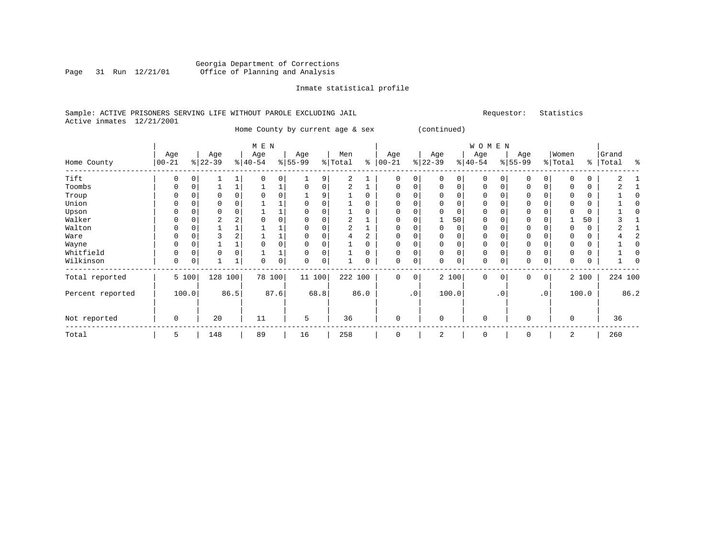# Georgia Department of Corrections Page 31 Run 12/21/01 Office of Planning and Analysis

## Inmate statistical profile

# Sample: ACTIVE PRISONERS SERVING LIFE WITHOUT PAROLE EXCLUDING JAIL Requestor: Statistics Active inmates 12/21/2001

Home County by current age & sex (continued)

|                  |                   |          |                 |      | M E N            |      |                 |      |                |      |                   |           |                 |          | <b>WOMEN</b>     |             |                  |                 |                  |       |                |      |
|------------------|-------------------|----------|-----------------|------|------------------|------|-----------------|------|----------------|------|-------------------|-----------|-----------------|----------|------------------|-------------|------------------|-----------------|------------------|-------|----------------|------|
| Home County      | Age<br>$ 00 - 21$ |          | Age<br>$ 22-39$ |      | Age<br>$ 40-54 $ |      | Age<br>$ 55-99$ |      | Men<br>% Total | နွ   | Age<br>$ 00 - 21$ |           | Age<br>$ 22-39$ |          | Age<br>$ 40-54 $ |             | Age<br>$ 55-99 $ |                 | Women<br>% Total | နွ    | Grand<br>Total | ႜ    |
| Tift             | 0                 |          |                 |      |                  | 0    |                 | 9    | 2              |      | 0                 | 0         |                 |          | $\Omega$         |             |                  |                 |                  |       |                |      |
| Toombs           | 0                 | 0        |                 |      |                  |      |                 | 0    | 2              |      | $\Omega$          | 0         |                 | 0        | 0                |             |                  |                 |                  | 0     |                |      |
| Troup            |                   | 0        |                 |      |                  |      |                 |      |                |      | $\Omega$          |           |                 |          | $\Omega$         |             |                  |                 |                  | 0     |                |      |
| Union            | 0                 | 0        |                 |      |                  |      |                 |      |                |      | 0                 | 0         |                 | $\Omega$ | 0                |             | $\mathbf 0$      |                 |                  | 0     |                |      |
| Upson            |                   | 0        |                 |      |                  |      |                 |      |                |      | 0                 | 0         |                 | $\Omega$ | 0                |             |                  |                 |                  | 0     |                |      |
| Walker           |                   | $\Omega$ | 2               |      |                  |      |                 |      | 2              |      | 0                 | 0         |                 | 50       | $\Omega$         |             | 0                |                 |                  | 50    |                |      |
| Walton           |                   |          |                 |      |                  |      |                 |      | 2              |      | 0                 | 0         | <sup>0</sup>    | $\Omega$ | 0                |             |                  |                 |                  | 0     |                |      |
| Ware             | N                 | C        |                 |      |                  |      |                 |      |                |      | $\Omega$          | O         |                 |          | 0                |             |                  |                 |                  |       |                |      |
| Wayne            | U                 |          |                 |      |                  | 0    |                 |      |                |      | <sup>0</sup>      |           |                 |          | $\Omega$         |             | O                |                 |                  |       |                |      |
| Whitfield        | U                 | C        | $\Omega$        |      |                  |      |                 |      |                |      | <sup>0</sup>      |           |                 |          | $\Omega$         |             | $\Omega$         |                 |                  |       |                |      |
| Wilkinson        | 0                 | 0        |                 |      |                  | 0    | $\Omega$        | 0    |                |      | 0                 | 0         | $\Omega$        | 0        | 0                |             | $\Omega$         | 0               |                  | 0     |                |      |
| Total reported   |                   | 5 100    | 128             | 100  | 78 100           |      | 11 100          |      | 222 100        |      | $\mathbf 0$       | 0         |                 | 2 100    | $\mathbf 0$      | $\mathbf 0$ | $\mathbf 0$      | 0               |                  | 2 100 | 224 100        |      |
| Percent reported |                   | 100.0    |                 | 86.5 |                  | 87.6 |                 | 68.8 |                | 86.0 |                   | $\cdot$ 0 |                 | 100.0    |                  | .0'         |                  | .0 <sup>1</sup> |                  | 100.0 |                | 86.2 |
| Not reported     | 0                 |          | 20              |      | 11               |      | 5               |      | 36             |      | $\mathbf 0$       |           | $\Omega$        |          | 0                |             | O                |                 | $\Omega$         |       | 36             |      |
| Total            | 5                 |          | 148             |      | 89               |      | 16              |      | 258            |      | 0                 |           | 2               |          | 0                |             | $\mathbf 0$      |                 | 2                |       | 260            |      |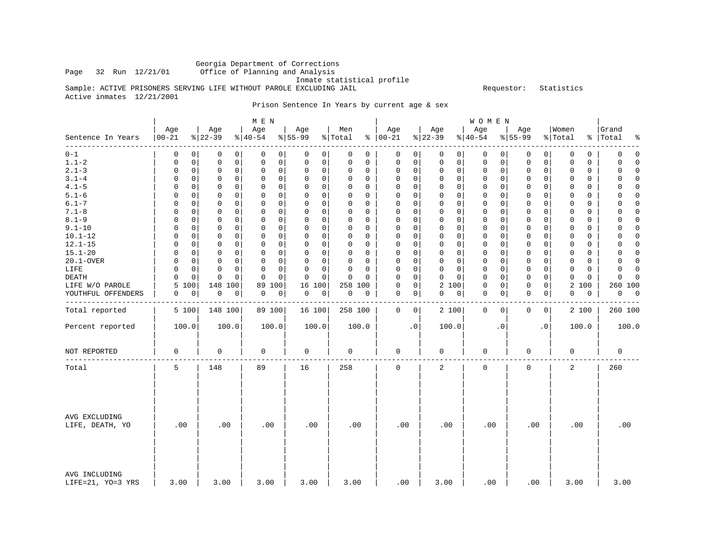Georgia Department of Corrections Office of Planning and Analysis

Inmate statistical profile

Sample: ACTIVE PRISONERS SERVING LIFE WITHOUT PAROLE EXCLUDING JAIL **Example** Sequestor: Statistics Active inmates 12/21/2001

Prison Sentence In Years by current age & sex

|                                    |                   |                 | M E N            |                  |                |                                 |                 | <b>WOMEN</b>               |                  |                       |                     |
|------------------------------------|-------------------|-----------------|------------------|------------------|----------------|---------------------------------|-----------------|----------------------------|------------------|-----------------------|---------------------|
| Sentence In Years                  | Age<br>$ 00 - 21$ | Age<br>$ 22-39$ | Age<br>$8 40-54$ | Age<br>$8 55-99$ | Men<br>% Total | Age<br>$8   00 - 21$            | Age<br>$ 22-39$ | Age<br>$ 40-54$            | Age<br>$8 55-99$ | Women<br>% Total<br>⊱ | Grand<br>Total<br>° |
| -------                            | $\Omega$          | 0               | 0                | 0                | 0              | 0                               | 0               | 0                          | 0                | $\mathbf 0$           | $\mathsf 0$         |
| $0 - 1$                            | 0                 | 0               | 0                | 0                | 0              | 0                               | $\circ$         | 0                          | 0                | 0                     | $\mathbf 0$         |
| $1.1 - 2$                          | 0                 | 0               | $\mathbf 0$      | 0                | $\mathbf 0$    | $\mathbf 0$                     | 0               | 0                          | 0                | $\mathbf 0$           | 0                   |
|                                    | 0                 | 0               | $\mathbf 0$      | 0                | 0              | $\mathbf 0$                     | 0               | 0                          | 0                | 0                     | $\Omega$            |
| $2.1 - 3$                          | 0                 | 0               | 0                | 0                | 0              | $\Omega$                        | 0               | 0                          | 0                | 0                     | $\mathsf 0$         |
|                                    | 0                 | 0               | 0                | 0                | 0              | 0                               | 0               | 0                          | 0                | $\Omega$              | $\Omega$            |
| $3.1 - 4$                          | $\Omega$          | 0               | $\mathbf 0$      | 0                | $\Omega$       | $\mathbf 0$                     | 0               | $\mathbf 0$                | 0                | $\Omega$              | $\mathbf 0$         |
|                                    | 0                 | 0               | 0                | 0                | 0              | 0                               | 0               | 0                          | 0                | $\Omega$              | $\Omega$            |
| $4.1 - 5$                          | 0                 | 0               | $\mathbf 0$      | 0                | 0              | $\mathbf 0$                     | $\Omega$        | $\mathbf 0$                | 0                | $\Omega$              | 0                   |
|                                    | 0                 | 0               | 0                | 0                | 0              | $\Omega$                        | 0               | 0                          | $\Omega$         | 0                     | $\Omega$            |
| $5.1 - 6$                          | $\Omega$          | $\Omega$        | $\mathbf 0$      | 0                | $\Omega$       | $\mathbf 0$                     | 0               | $\mathbf 0$                | $\Omega$         | 0                     | $\Omega$            |
|                                    | 0                 | 0               | 0                | 0                | 0              | $\Omega$                        | 0               | 0                          | 0                | 0                     | 0                   |
| $6.1 - 7$                          | $\Omega$          | 0               | $\Omega$         | $\Omega$         | $\Omega$       | $\Omega$                        | $\Omega$        | $\Omega$                   | $\Omega$         | $\Omega$              | $\Omega$            |
|                                    | $\Omega$          | $\Omega$        | $\Omega$         | $\Omega$         | $\Omega$       | $\Omega$                        | $\Omega$        | $\Omega$                   | $\Omega$         | $\Omega$              | $\Omega$            |
| $7.1 - 8$                          | $\Omega$          | $\mathbf 0$     | $\mathbf 0$      | 0                | 0              | $\mathbf 0$                     | $\Omega$        | $\mathbf 0$                | $\mathbf 0$      | $\mathbf 0$           | $\mathbf 0$         |
|                                    | 0                 | 0               | $\mathbf 0$      | $\mathbf 0$      | 0              | $\mathbf 0$                     | 0               | 0                          | 0                | 0                     | $\Omega$            |
| $8.1 - 9$                          | 0                 | $\mathbf 0$     | $\mathbf 0$      | 0                | $\mathbf 0$    | $\Omega$                        | 0               | $\mathbf 0$                | $\mathbf 0$      | $\mathbf 0$           | $\Omega$            |
|                                    | 0                 | 0               | $\mathbf 0$      | 0                | 0              | $\mathbf 0$                     | 0               | 0                          | 0                | 0                     | 0                   |
| $9.1 - 10$                         | $\Omega$          | 0               | $\Omega$         | $\Omega$         | $\Omega$       | 0                               | $\Omega$        | $\mathbf 0$                | 0                | $\Omega$              | 0                   |
|                                    | 0                 | 0               | $\Omega$         | 0                | $\Omega$       | 0                               | 0               | $\Omega$                   | 0                | $\Omega$              | $\Omega$            |
| $10.1 - 12$                        | $\Omega$          | 0               | $\mathbf 0$      | 0                | 0              | $\mathsf 0$                     | 0               | $\mathbf 0$                | 0                | $\mathbf 0$           | 0                   |
|                                    | 0                 | 0               | 0                | 0                | 0              | $\Omega$                        | 0               | 0                          | 0                | 0                     | $\Omega$            |
| $12.1 - 15$                        | $\Omega$          | 0               | $\mathbf 0$      | 0                | 0              | $\mathbf 0$                     | 0               | $\mathbf 0$                | 0                | $\Omega$              | 0                   |
|                                    | $\Omega$          | 0               | 0                | 0                | $\Omega$       | $\Omega$                        | 0               | $\Omega$                   | 0                | $\Omega$              | $\Omega$            |
| $15.1 - 20$                        | $\Omega$          | $\mathbf 0$     | $\Omega$         | $\Omega$         | $\mathbf 0$    | $\mathbf 0$                     | $\Omega$        | $\mathbf{0}$               | $\mathbf 0$      | $\Omega$              | $\mathbf 0$         |
|                                    | $\Omega$          | 0               | $\Omega$         | $\mathbf 0$      | $\mathbf 0$    | $\Omega$                        | $\Omega$        | $\Omega$                   | $\mathbf 0$      | $\Omega$              | $\Omega$            |
| 20.1-OVER                          | 0                 | $\mathbf 0$     | $\mathbf 0$      | 0                | 0              | $\mathbf 0$                     | 0               | $\mathbf 0$                | $\mathbf 0$      | 0                     | $\Omega$            |
|                                    | 0                 | 0               | 0                | 0                | 0              | $\Omega$                        | 0               | 0                          | 0                | 0                     | 0                   |
| LIFE                               | $\Omega$          | $\mathbf 0$     | $\mathbf 0$      | 0                | $\Omega$       | $\mathbf 0$                     | 0               | $\mathbf 0$                | 0                | 0                     | 0                   |
|                                    | $\Omega$          | 0               | $\Omega$         | 0                | $\Omega$       | $\Omega$                        | 0               | 0                          | 0                | 0                     | $\Omega$            |
| DEATH                              | $\Omega$          | $\mathbf 0$     | $\Omega$         | $\mathbf 0$      | $\mathbf 0$    | $\mathbf 0$                     | $\mathbf 0$     | $\mathbf 0$                | $\mathbf 0$      | $\Omega$              | $\mathbf 0$         |
|                                    | 0                 | 0               | $\mathbf 0$      | $\mathbf 0$      | $\Omega$       | $\Omega$                        | 0               | 0                          | 0                | 0                     | $\Omega$            |
| LIFE W/O PAROLE                    | 5<br>100          | 148 100         | 100<br>89        | 16<br>100        | 258 100        | $\mathsf{O}\xspace$<br>$\Omega$ | 2<br>100        | 0<br>0                     | 0<br>0           | 2<br>100              | 260 100             |
| YOUTHFUL OFFENDERS                 | 0                 | 0               | $\mathsf 0$      | 0                | $\mathbf 0$    | $\mathbf 0$                     | 0               | $\mathsf 0$                | $\mathbf 0$      | 0                     | $\overline{0}$      |
|                                    | 0                 | $\mathsf 0$     | 0                | 0                | 0              | 0                               | 0               | 0                          | 0                | 0                     | 0                   |
|                                    |                   |                 |                  |                  |                |                                 |                 |                            |                  |                       |                     |
| Total reported                     | 5 100             | 148 100         | 89 100           | 16 100           | 258 100        | $\mathbf 0$<br>$\circ$          | 2 100           | $\mathbf 0$<br>$\mathbf 0$ | $\mathbf 0$<br>0 | 2 100                 | 260 100             |
| Percent reported                   | 100.0             | 100.0           | 100.0            | 100.0            | 100.0          | $\cdot$ 0                       | 100.0           | $\cdot$ 0                  | $\cdot$ 0        | 100.0                 | 100.0               |
| NOT REPORTED                       | $\mathbf 0$       | $\mathbf 0$     | 0                | 0                | $\mathbf 0$    | $\mathbf 0$                     | 0               | $\mathbf 0$                | 0                | $\mathbf 0$           | $\mathbf 0$         |
| Total                              | 5                 | 148             | 89               | 16               | 258            | $\mathbf 0$                     | $\overline{a}$  | $\mathbf 0$                | $\mathbf 0$      | 2                     | 260                 |
| AVG EXCLUDING<br>LIFE, DEATH, YO   | .00               | .00             | .00              | .00              | .00            | .00                             | .00             | .00                        | .00              | .00                   | .00                 |
| AVG INCLUDING<br>LIFE=21, YO=3 YRS | 3.00              | 3.00            | 3.00             | 3.00             | 3.00           | .00                             | 3.00            | .00                        | .00              | 3.00                  | 3.00                |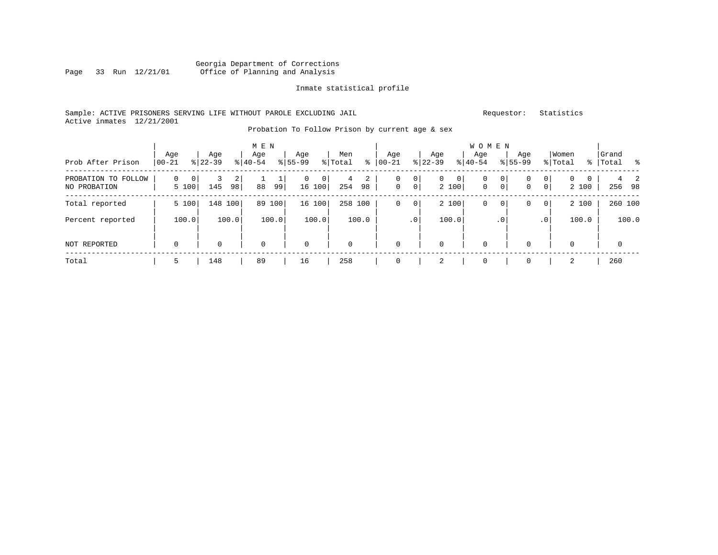# Georgia Department of Corrections Page 33 Run 12/21/01 Office of Planning and Analysis

#### Inmate statistical profile

# Sample: ACTIVE PRISONERS SERVING LIFE WITHOUT PAROLE EXCLUDING JAIL Requestor: Statistics Active inmates 12/21/2001

# Probation To Follow Prison by current age & sex

|                                     |                  |                  | M E N            |                                         |                      |                                                      |                                         | W O M E N                    |                                          |                            |                           |
|-------------------------------------|------------------|------------------|------------------|-----------------------------------------|----------------------|------------------------------------------------------|-----------------------------------------|------------------------------|------------------------------------------|----------------------------|---------------------------|
| Prob After Prison                   | Age<br>$00 - 21$ | Age<br>$8 22-39$ | Age<br>$8 40-54$ | Age<br>$8155 - 99$                      | Men<br>နွ<br>% Total | Age<br>$00 - 21$                                     | Age<br>$ 22-39 $                        | Aqe<br>$ 40-54 $             | Age<br>$8155 - 99$                       | Women<br>% Total           | Grand<br>%   Total<br>- 옹 |
| PROBATION TO FOLLOW<br>NO PROBATION | 0<br>0<br>5 100  | 2<br>98<br>145   | ᆠ<br>88<br>99    | $\mathbf 0$<br>$\overline{0}$<br>16 100 | 2<br>4<br>254<br>98  | 0 <sup>1</sup><br>0<br>$\mathbf 0$<br>0 <sup>1</sup> | 0 <sup>1</sup><br>$\mathbf{0}$<br>2 100 | 0<br>$\circ$<br>0<br>$\circ$ | 0<br>0<br>$\overline{0}$<br>$\mathbf{0}$ | $\mathbf{0}$<br>0<br>2 100 | 2<br>256 98               |
| Total reported                      | 5 100            | 148 100          | 89<br>100        | 16 100                                  | 258 100              | 0 <sup>1</sup><br>0                                  | 2 100                                   | 0<br>$\circ$                 | $\mathbf{0}$<br>0                        | 2 100                      | 260 100                   |
| Percent reported                    | 100.0            | 100.0            | 100.0            | 100.0                                   | 100.0                | .0 <sup>1</sup>                                      | 100.0                                   | .0 <sup>°</sup>              | .0'                                      | 100.0                      | 100.0                     |
| <b>NOT REPORTED</b>                 | $\mathbf 0$      | $\mathbf 0$      | $\mathbf 0$      | $\mathbf 0$                             | $\mathbf 0$          | $\mathbf 0$                                          | $\mathbf 0$                             | $\mathbf 0$                  | 0                                        | $\mathbf 0$                | $\overline{0}$            |
| Total                               | 5                | 148              | 89               | 16                                      | 258                  |                                                      | 2                                       | 0                            | 0                                        | 2                          | 260                       |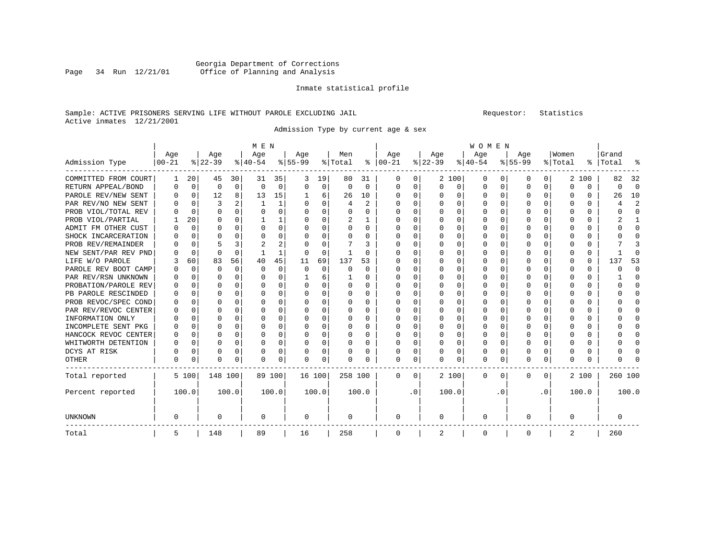# Georgia Department of Corrections Page 34 Run 12/21/01 Office of Planning and Analysis

#### Inmate statistical profile

# Sample: ACTIVE PRISONERS SERVING LIFE WITHOUT PAROLE EXCLUDING JAIL Requestor: Statistics Active inmates 12/21/2001

Admission Type by current age & sex

|                      |           |             |          |          | M E N       |          |           |          |         |              |             |          |          |          | <b>WOMEN</b> |              |           |              |              |               |         |                |
|----------------------|-----------|-------------|----------|----------|-------------|----------|-----------|----------|---------|--------------|-------------|----------|----------|----------|--------------|--------------|-----------|--------------|--------------|---------------|---------|----------------|
|                      | Age       |             | Age      |          | Age         |          | Age       |          | Men     |              | Age         |          | Age      |          | Age          |              | Age       |              | Women        |               | Grand   |                |
| Admission Type       | $00 - 21$ |             | $ 22-39$ |          | $ 40-54 $   |          | $8 55-99$ |          | % Total |              | $% 100-21$  |          | $ 22-39$ |          | $ 40-54$     |              | $8 55-99$ |              | % Total      | $\frac{8}{6}$ | Total   | ႜ              |
| COMMITTED FROM COURT | 1         | 20          | 45       | 30       | 31          | 35       | 3         | 19       | 80      | 31           | 0           | 0        |          | 2 100    | 0            | $\Omega$     | $\Omega$  | 0            |              | 2 100         | 82      | 32             |
| RETURN APPEAL/BOND   | 0         | $\mathbf 0$ | 0        | 0        | $\mathbf 0$ | $\Omega$ | 0         | 0        | 0       | 0            | 0           | 0        | $\Omega$ | 0        | 0            | 0            | $\Omega$  | 0            | 0            | U             | ი       | $\Omega$       |
| PAROLE REV/NEW SENT  | 0         | 0           | 12       | 8        | 13          | 15       |           | 6        | 26      | 10           | 0           | 0        |          | 0        | 0            | $\Omega$     | $\Omega$  | $\Omega$     | 0            | 0             | 26      | 10             |
| PAR REV/NO NEW SENT  | 0         | 0           | 3        | 2        | 1           | 1        | U         | $\Omega$ | 4       | 2            | $\Omega$    | $\Omega$ | $\Omega$ | $\Omega$ | O            | $\Omega$     | $\Omega$  | $\Omega$     | O            | 0             | 4       | $\overline{2}$ |
| PROB VIOL/TOTAL REV  | 0         | $\Omega$    | $\Omega$ | $\Omega$ | $\Omega$    | 0        | U         | $\Omega$ | U       | <sup>0</sup> | $\Omega$    | $\Omega$ | $\Omega$ | $\Omega$ | O            | $\Omega$     | $\Omega$  | $\Omega$     | O            | 0             | O       | $\Omega$       |
| PROB VIOL/PARTIAL    |           | 20          | O        | 0        | 1           | 1        | U         | $\Omega$ | 2       | 1            | $\Omega$    | $\Omega$ | $\Omega$ | $\Omega$ | O            | $\Omega$     | O         | <sup>0</sup> | O            | 0             | 2       | 1              |
| ADMIT FM OTHER CUST  |           | $\Omega$    | O        | $\Omega$ | $\Omega$    | $\Omega$ | O         | $\Omega$ | U       | $\Omega$     | $\Omega$    | $\Omega$ | $\Omega$ | $\Omega$ | O            | $\Omega$     | $\Omega$  | <sup>0</sup> | <sup>0</sup> | 0             | U       | $\Omega$       |
| SHOCK INCARCERATION  |           | $\Omega$    | O        | $\Omega$ | $\Omega$    | 0        |           | $\Omega$ | 0       | U            | O           | $\Omega$ | 0        | $\Omega$ | 0            | $\Omega$     | $\Omega$  | $\Omega$     | 0            | 0             |         | $\cap$         |
| PROB REV/REMAINDER   |           | $\Omega$    | 5        | 3        | 2           | 2        |           | $\Omega$ |         | 3            | $\Omega$    | $\Omega$ | 0        | $\Omega$ | 0            | $\Omega$     | $\Omega$  | $\Omega$     | 0            | 0             |         | 3              |
| NEW SENT/PAR REV PND |           | $\Omega$    | $\Omega$ | $\Omega$ |             | 1        | 0         | $\Omega$ |         | 0            | 0           | $\Omega$ | $\Omega$ | $\Omega$ | 0            | $\Omega$     | $\Omega$  | $\Omega$     | 0            | 0             |         | n              |
| LIFE W/O PAROLE      |           | 60          | 83       | 56       | 40          | 45       | 11        | 69       | 137     | 53           | O           | $\Omega$ | $\Omega$ | $\Omega$ | O            | $\Omega$     | O         | $\Omega$     | 0            | 0             | 137     | 53             |
| PAROLE REV BOOT CAMP |           | $\Omega$    | O        | $\Omega$ | $\Omega$    | $\Omega$ | O         | $\Omega$ | U       | $\Omega$     | O           | $\Omega$ | U        | $\Omega$ | O            | $\Omega$     | ∩         | <sup>0</sup> | O            | 0             |         | $\Omega$       |
| PAR REV/RSN UNKNOWN  |           | $\Omega$    | U        | ∩        | $\cap$      | $\Omega$ |           | 6        |         | U            | $\Omega$    | 0        | U        | $\Omega$ | O            | $\Omega$     | ∩         | <sup>0</sup> | <sup>0</sup> | 0             |         | $\Omega$       |
| PROBATION/PAROLE REV | O         | 0           | U        | 0        | $\Omega$    | $\Omega$ | O         | $\Omega$ | U       | $\Omega$     | $\Omega$    | 0        | O        | $\Omega$ | O            | $\Omega$     | ∩         | <sup>0</sup> | <sup>0</sup> | 0             |         | $\Omega$       |
| PB PAROLE RESCINDED  |           | 0           | O        | $\Omega$ | $\Omega$    | $\Omega$ | O         | 0        | 0       | U            | $\Omega$    | 0        | O        | $\Omega$ | O            | <sup>0</sup> | $\Omega$  | 0            | O            | 0             |         | $\cap$         |
| PROB REVOC/SPEC COND | 0         | $\mathbf 0$ | $\Omega$ | $\Omega$ | $\Omega$    | 0        | U         | 0        | 0       | 0            | $\Omega$    | $\Omega$ | O        | $\Omega$ | 0            | $\Omega$     | $\Omega$  | $\Omega$     | O            | 0             |         | $\Omega$       |
| PAR REV/REVOC CENTER | 0         | 0           | O        | $\Omega$ | $\Omega$    | 0        | U         | 0        | 0       | U            | $\Omega$    | 0        | 0        | $\Omega$ | 0            | $\Omega$     | ∩         | $\Omega$     | O            | 0             |         | $\Omega$       |
| INFORMATION ONLY     |           | $\Omega$    | U        | $\Omega$ | $\Omega$    | $\Omega$ | U         | $\Omega$ | 0       | U            | $\Omega$    | $\Omega$ | $\Omega$ | $\Omega$ | O            | $\Omega$     | $\Omega$  | $\Omega$     | O            | 0             |         | $\cap$         |
| INCOMPLETE SENT PKG  |           | $\Omega$    | U        | $\Omega$ | $\Omega$    | 0        | U         | $\Omega$ | 0       | $\Omega$     | $\Omega$    | $\Omega$ | $\Omega$ | $\Omega$ | 0            | $\Omega$     | $\Omega$  | $\Omega$     | <sup>0</sup> | 0             |         | $\cap$         |
| HANCOCK REVOC CENTER | $\Omega$  | $\mathbf 0$ | $\Omega$ | $\Omega$ | 0           | $\Omega$ | O         | 0        | 0       | $\Omega$     | $\Omega$    | $\Omega$ | $\Omega$ | $\Omega$ | 0            | $\Omega$     | $\Omega$  | $\Omega$     | 0            | 0             |         | $\cap$         |
| WHITWORTH DETENTION  | 0         | $\mathbf 0$ | $\Omega$ | $\Omega$ | 0           | $\Omega$ |           | 0        | 0       | 0            | O           | $\Omega$ | $\Omega$ | $\Omega$ | 0            | $\Omega$     | $\Omega$  | $\Omega$     | <sup>0</sup> | 0             |         | $\Omega$       |
| DCYS AT RISK         | 0         | $\Omega$    | O        | $\Omega$ | $\Omega$    | 0        | O         | $\Omega$ | 0       | 0            | $\Omega$    | 0        | $\Omega$ | $\Omega$ | 0            | $\Omega$     | $\Omega$  | <sup>0</sup> | <sup>0</sup> | 0             |         | C              |
| OTHER                | 0         | 0           | O        | 0        | $\Omega$    | 0        | U         | 0        | N       | U            | $\Omega$    | 0        | O        | 0        | 0            | $\Omega$     | $\Omega$  | 0            | $\Omega$     | 0             |         |                |
| Total reported       |           | 5 100       | 148 100  |          |             | 89 100   | 16 100    |          | 258 100 |              | 0           | 0        |          | 2 100    | 0            | 0            | 0         | 0            |              | 2 100         | 260 100 |                |
| Percent reported     |           | 100.0       |          | 100.0    |             | 100.0    |           | 100.0    |         | 100.0        |             | . 0      |          | 100.0    |              | . 0          |           | $\cdot$ 0    |              | 100.0         |         | 100.0          |
| <b>UNKNOWN</b>       | 0         |             | O        |          | 0           |          | 0         |          | 0       |              | 0           |          | 0        |          | 0            |              | 0         |              | 0            |               | 0       |                |
| Total                | 5         |             | 148      |          | 89          |          | 16        |          | 258     |              | $\mathbf 0$ |          | 2        |          | $\mathbf 0$  |              | 0         |              | 2            |               | 260     |                |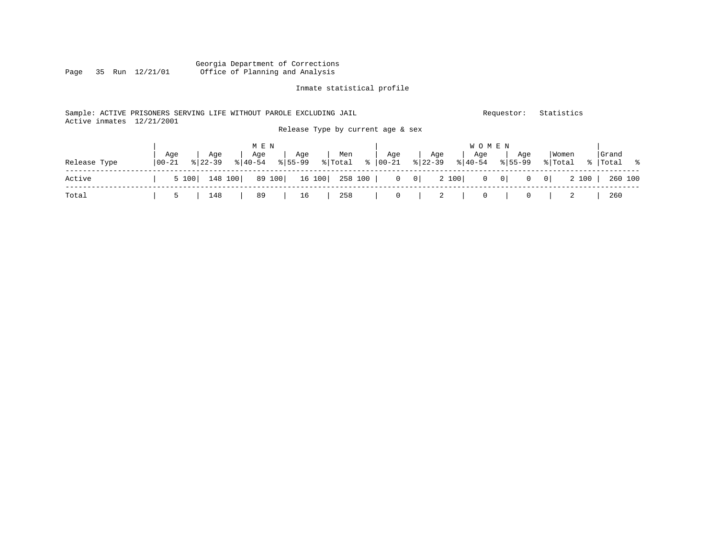# Georgia Department of Corrections Office of Planning and Analysis

#### Inmate statistical profile

# Sample: ACTIVE PRISONERS SERVING LIFE WITHOUT PAROLE EXCLUDING JAIL Requestor: Statistics Active inmates 12/21/2001 Release Type by current age & sex

|              |                   |                    | M E N            |                |                                                                       |     |     | <b>WOMEN</b>                             |                            |                  |                     |
|--------------|-------------------|--------------------|------------------|----------------|-----------------------------------------------------------------------|-----|-----|------------------------------------------|----------------------------|------------------|---------------------|
| Release Type | Aqe<br>$100 - 21$ | Age<br>$8122 - 39$ | Aqe<br>$8 40-54$ | Aqe<br>% 55-99 | Men<br>응 Total  응  00-21                                              | Aqe | Age | Aqe<br>$ \frac{1}{22-39} \times  40-54 $ | Aqe<br>$\frac{1}{6}$ 55-99 | Women<br>% Total | Grand<br>%  Total % |
| Active       |                   | 5 100   148 100    |                  |                | 89 100   16 100   258 100   0 0   2 100   0 0   0 0   2 100   260 100 |     |     |                                          |                            |                  |                     |
| Total        |                   | 5   148            |                  |                | 89   16   258   0   2   0   0   2                                     |     |     |                                          |                            |                  | 260                 |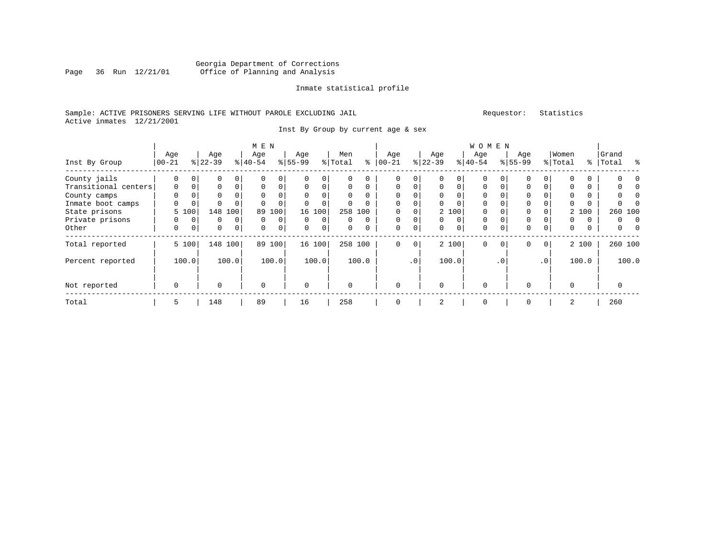# Georgia Department of Corrections Office of Planning and Analysis

## Inmate statistical profile

# Sample: ACTIVE PRISONERS SERVING LIFE WITHOUT PAROLE EXCLUDING JAIL Requestor: Statistics Active inmates 12/21/2001

Inst By Group by current age & sex

|                      | M E N    |             |           |                |           |          |           |                |          |          |             |             |           |             | W O M E N   |           |             |                 |          |       |                |  |
|----------------------|----------|-------------|-----------|----------------|-----------|----------|-----------|----------------|----------|----------|-------------|-------------|-----------|-------------|-------------|-----------|-------------|-----------------|----------|-------|----------------|--|
|                      | Age      |             | Age       |                | Age       |          | Age       |                | Men      |          | Age         |             | Age       |             | Age         |           | Age         |                 | Women    |       | Grand          |  |
| Inst By Group        | $ 00-21$ |             | $8 22-39$ |                | $8 40-54$ |          | $8 55-99$ |                | % Total  | ⊱        | $ 00 - 21$  |             | $ 22-39 $ |             | $8 40-54$   |           | $8155 - 99$ |                 | % Total  |       | %   Total<br>ႜ |  |
| County jails         | $\Omega$ |             |           | $\Omega$       | 0         | 0        |           |                | 0        | $\Omega$ | 0           | $\Omega$    |           |             | $\Omega$    |           |             |                 |          |       |                |  |
| Transitional centers | $\Omega$ | $\Omega$    | 0         | $\Omega$       | 0         | $\Omega$ | $\Omega$  |                | $\Omega$ | $\Omega$ | $\Omega$    | $\Omega$    | $\Omega$  | $\Omega$    | $\Omega$    |           | 0           | $\Omega$        | 0        |       |                |  |
| County camps         | 0        | $\Omega$    | 0         |                | 0         | 0        |           |                | 0        | $\Omega$ | $\Omega$    | $\Omega$    | $\Omega$  |             | $\Omega$    |           | $\Omega$    |                 |          |       |                |  |
| Inmate boot camps    | 0        | $\Omega$    |           | $\Omega$       | $\Omega$  | 0        |           |                | U        |          | $\Omega$    | $\Omega$    | $\Omega$  | $\Omega$    | $\Omega$    |           |             |                 | $\Omega$ |       |                |  |
| State prisons        |          | 5 100       | 148       | 100            | 89        | 100      |           | 16 100         |          | 258 100  | $\Omega$    | $\Omega$    |           | 2 100       | $\Omega$    |           | $\Omega$    |                 |          | 2 100 | 260 100        |  |
| Private prisons      | 0        | $\mathbf 0$ | 0         | $\overline{0}$ | 0         | 0        | 0         |                | 0        | 0        | 0           | $\mathbf 0$ | 0         | $\Omega$    | $\mathbf 0$ |           | 0           |                 | 0        | 0     | 0<br>$\Omega$  |  |
| Other                | 0        | 0           | 0         | 0 <sup>1</sup> | 0         | 0        | $\Omega$  | $\overline{0}$ | 0        | 0        | $\mathbf 0$ | 0           | $\Omega$  | $\mathbf 0$ | $\Omega$    |           | $\Omega$    | 0 <sup>1</sup>  | 0        | 0     | 0<br>$\Omega$  |  |
| Total reported       |          | 5 100       | 148       | 100            |           | 89 100   |           | 16 100         |          | 258 100  | $\mathbf 0$ | 0           |           | 2 100       | $\Omega$    | $\Omega$  | $\Omega$    | $\circ$         |          | 2 100 | 260 100        |  |
| Percent reported     |          | 100.0       |           | 100.0          |           | 100.0    |           | 100.0          |          | 100.0    |             | $\cdot$ 0   |           | 100.0       |             | $\cdot$ 0 |             | .0 <sup>1</sup> |          | 100.0 | 100.0          |  |
| Not reported         | $\Omega$ |             | $\Omega$  |                | $\Omega$  |          | $\Omega$  |                | $\Omega$ |          | $\Omega$    |             |           |             | $\Omega$    |           |             |                 |          |       | 0              |  |
| Total                | 5        |             | 148       |                | 89        |          | 16        |                | 258      |          | $\Omega$    |             |           |             | $\Omega$    |           |             |                 | 2        |       | 260            |  |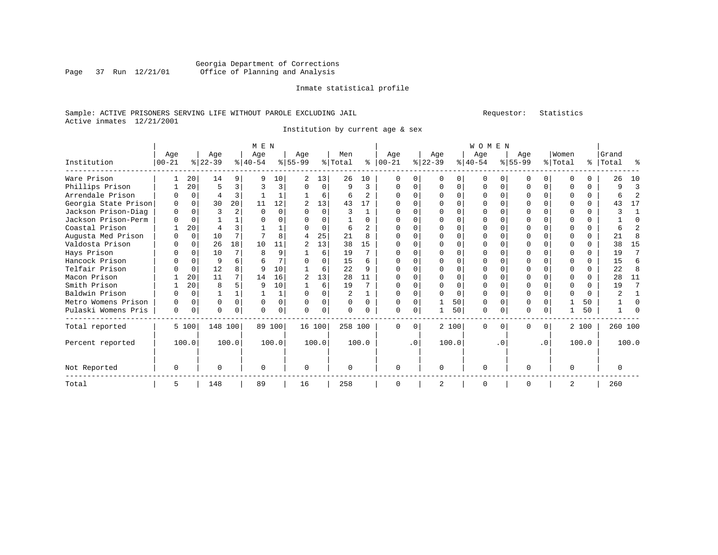# Georgia Department of Corrections Page 37 Run 12/21/01 Office of Planning and Analysis

#### Inmate statistical profile

# Sample: ACTIVE PRISONERS SERVING LIFE WITHOUT PAROLE EXCLUDING JAIL Requestor: Statistics Active inmates 12/21/2001

Institution by current age & sex

|                      |             |             |           | M E N |           |          |                |          |         |                |            |           |              | <b>WOMEN</b> |              |          |           |           |              |       |           |       |
|----------------------|-------------|-------------|-----------|-------|-----------|----------|----------------|----------|---------|----------------|------------|-----------|--------------|--------------|--------------|----------|-----------|-----------|--------------|-------|-----------|-------|
|                      | Age         |             | Age       |       | Age       |          | Age            |          | Men     |                | Age        |           | Age          |              | Age          |          | Age       |           | Women        |       | Grand     |       |
| Institution          | $ 00 - 21 $ |             | $ 22-39 $ |       | $ 40-54 $ |          | $8 55-99$      |          | % Total | ႜ              | $ 00 - 21$ |           | $ 22-39 $    |              | $ 40-54 $    |          | $8 55-99$ |           | % Total      |       | %   Total | ႜ     |
| Ware Prison          |             | 20          | 14        | 9     | q         | 10       | $\overline{a}$ | 13       | 26      | 10             | ∩          | 0         | $\Omega$     | O            | $\Omega$     |          | U         | 0         | ∩            |       | 26        | 10    |
| Phillips Prison      |             | 20          | 5         | 3     |           | 3        | $\Omega$       | $\Omega$ | 9       | 3              | $\Omega$   | $\Omega$  | $\Omega$     | $\Omega$     | $\Omega$     | $\Omega$ | O         | $\Omega$  | <sup>0</sup> | 0     | q         | 3     |
| Arrendale Prison     |             | $\Omega$    | 4         | 3     |           |          |                | 6        | 6       | $\overline{a}$ | $\Omega$   | U         | <sup>n</sup> | $\Omega$     | <sup>0</sup> | ∩        | U         | $\cap$    | ∩            | 0     |           | 2     |
| Georgia State Prison | 0           | $\Omega$    | 30        | 20    | 11        | 12       | 2              | 13       | 43      | 17             |            |           |              |              |              |          |           |           |              | 0     | 43        | 17    |
| Jackson Prison-Diag  | 0           | $\cap$      | ζ         |       | $\cap$    | $\Omega$ |                | $\Omega$ | 3       |                |            |           |              | $\Omega$     | O            | ∩        | U         |           |              | 0     |           |       |
| Jackson Prison-Perm  |             | $\Omega$    |           |       |           | 0        |                | $\Omega$ |         | U              |            |           |              | $\Omega$     | <sup>0</sup> |          |           |           |              | 0     |           | U     |
| Coastal Prison       |             | 20          | 4         |       |           |          |                | $\Omega$ | 6       | $\overline{2}$ |            | 0         |              | $\Omega$     | U            | ∩        |           |           | ∩            | 0     |           |       |
| Augusta Med Prison   |             | $\Omega$    | 10        |       |           | R        |                | 25       | 21      | 8              |            |           |              |              |              |          |           |           |              | U     | 21        |       |
| Valdosta Prison      |             | $\Omega$    | 26        | 18    | 10        | 11       |                | 13       | 38      | 15             | ∩          |           |              | U            | <sup>0</sup> | ∩        | U         |           | ∩            | U     | 38        | 15    |
| Hays Prison          |             | $\Omega$    | 10        |       |           | 9        |                | 6        | 19      |                |            |           |              | $\Omega$     | <sup>0</sup> |          |           |           | ∩            | 0     | 19        | 7     |
| Hancock Prison       |             | $\Omega$    | 9         |       |           | 7        |                | $\Omega$ | 15      | 6              |            |           |              | $\Omega$     | U            | ∩        |           |           | ∩            | 0     | 15        | 6     |
| Telfair Prison       |             | $\Omega$    | 12        |       | q         | 10       |                | 6        | 22      | q              |            |           |              |              |              |          |           |           |              | 0     | 22        | 8     |
| Macon Prison         |             | 20          | 11        |       | 14        | 16       | 2              | 13       | 28      | 11             |            |           |              | $\Omega$     |              | ∩        | U         |           | ∩            | 0     | 28        | 11    |
| Smith Prison         |             | 20          | 8         |       | 9         | 10       |                | 6        | 19      |                |            |           |              | $\Omega$     | <sup>0</sup> |          | O         |           | <sup>0</sup> | 0     | 19        | 7     |
| Baldwin Prison       |             | $\Omega$    |           |       |           | 1        | O              | $\Omega$ |         |                |            | 0         |              | $\Omega$     | O            | $\Omega$ | O         |           | $\Omega$     | 0     |           |       |
| Metro Womens Prison  | O           | $\Omega$    | $\Omega$  |       |           | 0        | $\Omega$       | $\Omega$ | 0       | 0              | $\Omega$   |           |              | 50           | $\Omega$     |          |           |           |              | 50    |           |       |
| Pulaski Womens Pris  | 0           | $\mathbf 0$ | $\Omega$  | 0     | U         | 0        | $\Omega$       | 0        | 0       | U              | $\Omega$   | 0         |              | 50           | 0            | $\Omega$ | $\Omega$  | 0         |              | 50    |           |       |
| Total reported       |             | 5 100       | 148 100   |       |           | 89 100   | 16 100         |          | 258 100 |                | $\Omega$   | $\Omega$  |              | 2 100        | $\Omega$     | $\Omega$ | 0         | $\Omega$  |              | 2 100 | 260 100   |       |
| Percent reported     |             | 100.0       |           | 100.0 |           | 100.0    |                | 100.0    |         | 100.0          |            | $\cdot$ 0 |              | 100.0        |              | . 0      |           | $\cdot$ 0 |              | 100.0 |           | 100.0 |
| Not Reported         | $\Omega$    |             | $\Omega$  |       | $\Omega$  |          | $\Omega$       |          | O       |                | $\Omega$   |           | $\Omega$     |              | $\Omega$     |          | U         |           | $\Omega$     |       |           |       |
| Total                | 5           |             | 148       |       | 89        |          | 16             |          | 258     |                | $\Omega$   |           | 2            |              | $\Omega$     |          | 0         |           | 2            |       | 260       |       |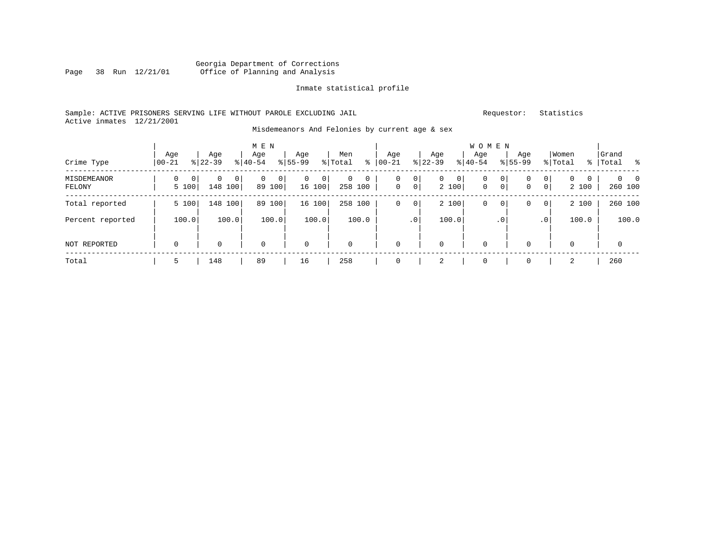# Georgia Department of Corrections Office of Planning and Analysis

#### Inmate statistical profile

# Sample: ACTIVE PRISONERS SERVING LIFE WITHOUT PAROLE EXCLUDING JAIL Requestor: Statistics Active inmates 12/21/2001

#### Misdemeanors And Felonies by current age & sex

| Crime Type            | Age<br>$00 - 21$ |       | Age<br>$8 22-39$ |          | M E N<br>Age<br>$8 40-54$ |             | Age<br>$8155 - 99$ |             | Men<br>% Total | နွ                     | Age<br>$00 - 21$  |                      | Age<br>$ 22-39 $ |             | W O M E N<br>Age<br>$ 40-54 $ |               | Age<br>$8155 - 99$ |                  | Women<br>% Total      |              | Grand<br>%   Total | ိ                          |
|-----------------------|------------------|-------|------------------|----------|---------------------------|-------------|--------------------|-------------|----------------|------------------------|-------------------|----------------------|------------------|-------------|-------------------------------|---------------|--------------------|------------------|-----------------------|--------------|--------------------|----------------------------|
| MISDEMEANOR<br>FELONY | 0<br>5 100       | 0     | 0<br>148         | 0<br>100 | $\mathbf 0$               | 0<br>89 100 | 0                  | 0<br>16 100 | 0              | $\mathbf 0$<br>258 100 | 0<br>$\mathbf{0}$ | 0 <br>0 <sup>1</sup> | $\mathbf{0}$     | 0 <br>2 100 | 0<br>$\mathbf 0$              | $\circ$<br> 0 | 0<br>0             | 0<br>$\mathbf 0$ | $\mathbf{0}$<br>2 100 | $\mathbf{0}$ |                    | $\Omega$<br>- 0<br>260 100 |
| Total reported        | 5 100            |       | 148 100          |          | 89                        | 100         |                    | 16 100      | 258 100        |                        | 0                 | $\circ$              |                  | 2 100       | 0                             | $\circ$       | 0                  | 0                | 2 100                 |              |                    | 260 100                    |
| Percent reported      |                  | 100.0 | 100.0            |          |                           | 100.0       |                    | 100.0       |                | 100.0                  |                   | .0 <sup>1</sup>      |                  | 100.0       |                               | $\cdot$ 0     |                    | .0 <sup>1</sup>  |                       | 100.0        |                    | 100.0                      |
| NOT REPORTED          | $\mathbf 0$      |       | 0                |          | $\mathbf 0$               |             | $\mathbf 0$        |             | $\mathbf 0$    |                        | 0                 |                      | $\mathbf 0$      |             | $\mathbf 0$                   |               | 0                  |                  | $\mathbf 0$           |              |                    | $\mathbf 0$                |
| Total                 | 5                |       | 148              |          | 89                        |             | 16                 |             | 258            |                        |                   |                      | 2                |             | $\mathbf 0$                   |               | 0                  |                  | 2                     |              | 260                |                            |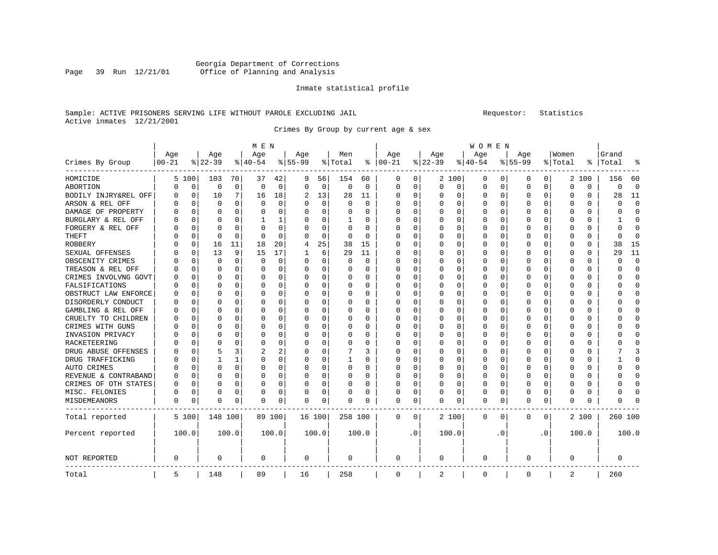#### Georgia Department of Corrections Page 39 Run 12/21/01 Office of Planning and Analysis

#### Inmate statistical profile

#### Sample: ACTIVE PRISONERS SERVING LIFE WITHOUT PAROLE EXCLUDING JAIL **Subset Construent Construent** Requestor: Statistics Active inmates 12/21/2001

Crimes By Group by current age & sex

| M E N | W O M E N | Age | Age | Age | Age | Men | Age | Age | Age | Age |Women |Grand Crimes By Group |00-21 %|22-39 %|40-54 %|55-99 %|Total % |00-21 %|22-39 %|40-54 %|55-99 %|Total % |Total % ------------------------------------------------------------------------------------------------------------------------------------HOMICIDE | 5 100| 103 70| 37 42| 9 56| 154 60 | 0 0| 2 100| 0 0| 0 0| 2 100 | 156 60 ABORTION | 0 0| 0 0| 0 0| 0 0| 0 0 | 0 0| 0 0| 0 0| 0 0| 0 0 | 0 0 BODILY INJRY&REL OFF| 0 0| 10 7| 16 18| 2 13| 28 11 | 0 0| 0 0| 0 0| 0 0| 0 0 | 28 11 ARSON & REL OFF | 0 0| 0 0| 0 0| 0 0| 0 0 | 0 0| 0 0| 0 0| 0 0| 0 0 | 0 0 DAMAGE OF PROPERTY | 0 0| 0 0| 0 0| 0 0| 0 0 | 0 0| 0 0| 0 0| 0 0| 0 0 | 0 0 BURGLARY & REL OFF | 0 0| 0 0| 1 1| 0 0| 1 0 | 0 0| 0 0| 0 0| 0 0| 0 0 | 1 0 FORGERY & REL OFF | 0 0| 0 0| 0 0| 0 0| 0 0 | 0 0| 0 0| 0 0| 0 0| 0 0 | 0 0 THEFT | 0 0| 0 0| 0 0| 0 0| 0 0 | 0 0| 0 0| 0 0| 0 0| 0 0 | 0 0 ROBBERY | 0 0| 16 11| 18 20| 4 25| 38 15 | 0 0| 0 0| 0 0| 0 0| 0 0 | 38 15 SEXUAL OFFENSES | 0 0| 13 9| 15 17| 1 6| 29 11 | 0 0| 0 0| 0 0| 0 0| 0 0 | 29 11 OBSCENITY CRIMES | 0 0| 0 0| 0 0| 0 0| 0 0 | 0 0| 0 0| 0 0| 0 0| 0 0 | 0 0 TREASON & REL OFF | 0 0| 0 0| 0 0| 0 0| 0 0 | 0 0| 0 0| 0 0| 0 0| 0 0 | 0 0 CRIMES INVOLVNG GOVT| 0 0| 0 0| 0 0| 0 0| 0 0 | 0 0| 0 0| 0 0| 0 0| 0 0 | 0 0 FALSIFICATIONS | 0 0| 0 0| 0 0| 0 0| 0 0 | 0 0| 0 0| 0 0| 0 0| 0 0 | 0 0 OBSTRUCT LAW ENFORCE | 0 0 | 0 0 | 0 0 | 0 0 | 0 0 | 0 0 | 0 0 | 0 0 | 0 0 | 0 0 | 0 0 | 0 0<br>DISORDERLY CONDUCT | 0 0 | 0 0 | 0 0 | 0 0 | 0 0 | 0 0 | 0 0 | 0 0 | 0 0 | 0 0 | 0 0 | 0 0 DISORDERLY CONDUCT | 0 0| 0 0| 0 0| 0 0| 0 0 | 0 0| 0 0| 0 0| 0 0| 0 0 | 0 0 GAMBLING & REL OFF | 0 0| 0 0| 0 0| 0 0| 0 0 | 0 0| 0 0| 0 0| 0 0| 0 0 | 0 0 CRUELTY TO CHILDREN | 0 0| 0 0| 0 0| 0 0| 0 0 | 0 0| 0 0| 0 0| 0 0| 0 0 | 0 0 CRIMES WITH GUNS | 0 0| 0 0| 0 0| 0 0| 0 0 | 0 0| 0 0| 0 0| 0 0| 0 0 | 0 0 INVASION PRIVACY | 0 0| 0 0| 0 0| 0 0| 0 0 | 0 0| 0 0| 0 0| 0 0| 0 0 | 0 0 RACKETEERING | 0 0| 0 0| 0 0| 0 0| 0 0 | 0 0| 0 0| 0 0| 0 0| 0 0 | 0 0 DRUG ABUSE OFFENSES | 0 0 | 5 3 | 2 2 | 0 0 | 7 3 | 0 0 | 0 0 | 0 0 | 0 0 | 0 0 | 7 3 | 0 0 | 0 0 | 7 3 | 0 0 | 0 0 | 7 3 | 0 0 | 0 0 | 7 3 | 0 0 | 0 0 | 7 3 | 0 0 | 0 0 | 7 3 | 0 0 | 0 0 | 0 0 | 7 3 | 0 0 | 0 0 | 7 3 | 0 DRUG TRAFFICKING | 0 0| 1 1| 0 0| 0 0| 1 0 | 0 0| 0 0| 0 0| 0 0| 0 0 | 1 0 AUTO CRIMES | 0 0| 0 0| 0 0| 0 0| 0 0 | 0 0| 0 0| 0 0| 0 0| 0 0 | 0 0 REVENUE & CONTRABAND | 0 0 | 0 0 | 0 0 | 0 0 | 0 0 | 0 0 | 0 0 | 0 0 | 0 0 | 0 0 | 0 0 | 0 0 | 0 0 | 0 0 | 0 0 CRIMES OF OTH STATES| 0 0| 0 0| 0 0| 0 0| 0 0 | 0 0| 0 0| 0 0| 0 0| 0 0 | 0 0 MISC. FELONIES | 0 0| 0 0| 0 0| 0 0| 0 0 | 0 0| 0 0| 0 0| 0 0| 0 0 | 0 0 MISDEMEANORS | 0 0| 0 0| 0 0| 0 0| 0 0 | 0 0| 0 0| 0 0| 0 0| 0 0 | 0 0 ------------------------------------------------------------------------------------------------------------------------------------Total reported | 5 100| 148 100| 89 100| 16 100| 258 100 | 0 0| 2 100| 0 0| 0 0| 2 100 | 260 100 | | | | | | | | | | | Percent reported | 100.0| 100.0| 100.0| 100.0| 100.0 | .0| 100.0| .0| .0| 100.0 | 100.0 | | | | | | | | | | | | | | | | | | | | | | NOT REPORTED | 0 | 0 | 0 | 0 | 0 | 0 | 0 | 0 | 0 | 0 | 0 ------------------------------------------------------------------------------------------------------------------------------------Total | 5 | 148 | 89 | 16 | 258 | 0 | 2 | 0 | 0 | 2 | 260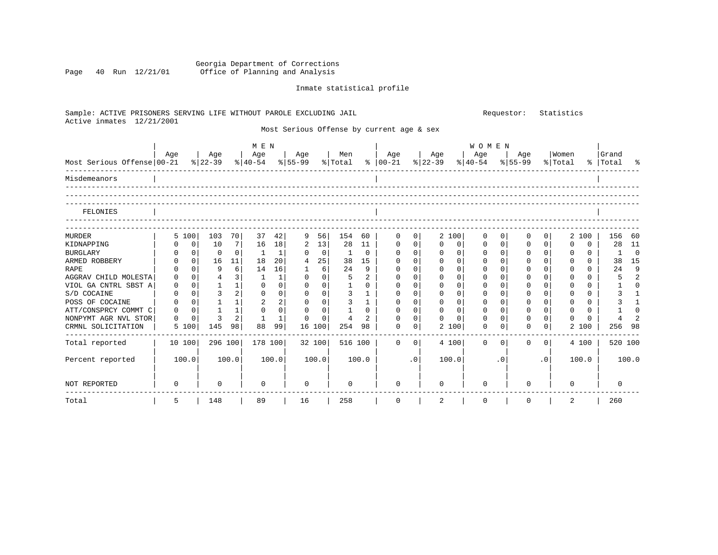#### Georgia Department of Corrections Page 40 Run 12/21/01 Office of Planning and Analysis

# Inmate statistical profile

| Sample: ACTIVE PRISONERS SERVING LIFE WITHOUT PAROLE EXCLUDING JAIL |                     |                |              |                            |                                         |             |         |                | Requestor:                                |              |                  | Statistics       |             |         |                |             |                 |           |                |
|---------------------------------------------------------------------|---------------------|----------------|--------------|----------------------------|-----------------------------------------|-------------|---------|----------------|-------------------------------------------|--------------|------------------|------------------|-------------|---------|----------------|-------------|-----------------|-----------|----------------|
| Active inmates 12/21/2001                                           |                     |                |              |                            |                                         |             |         |                | Most Serious Offense by current age & sex |              |                  |                  |             |         |                |             |                 |           |                |
|                                                                     | Age                 | Age            | Age          | M E N                      | Age                                     |             | Men     |                | Age                                       |              | Age              | Age              | WOMEN       | Age     |                | Women       |                 | Grand     |                |
| Most Serious Offense 00-21                                          |                     | $8 22-39$      |              |                            | $\frac{8}{40} - 54$ $\frac{8}{55} - 99$ |             | % Total |                | $8   00-21$                               |              | $8 \mid 22 - 39$ | $ 40-54 $        |             | % 55-99 |                | % Total     |                 | %   Total | ႜ              |
| Misdemeanors                                                        |                     |                |              |                            |                                         |             |         |                |                                           |              |                  |                  |             |         |                |             |                 |           |                |
| FELONIES                                                            |                     |                |              |                            |                                         |             |         |                |                                           |              |                  |                  |             |         |                |             |                 |           |                |
|                                                                     |                     | 103            |              | 37                         |                                         |             | 154     |                |                                           |              |                  |                  |             | 0       | 0              |             |                 |           | 60             |
| <b>MURDER</b><br>KIDNAPPING                                         | 5 100<br>0          | 10             | 70<br>7      | 42<br>18<br>16             | 9<br>2                                  | 56<br>13    | 28      | 60<br>11       | 0<br>0                                    | 0<br>0       | 2 100<br>0       | 0<br>0<br>0      | 0<br>0      | 0       | 0              | 2           | 100<br>$\Omega$ | 156<br>28 | 11             |
| <b>BURGLARY</b>                                                     | 0                   | 0              | 0            | -1                         | $\Omega$                                | 0           | -1      | 0              | 0                                         | 0            | 0                | 0<br>0           | 0           | 0       | $\overline{0}$ | 0           | 0               |           | $\mathbf 0$    |
| ARMED ROBBERY                                                       | 0 <br>0             | 16             | 11           | 18<br>20                   | 4                                       | 25          | 38      | 15             | 0                                         | 0            | 0                | $\mathbf 0$<br>0 | 0           | 0       | $\overline{0}$ | $\Omega$    | 0               | 38        | 15             |
| <b>RAPE</b>                                                         | $\Omega$<br>0       | 9              | 6            | 14<br>16                   | 1                                       | 6           | 24      | 9              | $\mathbf 0$                               | $\Omega$     | 0                | 0<br>$\Omega$    | $\Omega$    | 0       | $\Omega$       | $\Omega$    | $\Omega$        | 24        | 9              |
| AGGRAV CHILD MOLESTA                                                | $\mathbf 0$<br>0    | $\overline{4}$ | 3            | 1                          | $\Omega$                                | 0           | 5       | $\mathbf{2}$   | 0                                         | $\Omega$     | 0                | 0<br>0           | $\mathbf 0$ | 0       | $\Omega$       | $\Omega$    | 0               |           | 2              |
| VIOL GA CNTRL SBST A                                                | $\mathbf 0$<br>0    |                | $\mathbf{1}$ | 0<br>0                     | $\Omega$                                | 0           | 1       | $\Omega$       | $\Omega$                                  | $\Omega$     | 0                | 0<br>0           | $\Omega$    | O       | $\Omega$       | $\Omega$    | $\Omega$        |           | $\Omega$       |
| S/D COCAINE                                                         | $\Omega$<br>0       | 3              | 2            | 0<br>$\mathbf 0$           | $\Omega$                                | $\Omega$    | 3       | 1              | $\Omega$                                  | $\Omega$     | 0                | $\Omega$<br>0    | $\Omega$    | 0       | $\Omega$       | $\Omega$    | $\Omega$        |           | $\mathbf{1}$   |
| POSS OF COCAINE                                                     | $\overline{0}$<br>0 |                | 1            | 2<br>2                     | 0                                       | 0           | 3       | $\mathbf{1}$   | $\Omega$                                  | 0            | 0                | 0<br>0           | $\Omega$    | 0       | $\Omega$       | $\Omega$    | $\Omega$        |           | $\mathbf{1}$   |
| ATT/CONSPRCY COMMT C                                                | $\mathbf 0$<br>0    | $\mathbf{1}$   | 1            | $\mathbf 0$<br>$\mathbf 0$ | $\mathbf 0$                             | $\mathbf 0$ |         | $\Omega$       | 0                                         | $\mathbf{0}$ | $\mathbf 0$      | $\mathbf 0$<br>0 | 0           | 0       | 0              | $\mathbf 0$ | $\Omega$        |           | $\Omega$       |
| NONPYMT AGR NVL STOR                                                | $\mathbf 0$<br>0    | 3              | 2            |                            | $\Omega$                                | $\Omega$    | 4       | $\mathfrak{D}$ | $\Omega$                                  | 0            | 0                | 0<br>0           | $\mathbf 0$ | 0       | $\Omega$       |             | $\Omega$        |           | $\overline{a}$ |
| CRMNL SOLICITATION                                                  | 5 100               | 145            | 98           | 88<br>99                   |                                         | 16 100      | 254     | 98             | $\Omega$                                  | 0            | 2 100            | 0                | 0           | 0       | 0              | 2           | 100             | 256       | 98             |
| Total reported                                                      | 10 100              | 296 100        |              | 178 100                    |                                         | 32 100      | 516 100 |                | $\Omega$                                  | 0            | 4 100            | $\Omega$         | 0           | 0       | 0              |             | 4 100           | 520 100   |                |
| Percent reported                                                    | 100.0               | 100.0          |              | 100.0                      |                                         | 100.0       |         | 100.0          |                                           | $\cdot$ 0    | 100.0            |                  | $\cdot$ 0   |         | $\cdot$ 0      |             | 100.0           |           | 100.0          |
| NOT REPORTED                                                        | 0                   | 0              |              | 0                          | $\mathbf 0$                             |             |         |                | 0                                         |              | 0                | 0                |             | O       |                | 0           |                 | $\Omega$  |                |
| Total                                                               | 5                   | 148            |              | 89                         | 16                                      |             | 258     |                | 0                                         |              | 2                | 0                |             | 0       |                | 2           |                 | 260       |                |